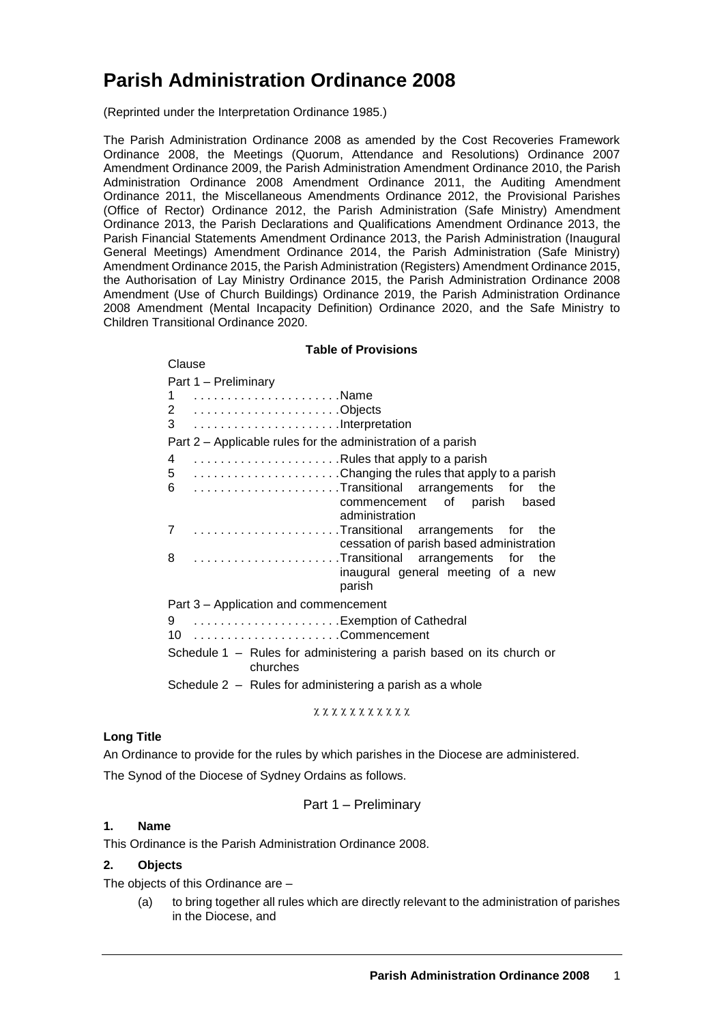# **Parish Administration Ordinance 2008**

(Reprinted under the Interpretation Ordinance 1985.)

The Parish Administration Ordinance 2008 as amended by the Cost Recoveries Framework Ordinance 2008, the Meetings (Quorum, Attendance and Resolutions) Ordinance 2007 Amendment Ordinance 2009, the Parish Administration Amendment Ordinance 2010, the Parish Administration Ordinance 2008 Amendment Ordinance 2011, the Auditing Amendment Ordinance 2011, the Miscellaneous Amendments Ordinance 2012, the Provisional Parishes (Office of Rector) Ordinance 2012, the Parish Administration (Safe Ministry) Amendment Ordinance 2013, the Parish Declarations and Qualifications Amendment Ordinance 2013, the Parish Financial Statements Amendment Ordinance 2013, the Parish Administration (Inaugural General Meetings) Amendment Ordinance 2014, the Parish Administration (Safe Ministry) Amendment Ordinance 2015, the Parish Administration (Registers) Amendment Ordinance 2015, the Authorisation of Lay Ministry Ordinance 2015, the Parish Administration Ordinance 2008 Amendment (Use of Church Buildings) Ordinance 2019, the Parish Administration Ordinance 2008 Amendment (Mental Incapacity Definition) Ordinance 2020, and the Safe Ministry to Children Transitional Ordinance 2020.

#### **Table of Provisions**

| Clause                                                                                |
|---------------------------------------------------------------------------------------|
| Part 1 - Preliminary                                                                  |
|                                                                                       |
| 2 Objects                                                                             |
| 3 Interpretation                                                                      |
| Part 2 – Applicable rules for the administration of a parish                          |
| 4 Rules that apply to a parish                                                        |
| 5 Changing the rules that apply to a parish                                           |
| 6 Transitional arrangements for the<br>commencement of parish based<br>administration |
| 7 Transitional arrangements for the<br>cessation of parish based administration       |
| 8 Transitional arrangements for the<br>inaugural general meeting of a new<br>parish   |
| Part 3 – Application and commencement                                                 |
| 9 Exemption of Cathedral                                                              |
|                                                                                       |
| Schedule 1 – Rules for administering a parish based on its church or<br>churches      |
| Schedule 2 – Rules for administering a parish as a whole                              |

$$
\chi\ \chi\ \chi\ \chi\ \chi\ \chi\ \chi\ \chi\ \chi\ \chi\ \chi\ \chi
$$

## **Long Title**

An Ordinance to provide for the rules by which parishes in the Diocese are administered.

The Synod of the Diocese of Sydney Ordains as follows.

Part 1 – Preliminary

## **1. Name**

This Ordinance is the Parish Administration Ordinance 2008.

#### **2. Objects**

The objects of this Ordinance are –

(a) to bring together all rules which are directly relevant to the administration of parishes in the Diocese, and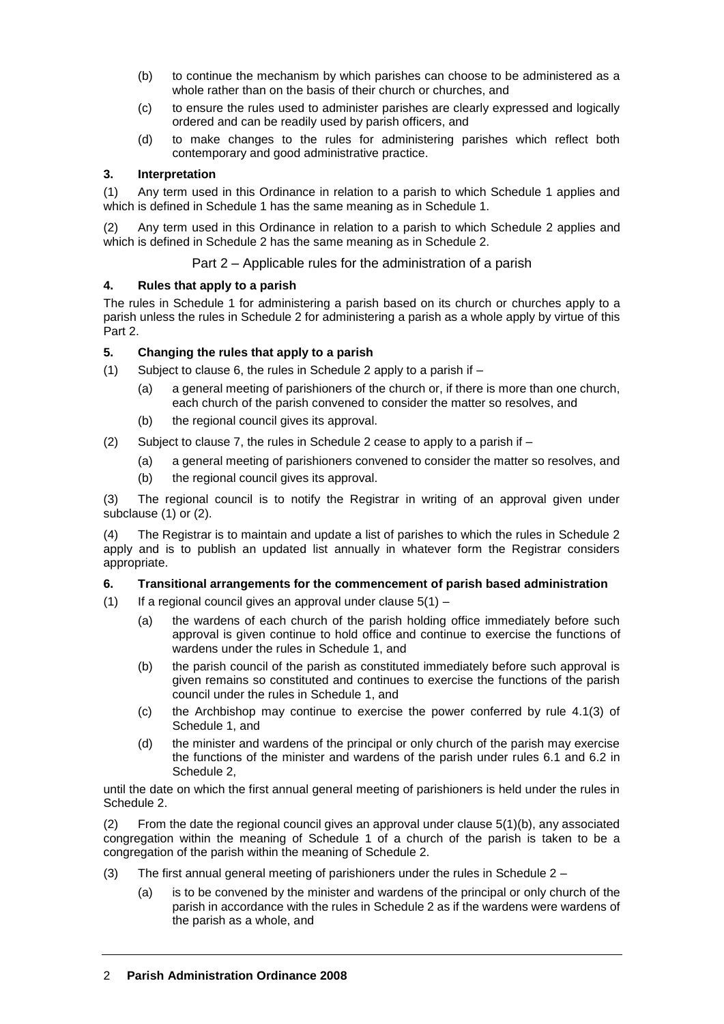- (b) to continue the mechanism by which parishes can choose to be administered as a whole rather than on the basis of their church or churches, and
- (c) to ensure the rules used to administer parishes are clearly expressed and logically ordered and can be readily used by parish officers, and
- (d) to make changes to the rules for administering parishes which reflect both contemporary and good administrative practice.

## **3. Interpretation**

(1) Any term used in this Ordinance in relation to a parish to which Schedule 1 applies and which is defined in Schedule 1 has the same meaning as in Schedule 1.

(2) Any term used in this Ordinance in relation to a parish to which Schedule 2 applies and which is defined in Schedule 2 has the same meaning as in Schedule 2.

Part 2 – Applicable rules for the administration of a parish

## **4. Rules that apply to a parish**

The rules in Schedule 1 for administering a parish based on its church or churches apply to a parish unless the rules in Schedule 2 for administering a parish as a whole apply by virtue of this Part 2.

## **5. Changing the rules that apply to a parish**

- (1) Subject to clause 6, the rules in Schedule 2 apply to a parish if
	- (a) a general meeting of parishioners of the church or, if there is more than one church, each church of the parish convened to consider the matter so resolves, and
	- (b) the regional council gives its approval.
- (2) Subject to clause 7, the rules in Schedule 2 cease to apply to a parish if  $-$ 
	- (a) a general meeting of parishioners convened to consider the matter so resolves, and
	- (b) the regional council gives its approval.

(3) The regional council is to notify the Registrar in writing of an approval given under subclause (1) or (2).

(4) The Registrar is to maintain and update a list of parishes to which the rules in Schedule 2 apply and is to publish an updated list annually in whatever form the Registrar considers appropriate.

## **6. Transitional arrangements for the commencement of parish based administration**

- (1) If a regional council gives an approval under clause  $5(1)$ 
	- (a) the wardens of each church of the parish holding office immediately before such approval is given continue to hold office and continue to exercise the functions of wardens under the rules in Schedule 1, and
	- (b) the parish council of the parish as constituted immediately before such approval is given remains so constituted and continues to exercise the functions of the parish council under the rules in Schedule 1, and
	- (c) the Archbishop may continue to exercise the power conferred by rule 4.1(3) of Schedule 1, and
	- (d) the minister and wardens of the principal or only church of the parish may exercise the functions of the minister and wardens of the parish under rules 6.1 and 6.2 in Schedule 2,

until the date on which the first annual general meeting of parishioners is held under the rules in Schedule 2.

(2) From the date the regional council gives an approval under clause 5(1)(b), any associated congregation within the meaning of Schedule 1 of a church of the parish is taken to be a congregation of the parish within the meaning of Schedule 2.

- (3) The first annual general meeting of parishioners under the rules in Schedule 2
	- (a) is to be convened by the minister and wardens of the principal or only church of the parish in accordance with the rules in Schedule 2 as if the wardens were wardens of the parish as a whole, and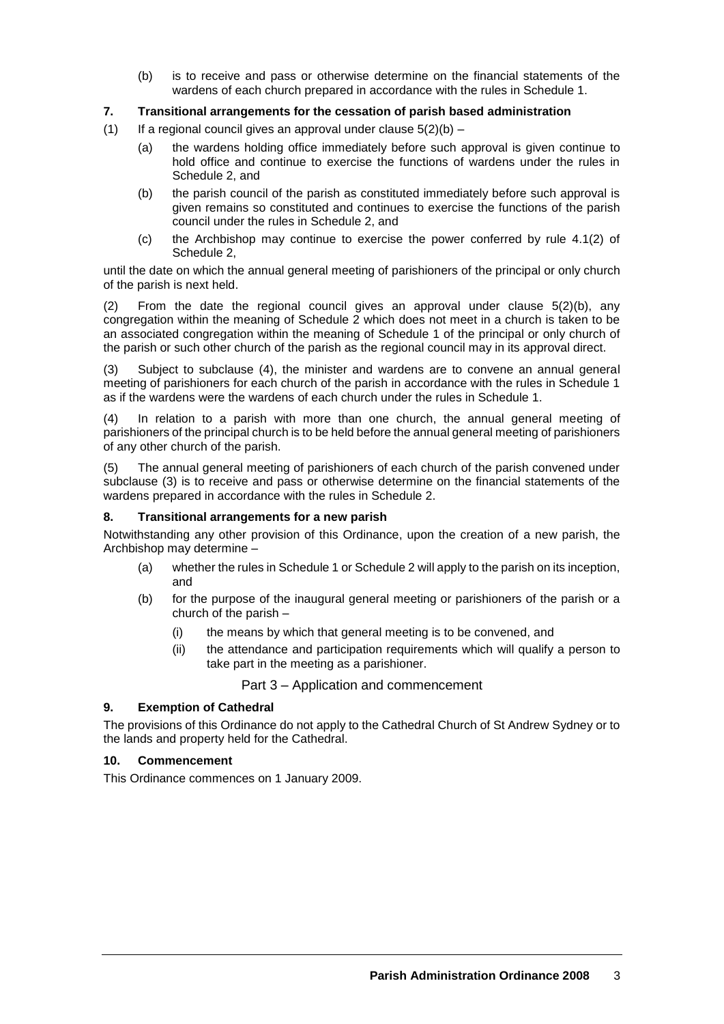(b) is to receive and pass or otherwise determine on the financial statements of the wardens of each church prepared in accordance with the rules in Schedule 1.

## **7. Transitional arrangements for the cessation of parish based administration**

- (1) If a regional council gives an approval under clause  $5(2)(b)$ 
	- (a) the wardens holding office immediately before such approval is given continue to hold office and continue to exercise the functions of wardens under the rules in Schedule 2, and
	- (b) the parish council of the parish as constituted immediately before such approval is given remains so constituted and continues to exercise the functions of the parish council under the rules in Schedule 2, and
	- (c) the Archbishop may continue to exercise the power conferred by rule 4.1(2) of Schedule 2,

until the date on which the annual general meeting of parishioners of the principal or only church of the parish is next held.

(2) From the date the regional council gives an approval under clause 5(2)(b), any congregation within the meaning of Schedule 2 which does not meet in a church is taken to be an associated congregation within the meaning of Schedule 1 of the principal or only church of the parish or such other church of the parish as the regional council may in its approval direct.

(3) Subject to subclause (4), the minister and wardens are to convene an annual general meeting of parishioners for each church of the parish in accordance with the rules in Schedule 1 as if the wardens were the wardens of each church under the rules in Schedule 1.

(4) In relation to a parish with more than one church, the annual general meeting of parishioners of the principal church is to be held before the annual general meeting of parishioners of any other church of the parish.

(5) The annual general meeting of parishioners of each church of the parish convened under subclause (3) is to receive and pass or otherwise determine on the financial statements of the wardens prepared in accordance with the rules in Schedule 2.

#### **8. Transitional arrangements for a new parish**

Notwithstanding any other provision of this Ordinance, upon the creation of a new parish, the Archbishop may determine –

- (a) whether the rules in Schedule 1 or Schedule 2 will apply to the parish on its inception, and
- (b) for the purpose of the inaugural general meeting or parishioners of the parish or a church of the parish –
	- (i) the means by which that general meeting is to be convened, and
	- (ii) the attendance and participation requirements which will qualify a person to take part in the meeting as a parishioner.

Part 3 – Application and commencement

## **9. Exemption of Cathedral**

The provisions of this Ordinance do not apply to the Cathedral Church of St Andrew Sydney or to the lands and property held for the Cathedral.

#### **10. Commencement**

This Ordinance commences on 1 January 2009.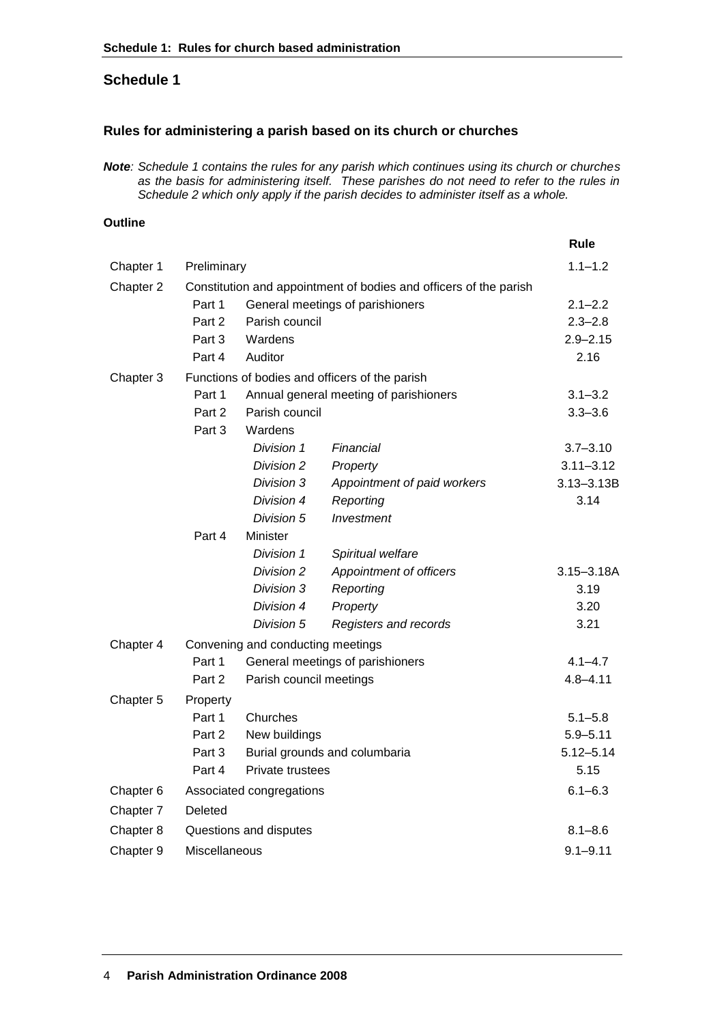# **Schedule 1**

# **Rules for administering a parish based on its church or churches**

*Note: Schedule 1 contains the rules for any parish which continues using its church or churches as the basis for administering itself. These parishes do not need to refer to the rules in Schedule 2 which only apply if the parish decides to administer itself as a whole.*

## **Outline**

|           |                                                                   |                               |                             | Rule           |
|-----------|-------------------------------------------------------------------|-------------------------------|-----------------------------|----------------|
| Chapter 1 | Preliminary                                                       |                               |                             | $1.1 - 1.2$    |
| Chapter 2 | Constitution and appointment of bodies and officers of the parish |                               |                             |                |
|           | Part 1<br>General meetings of parishioners                        |                               |                             | $2.1 - 2.2$    |
|           | Part 2                                                            | Parish council                | $2.3 - 2.8$                 |                |
|           | Part 3                                                            | Wardens                       | $2.9 - 2.15$                |                |
|           | Part 4                                                            | Auditor                       |                             | 2.16           |
| Chapter 3 | Functions of bodies and officers of the parish                    |                               |                             |                |
|           | Part 1<br>Annual general meeting of parishioners                  |                               |                             | $3.1 - 3.2$    |
|           | Part 2                                                            | Parish council                | $3.3 - 3.6$                 |                |
|           | Wardens<br>Part 3                                                 |                               |                             |                |
|           |                                                                   | Division 1                    | Financial                   | $3.7 - 3.10$   |
|           |                                                                   | Division 2                    | Property                    | $3.11 - 3.12$  |
|           |                                                                   | Division 3                    | Appointment of paid workers | 3.13-3.13B     |
|           |                                                                   | Division 4                    | Reporting                   | 3.14           |
|           |                                                                   | Division 5                    | Investment                  |                |
|           | Part 4                                                            | Minister                      |                             |                |
|           |                                                                   | Division 1                    | Spiritual welfare           |                |
|           |                                                                   | Division 2                    | Appointment of officers     | $3.15 - 3.18A$ |
|           |                                                                   | Division 3                    | Reporting                   | 3.19           |
|           |                                                                   | Division 4                    | Property                    | 3.20           |
|           |                                                                   | Division 5                    | Registers and records       | 3.21           |
| Chapter 4 | Convening and conducting meetings                                 |                               |                             |                |
|           | Part 1<br>General meetings of parishioners                        |                               |                             | $4.1 - 4.7$    |
|           | Part 2<br>Parish council meetings                                 |                               |                             | $4.8 - 4.11$   |
| Chapter 5 | Property                                                          |                               |                             |                |
|           | Part 1                                                            | Churches                      |                             | $5.1 - 5.8$    |
|           | Part 2                                                            | New buildings                 |                             | $5.9 - 5.11$   |
|           | Part 3                                                            | Burial grounds and columbaria |                             | $5.12 - 5.14$  |
|           | Part 4                                                            | Private trustees              |                             | 5.15           |
| Chapter 6 | Associated congregations                                          |                               |                             | $6.1 - 6.3$    |
| Chapter 7 | Deleted                                                           |                               |                             |                |
| Chapter 8 | Questions and disputes                                            |                               |                             | $8.1 - 8.6$    |
| Chapter 9 | Miscellaneous                                                     |                               |                             | $9.1 - 9.11$   |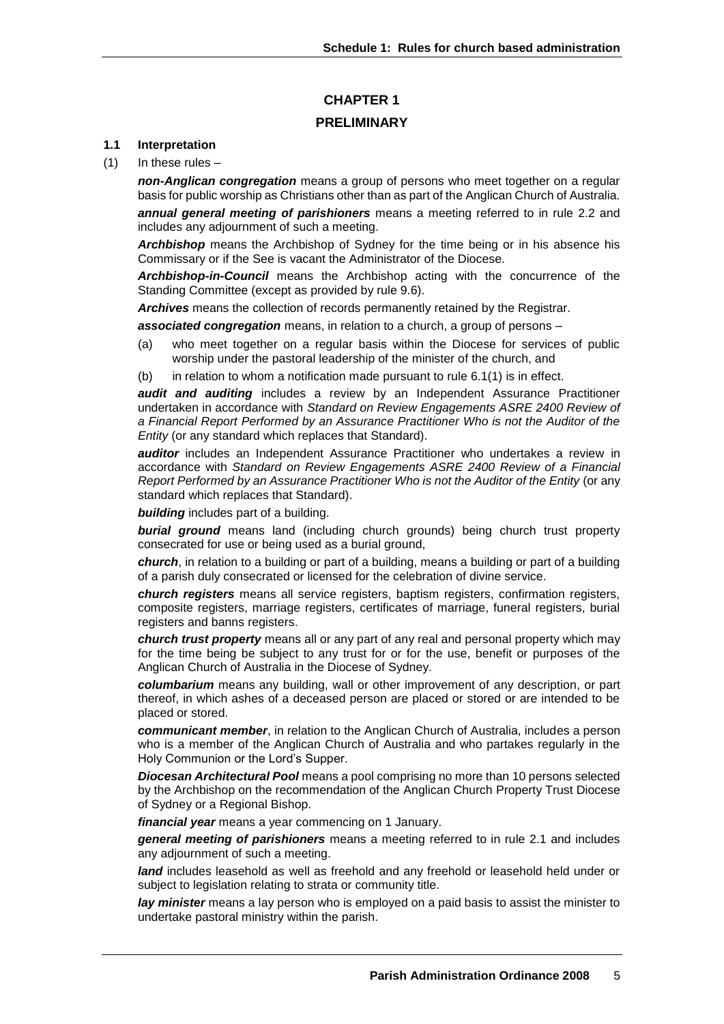# **CHAPTER 1 PRELIMINARY**

#### **1.1 Interpretation**

 $(1)$  In these rules –

*non-Anglican congregation* means a group of persons who meet together on a regular basis for public worship as Christians other than as part of the Anglican Church of Australia.

*annual general meeting of parishioners* means a meeting referred to in rule 2.2 and includes any adjournment of such a meeting.

*Archbishop* means the Archbishop of Sydney for the time being or in his absence his Commissary or if the See is vacant the Administrator of the Diocese.

*Archbishop-in-Council* means the Archbishop acting with the concurrence of the Standing Committee (except as provided by rule 9.6).

*Archives* means the collection of records permanently retained by the Registrar.

*associated congregation* means, in relation to a church, a group of persons –

- (a) who meet together on a regular basis within the Diocese for services of public worship under the pastoral leadership of the minister of the church, and
- (b) in relation to whom a notification made pursuant to rule  $6.1(1)$  is in effect.

*audit and auditing* includes a review by an Independent Assurance Practitioner undertaken in accordance with *Standard on Review Engagements ASRE 2400 Review of a Financial Report Performed by an Assurance Practitioner Who is not the Auditor of the Entity* (or any standard which replaces that Standard).

*auditor* includes an Independent Assurance Practitioner who undertakes a review in accordance with *Standard on Review Engagements ASRE 2400 Review of a Financial Report Performed by an Assurance Practitioner Who is not the Auditor of the Entity* (or any standard which replaces that Standard).

*building* includes part of a building.

*burial ground* means land (including church grounds) being church trust property consecrated for use or being used as a burial ground,

*church*, in relation to a building or part of a building, means a building or part of a building of a parish duly consecrated or licensed for the celebration of divine service.

*church registers* means all service registers, baptism registers, confirmation registers, composite registers, marriage registers, certificates of marriage, funeral registers, burial registers and banns registers.

*church trust property* means all or any part of any real and personal property which may for the time being be subject to any trust for or for the use, benefit or purposes of the Anglican Church of Australia in the Diocese of Sydney.

*columbarium* means any building, wall or other improvement of any description, or part thereof, in which ashes of a deceased person are placed or stored or are intended to be placed or stored.

*communicant member*, in relation to the Anglican Church of Australia, includes a person who is a member of the Anglican Church of Australia and who partakes regularly in the Holy Communion or the Lord's Supper.

*Diocesan Architectural Pool* means a pool comprising no more than 10 persons selected by the Archbishop on the recommendation of the Anglican Church Property Trust Diocese of Sydney or a Regional Bishop.

*financial year* means a year commencing on 1 January.

*general meeting of parishioners* means a meeting referred to in rule 2.1 and includes any adjournment of such a meeting.

*land* includes leasehold as well as freehold and any freehold or leasehold held under or subject to legislation relating to strata or community title.

*lay minister* means a lay person who is employed on a paid basis to assist the minister to undertake pastoral ministry within the parish.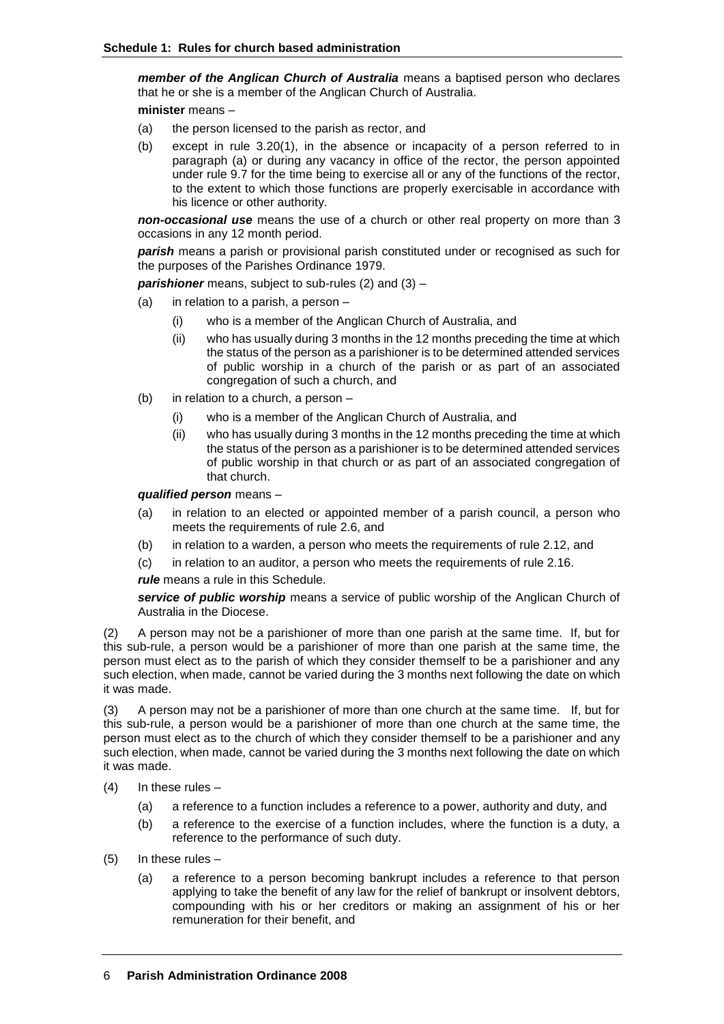*member of the Anglican Church of Australia* means a baptised person who declares that he or she is a member of the Anglican Church of Australia.

**minister** means –

- (a) the person licensed to the parish as rector, and
- (b) except in rule 3.20(1), in the absence or incapacity of a person referred to in paragraph (a) or during any vacancy in office of the rector, the person appointed under rule 9.7 for the time being to exercise all or any of the functions of the rector, to the extent to which those functions are properly exercisable in accordance with his licence or other authority.

*non-occasional use* means the use of a church or other real property on more than 3 occasions in any 12 month period.

*parish* means a parish or provisional parish constituted under or recognised as such for the purposes of the Parishes Ordinance 1979.

**parishioner** means, subject to sub-rules (2) and (3) –

- (a) in relation to a parish, a person
	- (i) who is a member of the Anglican Church of Australia, and
	- (ii) who has usually during 3 months in the 12 months preceding the time at which the status of the person as a parishioner is to be determined attended services of public worship in a church of the parish or as part of an associated congregation of such a church, and
- (b) in relation to a church, a person
	- (i) who is a member of the Anglican Church of Australia, and
	- (ii) who has usually during 3 months in the 12 months preceding the time at which the status of the person as a parishioner is to be determined attended services of public worship in that church or as part of an associated congregation of that church.

*qualified person* means –

- (a) in relation to an elected or appointed member of a parish council, a person who meets the requirements of rule 2.6, and
- (b) in relation to a warden, a person who meets the requirements of rule 2.12, and
- (c) in relation to an auditor, a person who meets the requirements of rule 2.16.

*rule* means a rule in this Schedule.

*service of public worship* means a service of public worship of the Anglican Church of Australia in the Diocese.

(2) A person may not be a parishioner of more than one parish at the same time. If, but for this sub-rule, a person would be a parishioner of more than one parish at the same time, the person must elect as to the parish of which they consider themself to be a parishioner and any such election, when made, cannot be varied during the 3 months next following the date on which it was made.

(3) A person may not be a parishioner of more than one church at the same time. If, but for this sub-rule, a person would be a parishioner of more than one church at the same time, the person must elect as to the church of which they consider themself to be a parishioner and any such election, when made, cannot be varied during the 3 months next following the date on which it was made.

- $(4)$  In these rules
	- (a) a reference to a function includes a reference to a power, authority and duty, and
	- (b) a reference to the exercise of a function includes, where the function is a duty, a reference to the performance of such duty.
- (5) In these rules
	- (a) a reference to a person becoming bankrupt includes a reference to that person applying to take the benefit of any law for the relief of bankrupt or insolvent debtors, compounding with his or her creditors or making an assignment of his or her remuneration for their benefit, and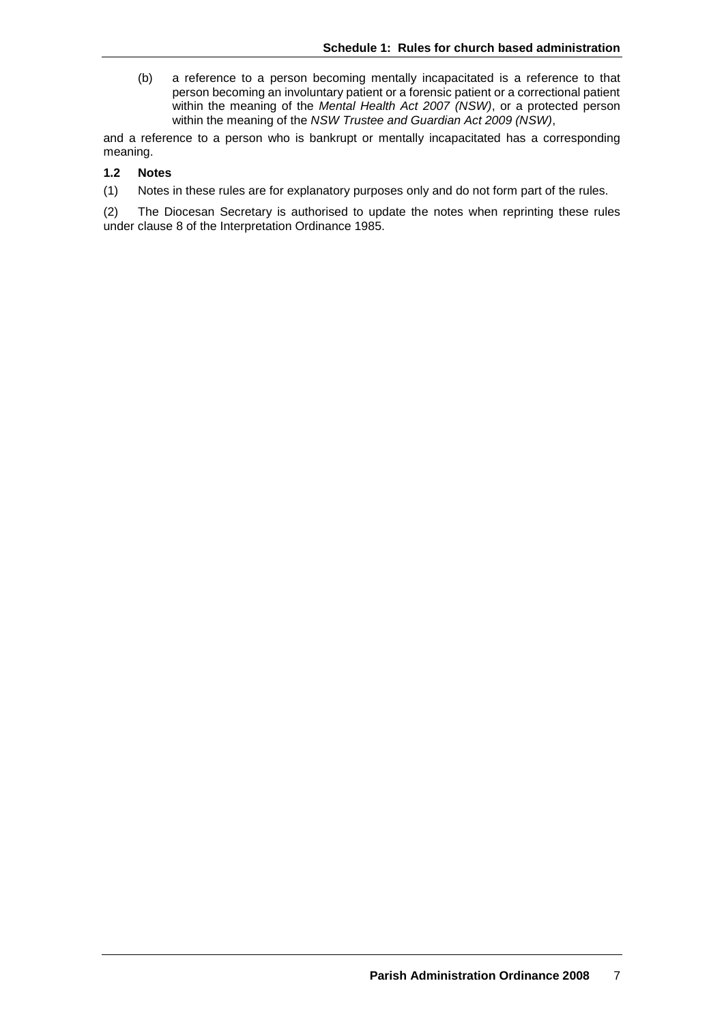(b) a reference to a person becoming mentally incapacitated is a reference to that person becoming an involuntary patient or a forensic patient or a correctional patient within the meaning of the *Mental Health Act 2007 (NSW)*, or a protected person within the meaning of the *NSW Trustee and Guardian Act 2009 (NSW)*,

and a reference to a person who is bankrupt or mentally incapacitated has a corresponding meaning.

#### **1.2 Notes**

(1) Notes in these rules are for explanatory purposes only and do not form part of the rules.

(2) The Diocesan Secretary is authorised to update the notes when reprinting these rules under clause 8 of the Interpretation Ordinance 1985.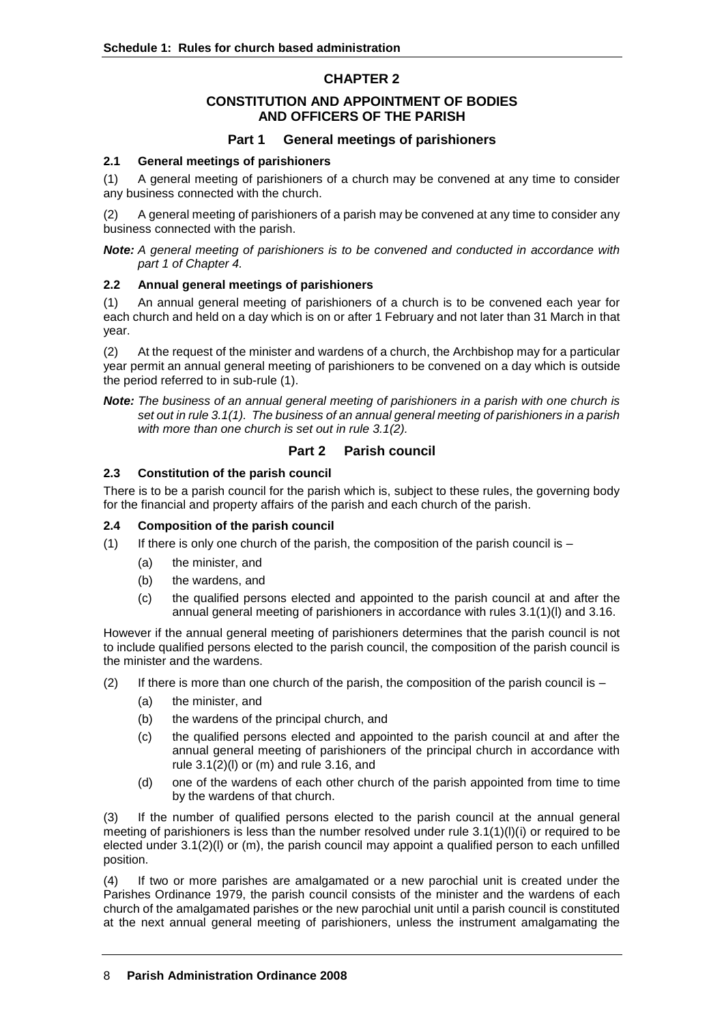# **CHAPTER 2**

# **CONSTITUTION AND APPOINTMENT OF BODIES AND OFFICERS OF THE PARISH**

# **Part 1 General meetings of parishioners**

#### **2.1 General meetings of parishioners**

(1) A general meeting of parishioners of a church may be convened at any time to consider any business connected with the church.

(2) A general meeting of parishioners of a parish may be convened at any time to consider any business connected with the parish.

*Note: A general meeting of parishioners is to be convened and conducted in accordance with part 1 of Chapter 4.*

#### **2.2 Annual general meetings of parishioners**

(1) An annual general meeting of parishioners of a church is to be convened each year for each church and held on a day which is on or after 1 February and not later than 31 March in that year.

(2) At the request of the minister and wardens of a church, the Archbishop may for a particular year permit an annual general meeting of parishioners to be convened on a day which is outside the period referred to in sub-rule (1).

*Note: The business of an annual general meeting of parishioners in a parish with one church is set out in rule 3.1(1). The business of an annual general meeting of parishioners in a parish with more than one church is set out in rule 3.1(2).*

# **Part 2 Parish council**

## **2.3 Constitution of the parish council**

There is to be a parish council for the parish which is, subject to these rules, the governing body for the financial and property affairs of the parish and each church of the parish.

## **2.4 Composition of the parish council**

- (1) If there is only one church of the parish, the composition of the parish council is  $-$ 
	- (a) the minister, and
	- (b) the wardens, and
	- (c) the qualified persons elected and appointed to the parish council at and after the annual general meeting of parishioners in accordance with rules 3.1(1)(l) and 3.16.

However if the annual general meeting of parishioners determines that the parish council is not to include qualified persons elected to the parish council, the composition of the parish council is the minister and the wardens.

- (2) If there is more than one church of the parish, the composition of the parish council is  $-$ 
	- (a) the minister, and
	- (b) the wardens of the principal church, and
	- (c) the qualified persons elected and appointed to the parish council at and after the annual general meeting of parishioners of the principal church in accordance with rule  $3.1(2)(1)$  or (m) and rule  $3.16$ , and
	- (d) one of the wardens of each other church of the parish appointed from time to time by the wardens of that church.

(3) If the number of qualified persons elected to the parish council at the annual general meeting of parishioners is less than the number resolved under rule  $3.1(1)(I)(i)$  or required to be elected under 3.1(2)(l) or (m), the parish council may appoint a qualified person to each unfilled position.

(4) If two or more parishes are amalgamated or a new parochial unit is created under the Parishes Ordinance 1979, the parish council consists of the minister and the wardens of each church of the amalgamated parishes or the new parochial unit until a parish council is constituted at the next annual general meeting of parishioners, unless the instrument amalgamating the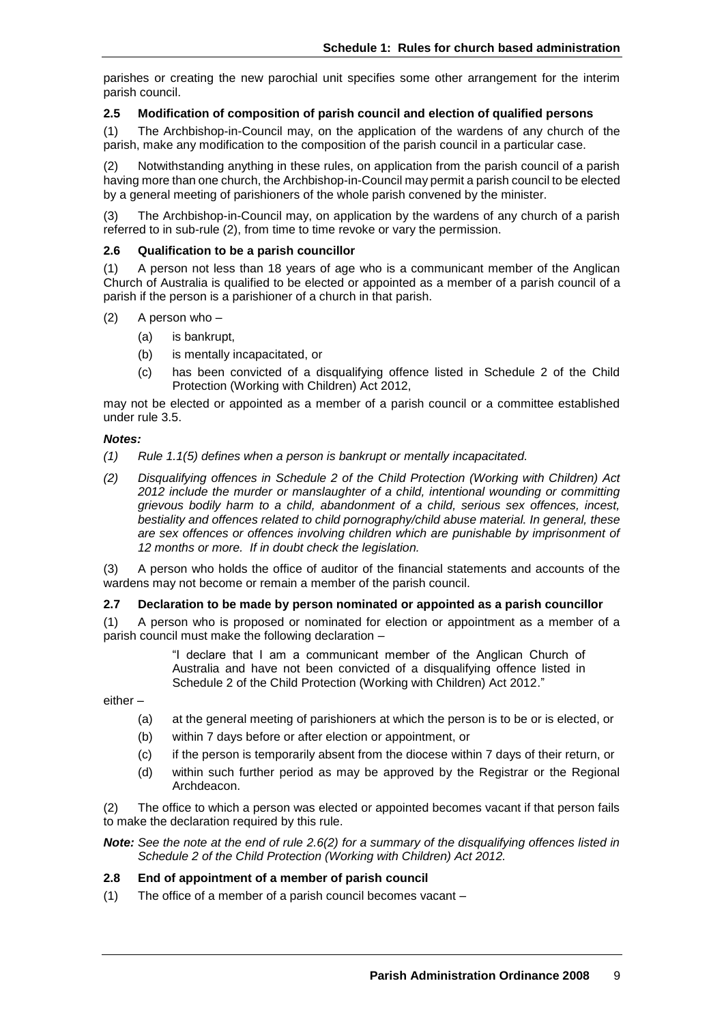parishes or creating the new parochial unit specifies some other arrangement for the interim parish council.

#### **2.5 Modification of composition of parish council and election of qualified persons**

(1) The Archbishop-in-Council may, on the application of the wardens of any church of the parish, make any modification to the composition of the parish council in a particular case.

(2) Notwithstanding anything in these rules, on application from the parish council of a parish having more than one church, the Archbishop-in-Council may permit a parish council to be elected by a general meeting of parishioners of the whole parish convened by the minister.

(3) The Archbishop-in-Council may, on application by the wardens of any church of a parish referred to in sub-rule (2), from time to time revoke or vary the permission.

#### **2.6 Qualification to be a parish councillor**

(1) A person not less than 18 years of age who is a communicant member of the Anglican Church of Australia is qualified to be elected or appointed as a member of a parish council of a parish if the person is a parishioner of a church in that parish.

- (2) A person who
	- (a) is bankrupt,
	- (b) is mentally incapacitated, or
	- (c) has been convicted of a disqualifying offence listed in Schedule 2 of the Child Protection (Working with Children) Act 2012,

may not be elected or appointed as a member of a parish council or a committee established under rule 3.5.

#### *Notes:*

- *(1) Rule 1.1(5) defines when a person is bankrupt or mentally incapacitated.*
- *(2) Disqualifying offences in Schedule 2 of the Child Protection (Working with Children) Act 2012 include the murder or manslaughter of a child, intentional wounding or committing grievous bodily harm to a child, abandonment of a child, serious sex offences, incest, bestiality and offences related to child pornography/child abuse material. In general, these are sex offences or offences involving children which are punishable by imprisonment of 12 months or more. If in doubt check the legislation.*

(3) A person who holds the office of auditor of the financial statements and accounts of the wardens may not become or remain a member of the parish council.

#### **2.7 Declaration to be made by person nominated or appointed as a parish councillor**

(1) A person who is proposed or nominated for election or appointment as a member of a parish council must make the following declaration –

> "I declare that I am a communicant member of the Anglican Church of Australia and have not been convicted of a disqualifying offence listed in Schedule 2 of the Child Protection (Working with Children) Act 2012."

either –

- (a) at the general meeting of parishioners at which the person is to be or is elected, or
- (b) within 7 days before or after election or appointment, or
- (c) if the person is temporarily absent from the diocese within 7 days of their return, or
- (d) within such further period as may be approved by the Registrar or the Regional Archdeacon.

(2) The office to which a person was elected or appointed becomes vacant if that person fails to make the declaration required by this rule.

*Note: See the note at the end of rule 2.6(2) for a summary of the disqualifying offences listed in Schedule 2 of the Child Protection (Working with Children) Act 2012.*

## **2.8 End of appointment of a member of parish council**

(1) The office of a member of a parish council becomes vacant –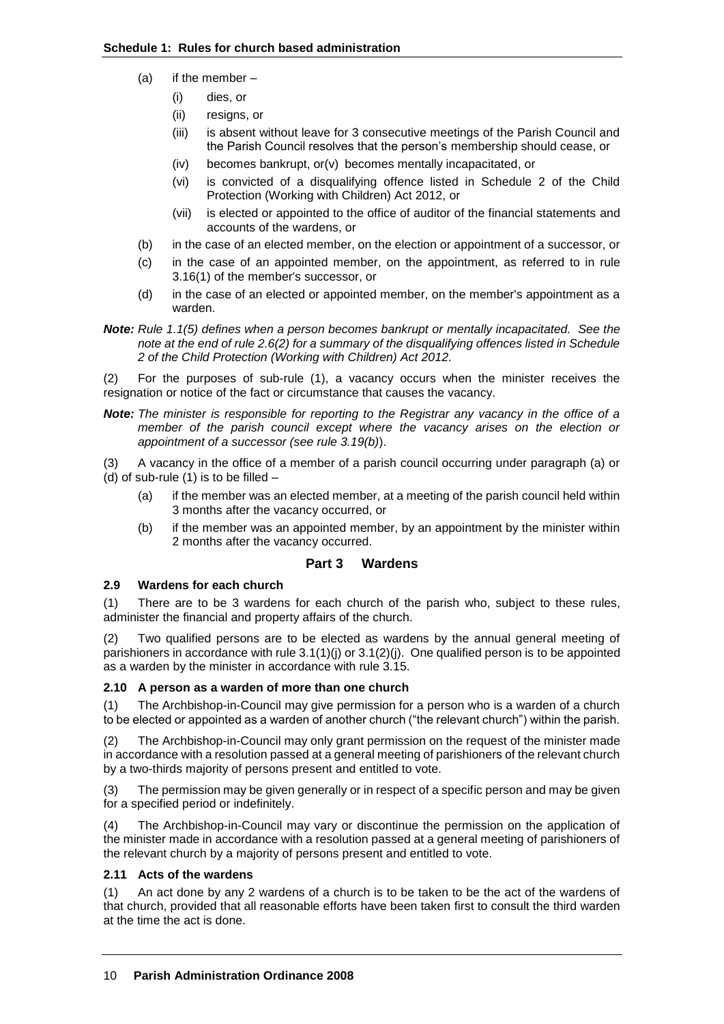- (a) if the member
	- (i) dies, or
	- (ii) resigns, or
	- (iii) is absent without leave for 3 consecutive meetings of the Parish Council and the Parish Council resolves that the person's membership should cease, or
	- (iv) becomes bankrupt, or(v) becomes mentally incapacitated, or
	- (vi) is convicted of a disqualifying offence listed in Schedule 2 of the Child Protection (Working with Children) Act 2012, or
	- (vii) is elected or appointed to the office of auditor of the financial statements and accounts of the wardens, or
- (b) in the case of an elected member, on the election or appointment of a successor, or
- (c) in the case of an appointed member, on the appointment, as referred to in rule 3.16(1) of the member's successor, or
- (d) in the case of an elected or appointed member, on the member's appointment as a warden.
- *Note: Rule 1.1(5) defines when a person becomes bankrupt or mentally incapacitated. See the note at the end of rule 2.6(2) for a summary of the disqualifying offences listed in Schedule 2 of the Child Protection (Working with Children) Act 2012.*

(2) For the purposes of sub-rule (1), a vacancy occurs when the minister receives the resignation or notice of the fact or circumstance that causes the vacancy.

*Note: The minister is responsible for reporting to the Registrar any vacancy in the office of a member of the parish council except where the vacancy arises on the election or appointment of a successor (see rule 3.19(b)*).

(3) A vacancy in the office of a member of a parish council occurring under paragraph (a) or (d) of sub-rule  $(1)$  is to be filled  $-$ 

- (a) if the member was an elected member, at a meeting of the parish council held within 3 months after the vacancy occurred, or
- (b) if the member was an appointed member, by an appointment by the minister within 2 months after the vacancy occurred.

# **Part 3 Wardens**

## **2.9 Wardens for each church**

(1) There are to be 3 wardens for each church of the parish who, subject to these rules, administer the financial and property affairs of the church.

(2) Two qualified persons are to be elected as wardens by the annual general meeting of parishioners in accordance with rule 3.1(1)(j) or 3.1(2)(j). One qualified person is to be appointed as a warden by the minister in accordance with rule 3.15.

## **2.10 A person as a warden of more than one church**

(1) The Archbishop-in-Council may give permission for a person who is a warden of a church to be elected or appointed as a warden of another church ("the relevant church") within the parish.

(2) The Archbishop-in-Council may only grant permission on the request of the minister made in accordance with a resolution passed at a general meeting of parishioners of the relevant church by a two-thirds majority of persons present and entitled to vote.

(3) The permission may be given generally or in respect of a specific person and may be given for a specified period or indefinitely.

(4) The Archbishop-in-Council may vary or discontinue the permission on the application of the minister made in accordance with a resolution passed at a general meeting of parishioners of the relevant church by a majority of persons present and entitled to vote.

## **2.11 Acts of the wardens**

(1) An act done by any 2 wardens of a church is to be taken to be the act of the wardens of that church, provided that all reasonable efforts have been taken first to consult the third warden at the time the act is done.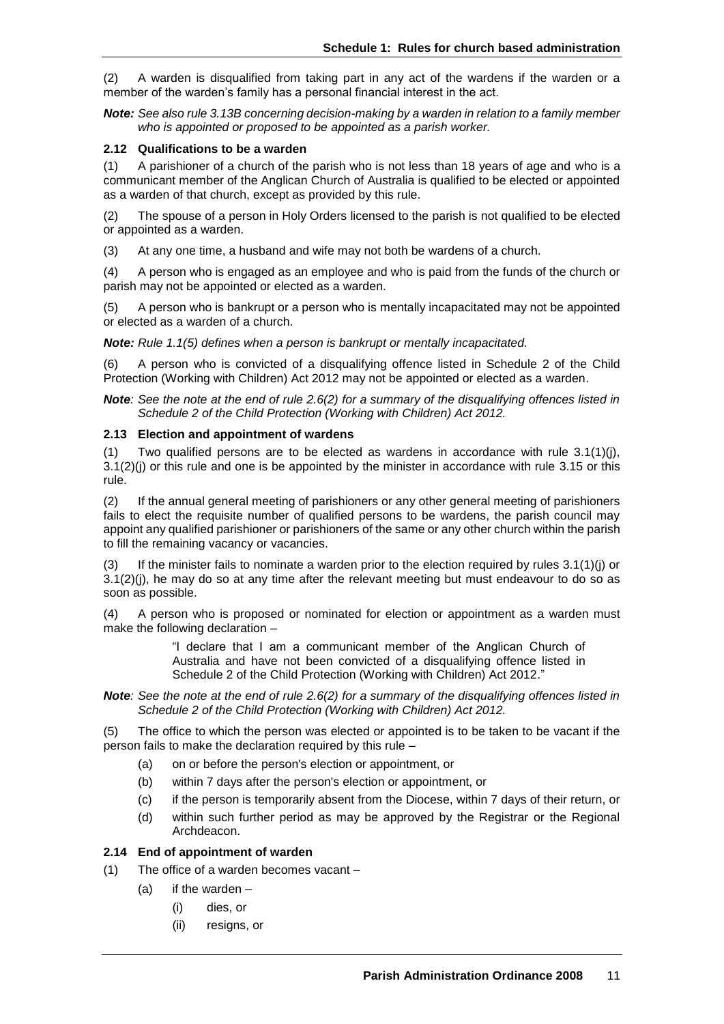(2) A warden is disqualified from taking part in any act of the wardens if the warden or a member of the warden's family has a personal financial interest in the act.

*Note: See also rule 3.13B concerning decision-making by a warden in relation to a family member who is appointed or proposed to be appointed as a parish worker.*

#### **2.12 Qualifications to be a warden**

(1) A parishioner of a church of the parish who is not less than 18 years of age and who is a communicant member of the Anglican Church of Australia is qualified to be elected or appointed as a warden of that church, except as provided by this rule.

(2) The spouse of a person in Holy Orders licensed to the parish is not qualified to be elected or appointed as a warden.

(3) At any one time, a husband and wife may not both be wardens of a church.

(4) A person who is engaged as an employee and who is paid from the funds of the church or parish may not be appointed or elected as a warden.

(5) A person who is bankrupt or a person who is mentally incapacitated may not be appointed or elected as a warden of a church.

*Note: Rule 1.1(5) defines when a person is bankrupt or mentally incapacitated.*

(6) A person who is convicted of a disqualifying offence listed in Schedule 2 of the Child Protection (Working with Children) Act 2012 may not be appointed or elected as a warden.

*Note: See the note at the end of rule 2.6(2) for a summary of the disqualifying offences listed in Schedule 2 of the Child Protection (Working with Children) Act 2012.*

#### **2.13 Election and appointment of wardens**

(1) Two qualified persons are to be elected as wardens in accordance with rule  $3.1(1)(j)$ , 3.1(2)(j) or this rule and one is be appointed by the minister in accordance with rule 3.15 or this rule.

(2) If the annual general meeting of parishioners or any other general meeting of parishioners fails to elect the requisite number of qualified persons to be wardens, the parish council may appoint any qualified parishioner or parishioners of the same or any other church within the parish to fill the remaining vacancy or vacancies.

(3) If the minister fails to nominate a warden prior to the election required by rules  $3.1(1)(j)$  or  $3.1(2)(i)$ , he may do so at any time after the relevant meeting but must endeavour to do so as soon as possible.

(4) A person who is proposed or nominated for election or appointment as a warden must make the following declaration –

> "I declare that I am a communicant member of the Anglican Church of Australia and have not been convicted of a disqualifying offence listed in Schedule 2 of the Child Protection (Working with Children) Act 2012."

*Note: See the note at the end of rule 2.6(2) for a summary of the disqualifying offences listed in Schedule 2 of the Child Protection (Working with Children) Act 2012.*

(5) The office to which the person was elected or appointed is to be taken to be vacant if the person fails to make the declaration required by this rule –

- (a) on or before the person's election or appointment, or
- (b) within 7 days after the person's election or appointment, or
- (c) if the person is temporarily absent from the Diocese, within 7 days of their return, or
- (d) within such further period as may be approved by the Registrar or the Regional Archdeacon.

#### **2.14 End of appointment of warden**

- (1) The office of a warden becomes vacant
	- $(a)$  if the warden
		- (i) dies, or
		- (ii) resigns, or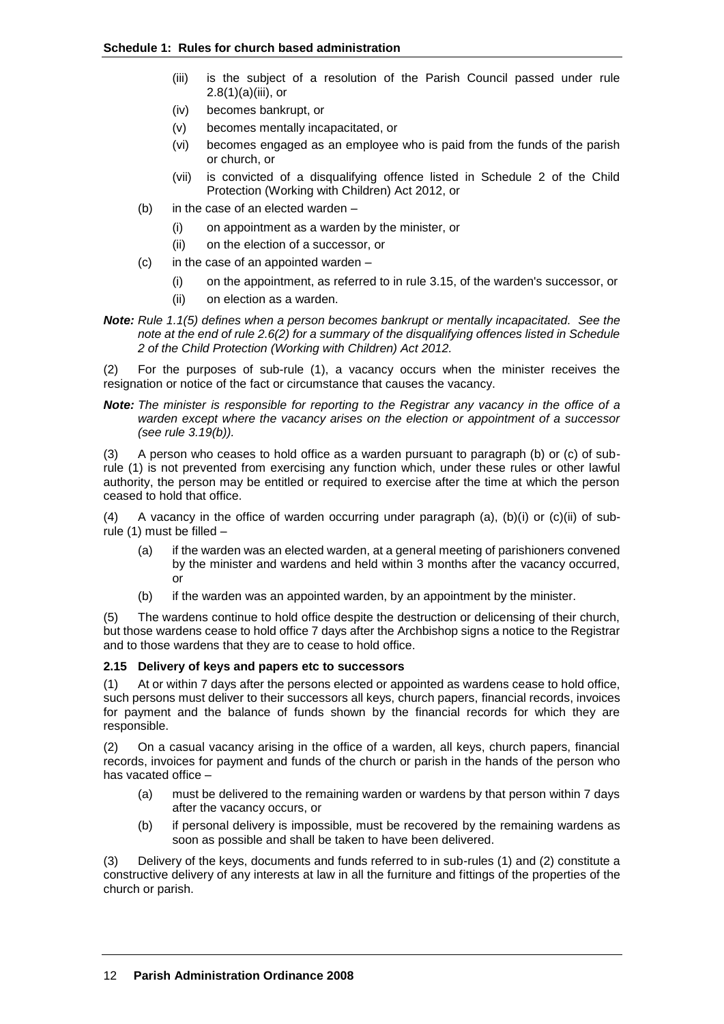- (iii) is the subject of a resolution of the Parish Council passed under rule  $2.8(1)(a)(iii)$ , or
- (iv) becomes bankrupt, or
- (v) becomes mentally incapacitated, or
- (vi) becomes engaged as an employee who is paid from the funds of the parish or church, or
- (vii) is convicted of a disqualifying offence listed in Schedule 2 of the Child Protection (Working with Children) Act 2012, or
- (b) in the case of an elected warden
	- (i) on appointment as a warden by the minister, or
	- (ii) on the election of a successor, or
- $(c)$  in the case of an appointed warden
	- (i) on the appointment, as referred to in rule 3.15, of the warden's successor, or
	- (ii) on election as a warden.
- *Note: Rule 1.1(5) defines when a person becomes bankrupt or mentally incapacitated. See the note at the end of rule 2.6(2) for a summary of the disqualifying offences listed in Schedule 2 of the Child Protection (Working with Children) Act 2012.*

(2) For the purposes of sub-rule (1), a vacancy occurs when the minister receives the resignation or notice of the fact or circumstance that causes the vacancy.

*Note: The minister is responsible for reporting to the Registrar any vacancy in the office of a warden except where the vacancy arises on the election or appointment of a successor (see rule 3.19(b)).*

(3) A person who ceases to hold office as a warden pursuant to paragraph (b) or (c) of subrule (1) is not prevented from exercising any function which, under these rules or other lawful authority, the person may be entitled or required to exercise after the time at which the person ceased to hold that office.

(4) A vacancy in the office of warden occurring under paragraph (a),  $(b)(i)$  or  $(c)(ii)$  of subrule (1) must be filled –

- (a) if the warden was an elected warden, at a general meeting of parishioners convened by the minister and wardens and held within 3 months after the vacancy occurred, or
- (b) if the warden was an appointed warden, by an appointment by the minister.

(5) The wardens continue to hold office despite the destruction or delicensing of their church, but those wardens cease to hold office 7 days after the Archbishop signs a notice to the Registrar and to those wardens that they are to cease to hold office.

## **2.15 Delivery of keys and papers etc to successors**

(1) At or within 7 days after the persons elected or appointed as wardens cease to hold office, such persons must deliver to their successors all keys, church papers, financial records, invoices for payment and the balance of funds shown by the financial records for which they are responsible.

(2) On a casual vacancy arising in the office of a warden, all keys, church papers, financial records, invoices for payment and funds of the church or parish in the hands of the person who has vacated office –

- (a) must be delivered to the remaining warden or wardens by that person within 7 days after the vacancy occurs, or
- (b) if personal delivery is impossible, must be recovered by the remaining wardens as soon as possible and shall be taken to have been delivered.

(3) Delivery of the keys, documents and funds referred to in sub-rules (1) and (2) constitute a constructive delivery of any interests at law in all the furniture and fittings of the properties of the church or parish.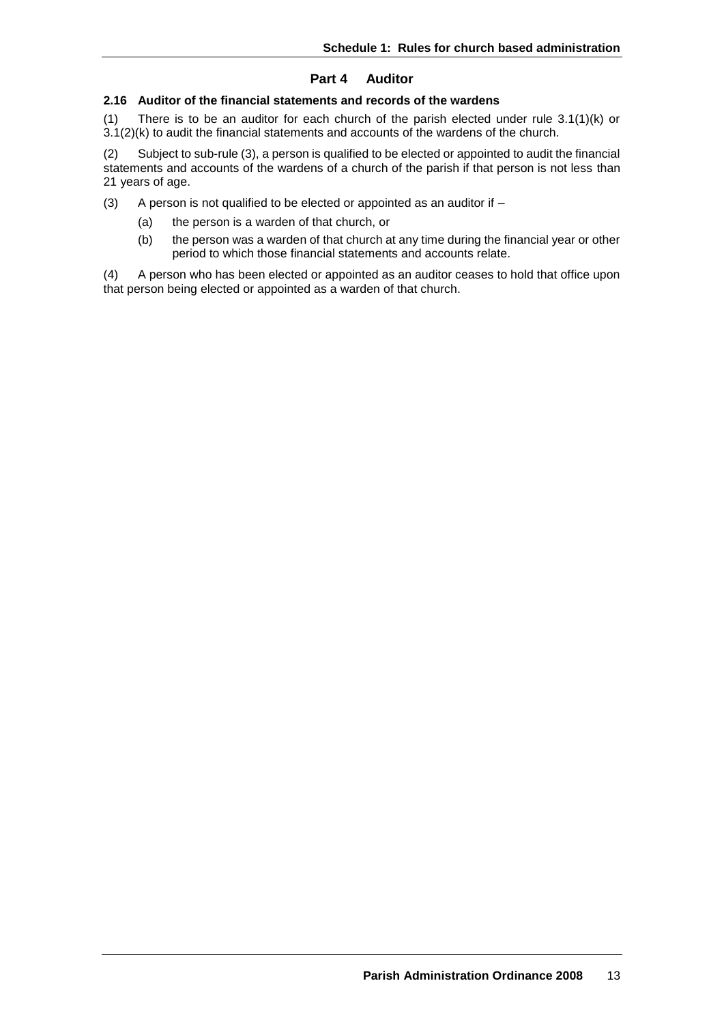# **Part 4 Auditor**

# **2.16 Auditor of the financial statements and records of the wardens**

(1) There is to be an auditor for each church of the parish elected under rule 3.1(1)(k) or 3.1(2)(k) to audit the financial statements and accounts of the wardens of the church.

(2) Subject to sub-rule (3), a person is qualified to be elected or appointed to audit the financial statements and accounts of the wardens of a church of the parish if that person is not less than 21 years of age.

(3) A person is not qualified to be elected or appointed as an auditor if  $-$ 

- (a) the person is a warden of that church, or
- (b) the person was a warden of that church at any time during the financial year or other period to which those financial statements and accounts relate.

(4) A person who has been elected or appointed as an auditor ceases to hold that office upon that person being elected or appointed as a warden of that church.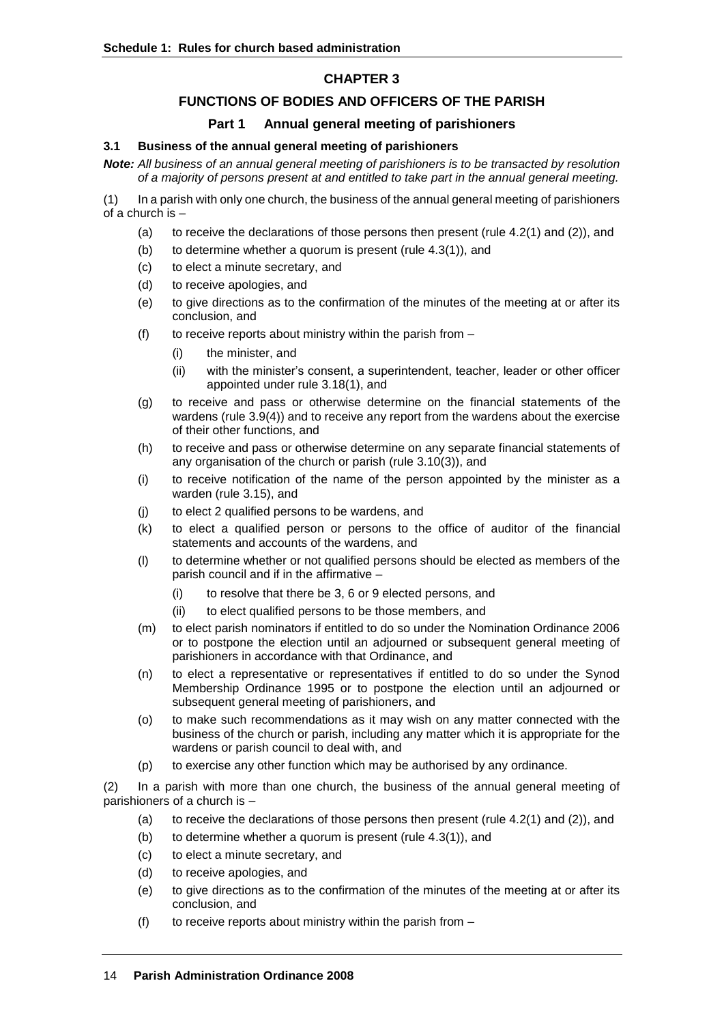# **CHAPTER 3**

# **FUNCTIONS OF BODIES AND OFFICERS OF THE PARISH**

## **Part 1 Annual general meeting of parishioners**

## **3.1 Business of the annual general meeting of parishioners**

*Note: All business of an annual general meeting of parishioners is to be transacted by resolution of a majority of persons present at and entitled to take part in the annual general meeting.*

(1) In a parish with only one church, the business of the annual general meeting of parishioners of a church is –

- (a) to receive the declarations of those persons then present (rule 4.2(1) and (2)), and
- (b) to determine whether a quorum is present (rule 4.3(1)), and
- (c) to elect a minute secretary, and
- (d) to receive apologies, and
- (e) to give directions as to the confirmation of the minutes of the meeting at or after its conclusion, and
- (f) to receive reports about ministry within the parish from  $-$ 
	- (i) the minister, and
	- (ii) with the minister's consent, a superintendent, teacher, leader or other officer appointed under rule 3.18(1), and
- (g) to receive and pass or otherwise determine on the financial statements of the wardens (rule 3.9(4)) and to receive any report from the wardens about the exercise of their other functions, and
- (h) to receive and pass or otherwise determine on any separate financial statements of any organisation of the church or parish (rule 3.10(3)), and
- (i) to receive notification of the name of the person appointed by the minister as a warden (rule 3.15), and
- (j) to elect 2 qualified persons to be wardens, and
- (k) to elect a qualified person or persons to the office of auditor of the financial statements and accounts of the wardens, and
- (l) to determine whether or not qualified persons should be elected as members of the parish council and if in the affirmative –
	- (i) to resolve that there be 3, 6 or 9 elected persons, and
	- (ii) to elect qualified persons to be those members, and
- (m) to elect parish nominators if entitled to do so under the Nomination Ordinance 2006 or to postpone the election until an adjourned or subsequent general meeting of parishioners in accordance with that Ordinance, and
- (n) to elect a representative or representatives if entitled to do so under the Synod Membership Ordinance 1995 or to postpone the election until an adjourned or subsequent general meeting of parishioners, and
- (o) to make such recommendations as it may wish on any matter connected with the business of the church or parish, including any matter which it is appropriate for the wardens or parish council to deal with, and
- (p) to exercise any other function which may be authorised by any ordinance.

(2) In a parish with more than one church, the business of the annual general meeting of parishioners of a church is –

- (a) to receive the declarations of those persons then present (rule  $4.2(1)$  and  $(2)$ ), and
- (b) to determine whether a quorum is present (rule 4.3(1)), and
- (c) to elect a minute secretary, and
- (d) to receive apologies, and
- (e) to give directions as to the confirmation of the minutes of the meeting at or after its conclusion, and
- (f) to receive reports about ministry within the parish from  $-$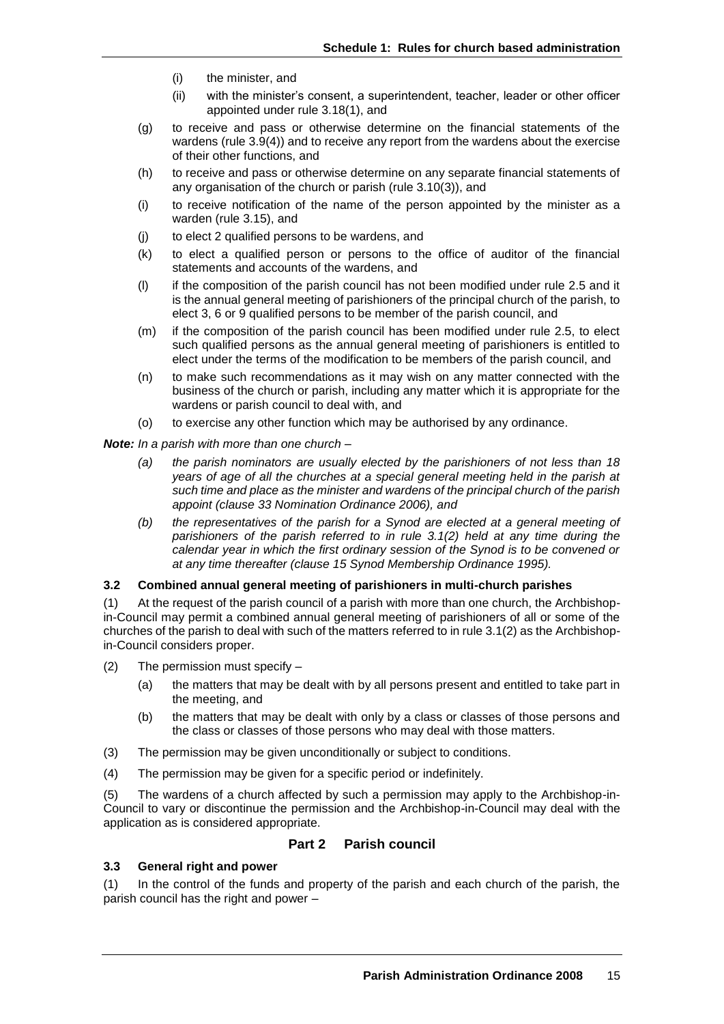- (i) the minister, and
- (ii) with the minister's consent, a superintendent, teacher, leader or other officer appointed under rule 3.18(1), and
- (g) to receive and pass or otherwise determine on the financial statements of the wardens (rule 3.9(4)) and to receive any report from the wardens about the exercise of their other functions, and
- (h) to receive and pass or otherwise determine on any separate financial statements of any organisation of the church or parish (rule 3.10(3)), and
- (i) to receive notification of the name of the person appointed by the minister as a warden (rule 3.15), and
- (j) to elect 2 qualified persons to be wardens, and
- (k) to elect a qualified person or persons to the office of auditor of the financial statements and accounts of the wardens, and
- (l) if the composition of the parish council has not been modified under rule 2.5 and it is the annual general meeting of parishioners of the principal church of the parish, to elect 3, 6 or 9 qualified persons to be member of the parish council, and
- (m) if the composition of the parish council has been modified under rule 2.5, to elect such qualified persons as the annual general meeting of parishioners is entitled to elect under the terms of the modification to be members of the parish council, and
- (n) to make such recommendations as it may wish on any matter connected with the business of the church or parish, including any matter which it is appropriate for the wardens or parish council to deal with, and
- (o) to exercise any other function which may be authorised by any ordinance.

*Note: In a parish with more than one church –*

- *(a) the parish nominators are usually elected by the parishioners of not less than 18 years of age of all the churches at a special general meeting held in the parish at such time and place as the minister and wardens of the principal church of the parish appoint (clause 33 Nomination Ordinance 2006), and*
- *(b) the representatives of the parish for a Synod are elected at a general meeting of parishioners of the parish referred to in rule 3.1(2) held at any time during the calendar year in which the first ordinary session of the Synod is to be convened or at any time thereafter (clause 15 Synod Membership Ordinance 1995).*

## **3.2 Combined annual general meeting of parishioners in multi-church parishes**

(1) At the request of the parish council of a parish with more than one church, the Archbishopin-Council may permit a combined annual general meeting of parishioners of all or some of the churches of the parish to deal with such of the matters referred to in rule 3.1(2) as the Archbishopin-Council considers proper.

- (2) The permission must specify
	- (a) the matters that may be dealt with by all persons present and entitled to take part in the meeting, and
	- (b) the matters that may be dealt with only by a class or classes of those persons and the class or classes of those persons who may deal with those matters.
- (3) The permission may be given unconditionally or subject to conditions.
- (4) The permission may be given for a specific period or indefinitely.

(5) The wardens of a church affected by such a permission may apply to the Archbishop-in-Council to vary or discontinue the permission and the Archbishop-in-Council may deal with the application as is considered appropriate.

## **Part 2 Parish council**

## **3.3 General right and power**

(1) In the control of the funds and property of the parish and each church of the parish, the parish council has the right and power –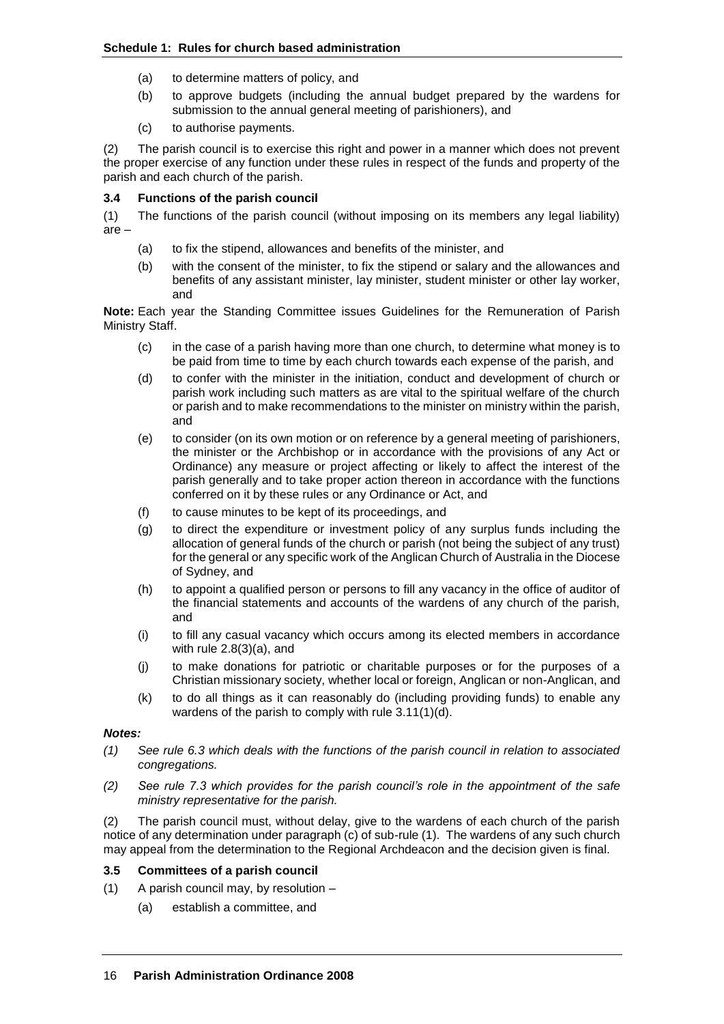- (a) to determine matters of policy, and
- (b) to approve budgets (including the annual budget prepared by the wardens for submission to the annual general meeting of parishioners), and
- (c) to authorise payments.

(2) The parish council is to exercise this right and power in a manner which does not prevent the proper exercise of any function under these rules in respect of the funds and property of the parish and each church of the parish.

# **3.4 Functions of the parish council**

(1) The functions of the parish council (without imposing on its members any legal liability) are –

- (a) to fix the stipend, allowances and benefits of the minister, and
- (b) with the consent of the minister, to fix the stipend or salary and the allowances and benefits of any assistant minister, lay minister, student minister or other lay worker, and

**Note:** Each year the Standing Committee issues Guidelines for the Remuneration of Parish Ministry Staff.

- (c) in the case of a parish having more than one church, to determine what money is to be paid from time to time by each church towards each expense of the parish, and
- (d) to confer with the minister in the initiation, conduct and development of church or parish work including such matters as are vital to the spiritual welfare of the church or parish and to make recommendations to the minister on ministry within the parish, and
- (e) to consider (on its own motion or on reference by a general meeting of parishioners, the minister or the Archbishop or in accordance with the provisions of any Act or Ordinance) any measure or project affecting or likely to affect the interest of the parish generally and to take proper action thereon in accordance with the functions conferred on it by these rules or any Ordinance or Act, and
- (f) to cause minutes to be kept of its proceedings, and
- (g) to direct the expenditure or investment policy of any surplus funds including the allocation of general funds of the church or parish (not being the subject of any trust) for the general or any specific work of the Anglican Church of Australia in the Diocese of Sydney, and
- (h) to appoint a qualified person or persons to fill any vacancy in the office of auditor of the financial statements and accounts of the wardens of any church of the parish, and
- (i) to fill any casual vacancy which occurs among its elected members in accordance with rule 2.8(3)(a), and
- (j) to make donations for patriotic or charitable purposes or for the purposes of a Christian missionary society, whether local or foreign, Anglican or non-Anglican, and
- (k) to do all things as it can reasonably do (including providing funds) to enable any wardens of the parish to comply with rule 3.11(1)(d).

## *Notes:*

- *(1) See rule 6.3 which deals with the functions of the parish council in relation to associated congregations.*
- *(2) See rule 7.3 which provides for the parish council's role in the appointment of the safe ministry representative for the parish.*

(2) The parish council must, without delay, give to the wardens of each church of the parish notice of any determination under paragraph (c) of sub-rule (1). The wardens of any such church may appeal from the determination to the Regional Archdeacon and the decision given is final.

## **3.5 Committees of a parish council**

- (1) A parish council may, by resolution
	- (a) establish a committee, and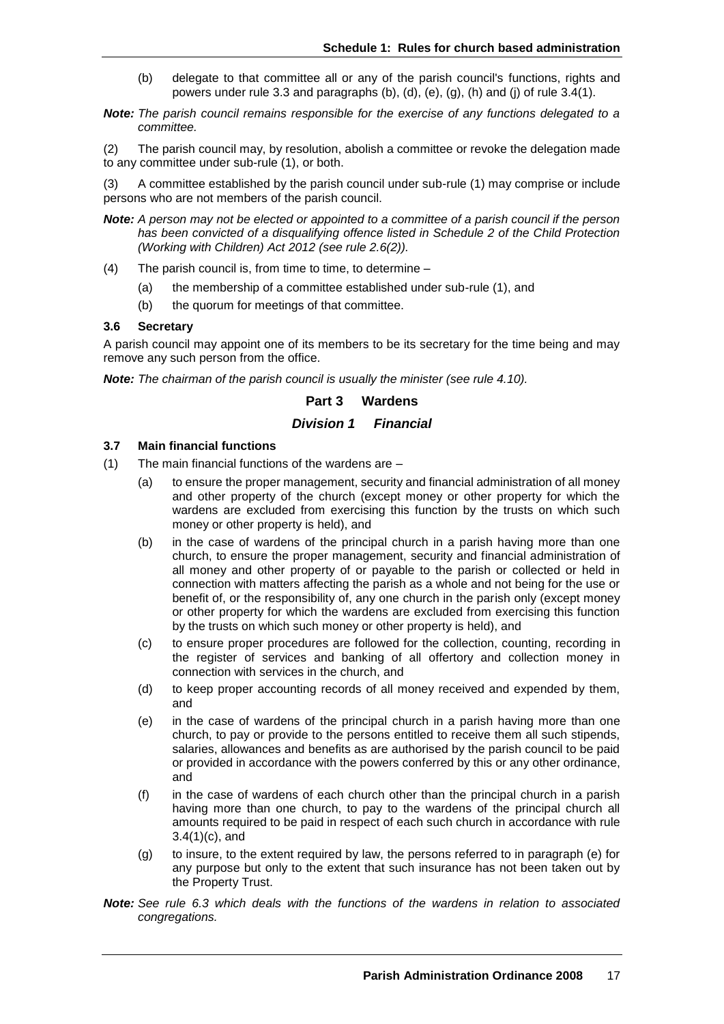- (b) delegate to that committee all or any of the parish council's functions, rights and powers under rule 3.3 and paragraphs (b), (d), (e), (g), (h) and (j) of rule 3.4(1).
- *Note: The parish council remains responsible for the exercise of any functions delegated to a committee.*

(2) The parish council may, by resolution, abolish a committee or revoke the delegation made to any committee under sub-rule (1), or both.

(3) A committee established by the parish council under sub-rule (1) may comprise or include persons who are not members of the parish council.

*Note: A person may not be elected or appointed to a committee of a parish council if the person has been convicted of a disqualifying offence listed in Schedule 2 of the Child Protection (Working with Children) Act 2012 (see rule 2.6(2)).*

- (4) The parish council is, from time to time, to determine
	- (a) the membership of a committee established under sub-rule (1), and
	- (b) the quorum for meetings of that committee.

#### **3.6 Secretary**

A parish council may appoint one of its members to be its secretary for the time being and may remove any such person from the office.

*Note: The chairman of the parish council is usually the minister (see rule 4.10).*

## **Part 3 Wardens**

## *Division 1 Financial*

# **3.7 Main financial functions**

- (1) The main financial functions of the wardens are
	- (a) to ensure the proper management, security and financial administration of all money and other property of the church (except money or other property for which the wardens are excluded from exercising this function by the trusts on which such money or other property is held), and
	- (b) in the case of wardens of the principal church in a parish having more than one church, to ensure the proper management, security and financial administration of all money and other property of or payable to the parish or collected or held in connection with matters affecting the parish as a whole and not being for the use or benefit of, or the responsibility of, any one church in the parish only (except money or other property for which the wardens are excluded from exercising this function by the trusts on which such money or other property is held), and
	- (c) to ensure proper procedures are followed for the collection, counting, recording in the register of services and banking of all offertory and collection money in connection with services in the church, and
	- (d) to keep proper accounting records of all money received and expended by them, and
	- (e) in the case of wardens of the principal church in a parish having more than one church, to pay or provide to the persons entitled to receive them all such stipends, salaries, allowances and benefits as are authorised by the parish council to be paid or provided in accordance with the powers conferred by this or any other ordinance, and
	- (f) in the case of wardens of each church other than the principal church in a parish having more than one church, to pay to the wardens of the principal church all amounts required to be paid in respect of each such church in accordance with rule 3.4(1)(c), and
	- (g) to insure, to the extent required by law, the persons referred to in paragraph (e) for any purpose but only to the extent that such insurance has not been taken out by the Property Trust.
- *Note: See rule 6.3 which deals with the functions of the wardens in relation to associated congregations.*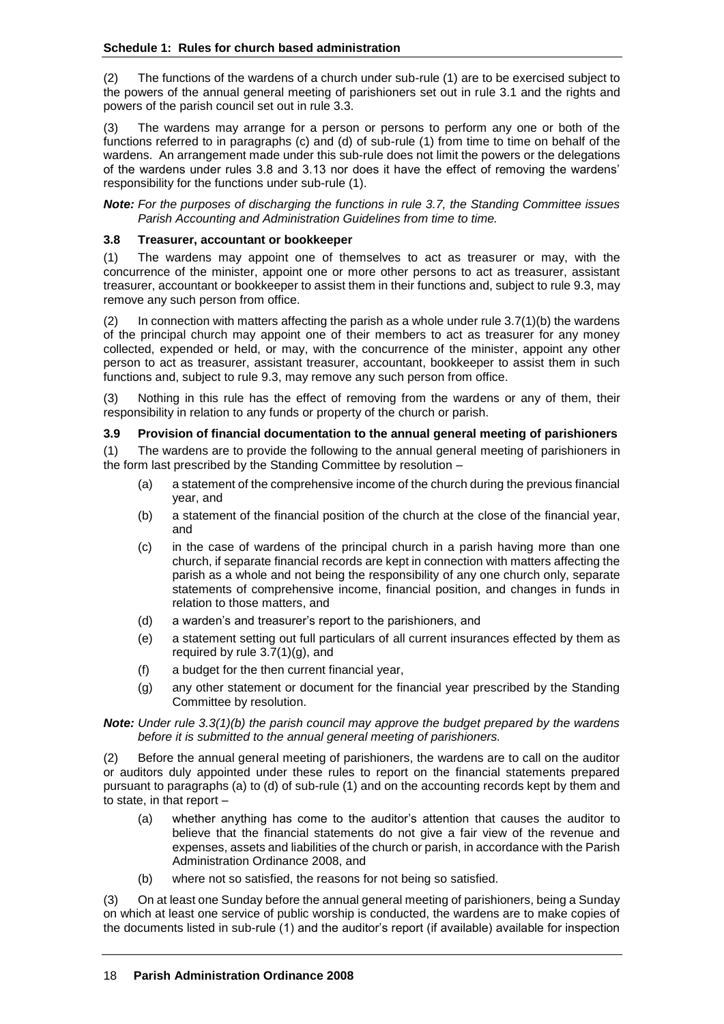(2) The functions of the wardens of a church under sub-rule (1) are to be exercised subject to the powers of the annual general meeting of parishioners set out in rule 3.1 and the rights and powers of the parish council set out in rule 3.3.

(3) The wardens may arrange for a person or persons to perform any one or both of the functions referred to in paragraphs (c) and (d) of sub-rule (1) from time to time on behalf of the wardens. An arrangement made under this sub-rule does not limit the powers or the delegations of the wardens under rules 3.8 and 3.13 nor does it have the effect of removing the wardens' responsibility for the functions under sub-rule (1).

*Note: For the purposes of discharging the functions in rule 3.7, the Standing Committee issues Parish Accounting and Administration Guidelines from time to time.*

#### **3.8 Treasurer, accountant or bookkeeper**

(1) The wardens may appoint one of themselves to act as treasurer or may, with the concurrence of the minister, appoint one or more other persons to act as treasurer, assistant treasurer, accountant or bookkeeper to assist them in their functions and, subject to rule 9.3, may remove any such person from office.

 $(2)$  In connection with matters affecting the parish as a whole under rule 3.7(1)(b) the wardens of the principal church may appoint one of their members to act as treasurer for any money collected, expended or held, or may, with the concurrence of the minister, appoint any other person to act as treasurer, assistant treasurer, accountant, bookkeeper to assist them in such functions and, subject to rule 9.3, may remove any such person from office.

(3) Nothing in this rule has the effect of removing from the wardens or any of them, their responsibility in relation to any funds or property of the church or parish.

#### **3.9 Provision of financial documentation to the annual general meeting of parishioners**

(1) The wardens are to provide the following to the annual general meeting of parishioners in the form last prescribed by the Standing Committee by resolution –

- (a) a statement of the comprehensive income of the church during the previous financial year, and
- (b) a statement of the financial position of the church at the close of the financial year, and
- (c) in the case of wardens of the principal church in a parish having more than one church, if separate financial records are kept in connection with matters affecting the parish as a whole and not being the responsibility of any one church only, separate statements of comprehensive income, financial position, and changes in funds in relation to those matters, and
- (d) a warden's and treasurer's report to the parishioners, and
- (e) a statement setting out full particulars of all current insurances effected by them as required by rule 3.7(1)(g), and
- (f) a budget for the then current financial year,
- (g) any other statement or document for the financial year prescribed by the Standing Committee by resolution.

#### *Note: Under rule 3.3(1)(b) the parish council may approve the budget prepared by the wardens before it is submitted to the annual general meeting of parishioners.*

(2) Before the annual general meeting of parishioners, the wardens are to call on the auditor or auditors duly appointed under these rules to report on the financial statements prepared pursuant to paragraphs (a) to (d) of sub-rule (1) and on the accounting records kept by them and to state, in that report –

- (a) whether anything has come to the auditor's attention that causes the auditor to believe that the financial statements do not give a fair view of the revenue and expenses, assets and liabilities of the church or parish, in accordance with the Parish Administration Ordinance 2008, and
- (b) where not so satisfied, the reasons for not being so satisfied.

(3) On at least one Sunday before the annual general meeting of parishioners, being a Sunday on which at least one service of public worship is conducted, the wardens are to make copies of the documents listed in sub-rule (1) and the auditor's report (if available) available for inspection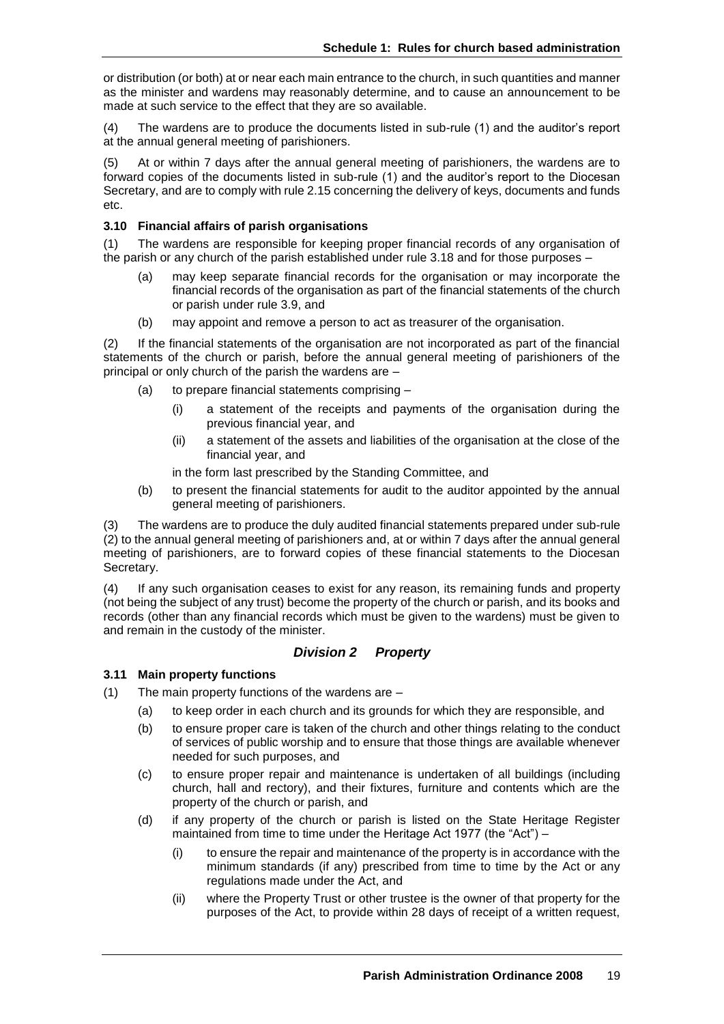or distribution (or both) at or near each main entrance to the church, in such quantities and manner as the minister and wardens may reasonably determine, and to cause an announcement to be made at such service to the effect that they are so available.

(4) The wardens are to produce the documents listed in sub-rule (1) and the auditor's report at the annual general meeting of parishioners.

At or within 7 days after the annual general meeting of parishioners, the wardens are to forward copies of the documents listed in sub-rule (1) and the auditor's report to the Diocesan Secretary, and are to comply with rule 2.15 concerning the delivery of keys, documents and funds etc.

## **3.10 Financial affairs of parish organisations**

(1) The wardens are responsible for keeping proper financial records of any organisation of the parish or any church of the parish established under rule 3.18 and for those purposes –

- (a) may keep separate financial records for the organisation or may incorporate the financial records of the organisation as part of the financial statements of the church or parish under rule 3.9, and
- (b) may appoint and remove a person to act as treasurer of the organisation.

(2) If the financial statements of the organisation are not incorporated as part of the financial statements of the church or parish, before the annual general meeting of parishioners of the principal or only church of the parish the wardens are –

- (a) to prepare financial statements comprising
	- (i) a statement of the receipts and payments of the organisation during the previous financial year, and
	- (ii) a statement of the assets and liabilities of the organisation at the close of the financial year, and

in the form last prescribed by the Standing Committee, and

(b) to present the financial statements for audit to the auditor appointed by the annual general meeting of parishioners.

(3) The wardens are to produce the duly audited financial statements prepared under sub-rule (2) to the annual general meeting of parishioners and, at or within 7 days after the annual general meeting of parishioners, are to forward copies of these financial statements to the Diocesan Secretary.

(4) If any such organisation ceases to exist for any reason, its remaining funds and property (not being the subject of any trust) become the property of the church or parish, and its books and records (other than any financial records which must be given to the wardens) must be given to and remain in the custody of the minister.

## *Division 2 Property*

## **3.11 Main property functions**

- (1) The main property functions of the wardens are
	- (a) to keep order in each church and its grounds for which they are responsible, and
	- (b) to ensure proper care is taken of the church and other things relating to the conduct of services of public worship and to ensure that those things are available whenever needed for such purposes, and
	- (c) to ensure proper repair and maintenance is undertaken of all buildings (including church, hall and rectory), and their fixtures, furniture and contents which are the property of the church or parish, and
	- (d) if any property of the church or parish is listed on the State Heritage Register maintained from time to time under the Heritage Act 1977 (the "Act") –
		- (i) to ensure the repair and maintenance of the property is in accordance with the minimum standards (if any) prescribed from time to time by the Act or any regulations made under the Act, and
		- (ii) where the Property Trust or other trustee is the owner of that property for the purposes of the Act, to provide within 28 days of receipt of a written request,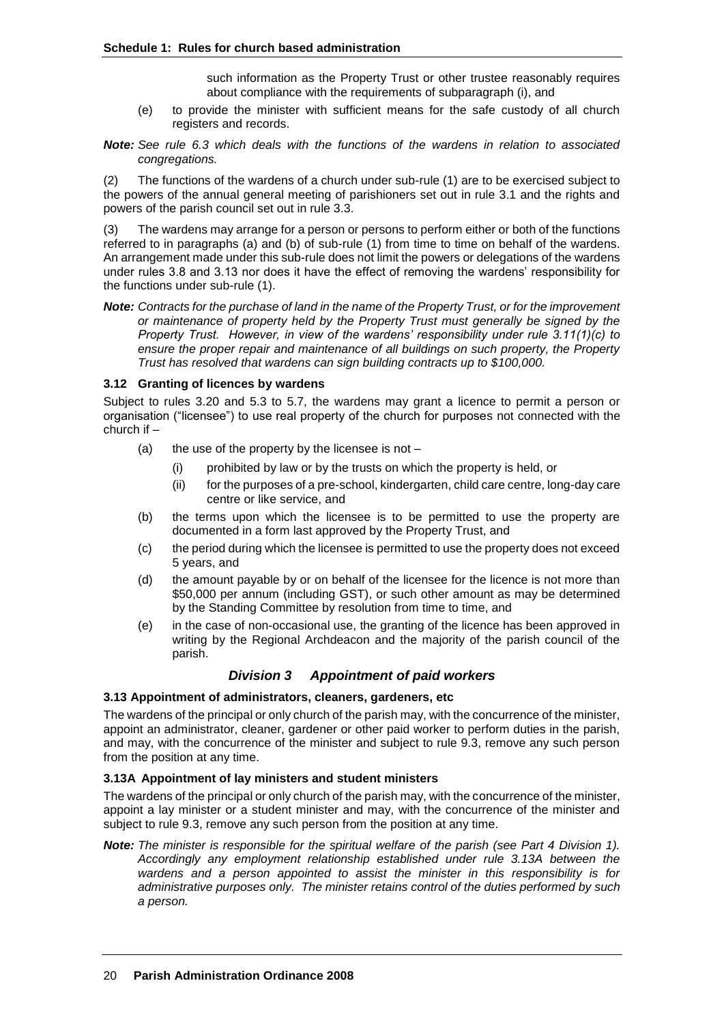such information as the Property Trust or other trustee reasonably requires about compliance with the requirements of subparagraph (i), and

- (e) to provide the minister with sufficient means for the safe custody of all church registers and records.
- *Note: See rule 6.3 which deals with the functions of the wardens in relation to associated congregations.*

(2) The functions of the wardens of a church under sub-rule (1) are to be exercised subject to the powers of the annual general meeting of parishioners set out in rule 3.1 and the rights and powers of the parish council set out in rule 3.3.

(3) The wardens may arrange for a person or persons to perform either or both of the functions referred to in paragraphs (a) and (b) of sub-rule (1) from time to time on behalf of the wardens. An arrangement made under this sub-rule does not limit the powers or delegations of the wardens under rules 3.8 and 3.13 nor does it have the effect of removing the wardens' responsibility for the functions under sub-rule (1).

*Note: Contracts for the purchase of land in the name of the Property Trust, or for the improvement or maintenance of property held by the Property Trust must generally be signed by the Property Trust. However, in view of the wardens' responsibility under rule 3.11(1)(c) to ensure the proper repair and maintenance of all buildings on such property, the Property Trust has resolved that wardens can sign building contracts up to \$100,000.*

#### **3.12 Granting of licences by wardens**

Subject to rules 3.20 and 5.3 to 5.7, the wardens may grant a licence to permit a person or organisation ("licensee") to use real property of the church for purposes not connected with the church if –

- (a) the use of the property by the licensee is not  $-$ 
	- (i) prohibited by law or by the trusts on which the property is held, or
	- (ii) for the purposes of a pre-school, kindergarten, child care centre, long-day care centre or like service, and
- (b) the terms upon which the licensee is to be permitted to use the property are documented in a form last approved by the Property Trust, and
- (c) the period during which the licensee is permitted to use the property does not exceed 5 years, and
- (d) the amount payable by or on behalf of the licensee for the licence is not more than \$50,000 per annum (including GST), or such other amount as may be determined by the Standing Committee by resolution from time to time, and
- (e) in the case of non-occasional use, the granting of the licence has been approved in writing by the Regional Archdeacon and the majority of the parish council of the parish.

# *Division 3 Appointment of paid workers*

#### **3.13 Appointment of administrators, cleaners, gardeners, etc**

The wardens of the principal or only church of the parish may, with the concurrence of the minister, appoint an administrator, cleaner, gardener or other paid worker to perform duties in the parish, and may, with the concurrence of the minister and subject to rule 9.3, remove any such person from the position at any time.

#### **3.13A Appointment of lay ministers and student ministers**

The wardens of the principal or only church of the parish may, with the concurrence of the minister, appoint a lay minister or a student minister and may, with the concurrence of the minister and subject to rule 9.3, remove any such person from the position at any time.

*Note: The minister is responsible for the spiritual welfare of the parish (see Part 4 Division 1). Accordingly any employment relationship established under rule 3.13A between the wardens and a person appointed to assist the minister in this responsibility is for administrative purposes only. The minister retains control of the duties performed by such a person.*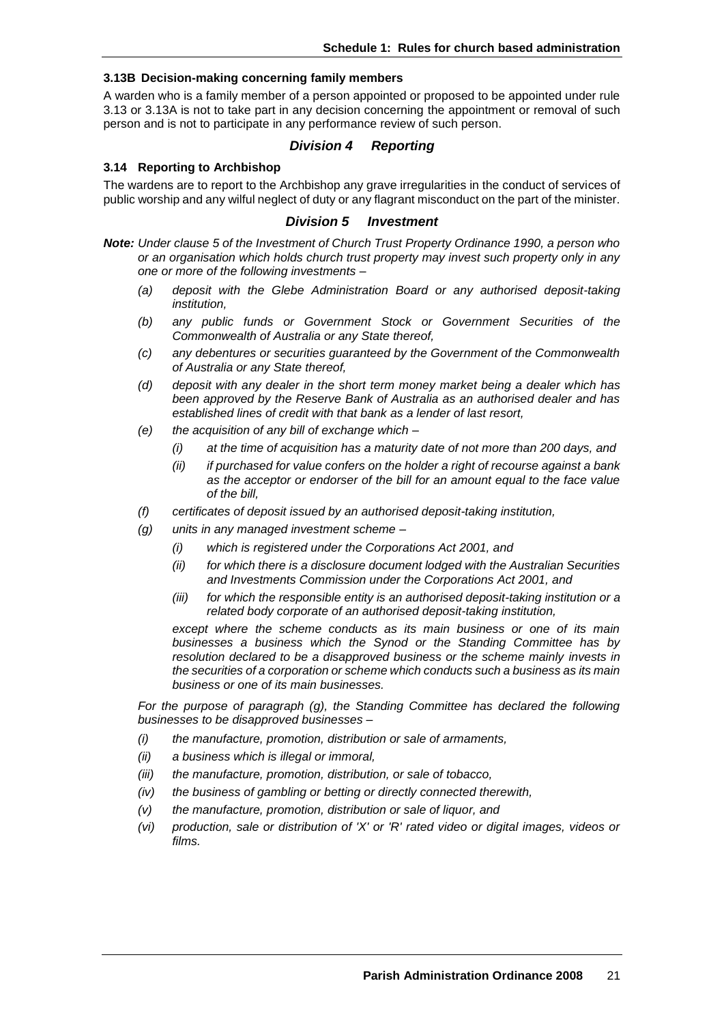#### **3.13B Decision-making concerning family members**

A warden who is a family member of a person appointed or proposed to be appointed under rule 3.13 or 3.13A is not to take part in any decision concerning the appointment or removal of such person and is not to participate in any performance review of such person.

#### *Division 4 Reporting*

#### **3.14 Reporting to Archbishop**

The wardens are to report to the Archbishop any grave irregularities in the conduct of services of public worship and any wilful neglect of duty or any flagrant misconduct on the part of the minister.

#### *Division 5 Investment*

- *Note: Under clause 5 of the Investment of Church Trust Property Ordinance 1990, a person who or an organisation which holds church trust property may invest such property only in any one or more of the following investments –*
	- *(a) deposit with the Glebe Administration Board or any authorised deposit-taking institution,*
	- *(b) any public funds or Government Stock or Government Securities of the Commonwealth of Australia or any State thereof,*
	- *(c) any debentures or securities guaranteed by the Government of the Commonwealth of Australia or any State thereof,*
	- *(d) deposit with any dealer in the short term money market being a dealer which has been approved by the Reserve Bank of Australia as an authorised dealer and has established lines of credit with that bank as a lender of last resort,*
	- *(e) the acquisition of any bill of exchange which –*
		- *(i) at the time of acquisition has a maturity date of not more than 200 days, and*
		- *(ii) if purchased for value confers on the holder a right of recourse against a bank as the acceptor or endorser of the bill for an amount equal to the face value of the bill,*
	- *(f) certificates of deposit issued by an authorised deposit-taking institution,*
	- *(g) units in any managed investment scheme –*
		- *(i) which is registered under the Corporations Act 2001, and*
		- *(ii) for which there is a disclosure document lodged with the Australian Securities and Investments Commission under the Corporations Act 2001, and*
		- *(iii) for which the responsible entity is an authorised deposit-taking institution or a related body corporate of an authorised deposit-taking institution,*

*except where the scheme conducts as its main business or one of its main businesses a business which the Synod or the Standing Committee has by resolution declared to be a disapproved business or the scheme mainly invests in the securities of a corporation or scheme which conducts such a business as its main business or one of its main businesses.*

*For the purpose of paragraph (g), the Standing Committee has declared the following businesses to be disapproved businesses –*

- *(i) the manufacture, promotion, distribution or sale of armaments,*
- *(ii) a business which is illegal or immoral,*
- *(iii) the manufacture, promotion, distribution, or sale of tobacco,*
- *(iv) the business of gambling or betting or directly connected therewith,*
- *(v) the manufacture, promotion, distribution or sale of liquor, and*
- *(vi) production, sale or distribution of 'X' or 'R' rated video or digital images, videos or films.*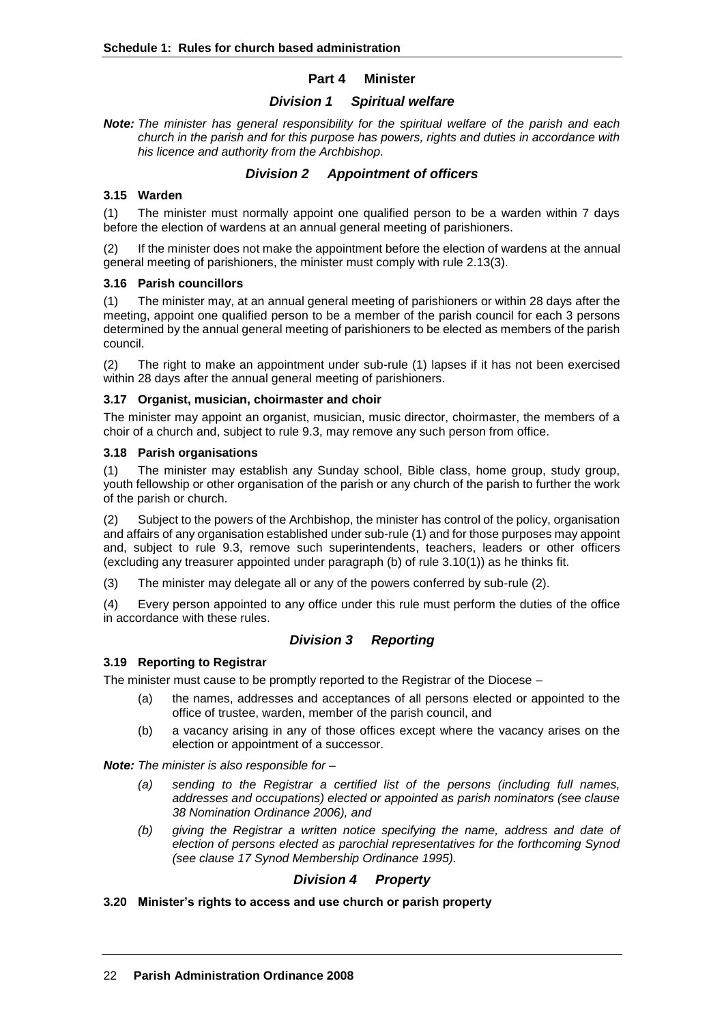## **Part 4 Minister**

# *Division 1 Spiritual welfare*

*Note: The minister has general responsibility for the spiritual welfare of the parish and each church in the parish and for this purpose has powers, rights and duties in accordance with his licence and authority from the Archbishop.*

# *Division 2 Appointment of officers*

# **3.15 Warden**

(1) The minister must normally appoint one qualified person to be a warden within 7 days before the election of wardens at an annual general meeting of parishioners.

If the minister does not make the appointment before the election of wardens at the annual general meeting of parishioners, the minister must comply with rule 2.13(3).

## **3.16 Parish councillors**

(1) The minister may, at an annual general meeting of parishioners or within 28 days after the meeting, appoint one qualified person to be a member of the parish council for each 3 persons determined by the annual general meeting of parishioners to be elected as members of the parish council.

(2) The right to make an appointment under sub-rule (1) lapses if it has not been exercised within 28 days after the annual general meeting of parishioners.

## **3.17 Organist, musician, choirmaster and choir**

The minister may appoint an organist, musician, music director, choirmaster, the members of a choir of a church and, subject to rule 9.3, may remove any such person from office.

## **3.18 Parish organisations**

(1) The minister may establish any Sunday school, Bible class, home group, study group, youth fellowship or other organisation of the parish or any church of the parish to further the work of the parish or church.

(2) Subject to the powers of the Archbishop, the minister has control of the policy, organisation and affairs of any organisation established under sub-rule (1) and for those purposes may appoint and, subject to rule 9.3, remove such superintendents, teachers, leaders or other officers (excluding any treasurer appointed under paragraph (b) of rule 3.10(1)) as he thinks fit.

(3) The minister may delegate all or any of the powers conferred by sub-rule (2).

(4) Every person appointed to any office under this rule must perform the duties of the office in accordance with these rules.

# *Division 3 Reporting*

## **3.19 Reporting to Registrar**

The minister must cause to be promptly reported to the Registrar of the Diocese –

- (a) the names, addresses and acceptances of all persons elected or appointed to the office of trustee, warden, member of the parish council, and
- (b) a vacancy arising in any of those offices except where the vacancy arises on the election or appointment of a successor.

*Note: The minister is also responsible for –*

- *(a) sending to the Registrar a certified list of the persons (including full names, addresses and occupations) elected or appointed as parish nominators (see clause 38 Nomination Ordinance 2006), and*
- *(b) giving the Registrar a written notice specifying the name, address and date of election of persons elected as parochial representatives for the forthcoming Synod (see clause 17 Synod Membership Ordinance 1995).*

# *Division 4 Property*

# **3.20 Minister's rights to access and use church or parish property**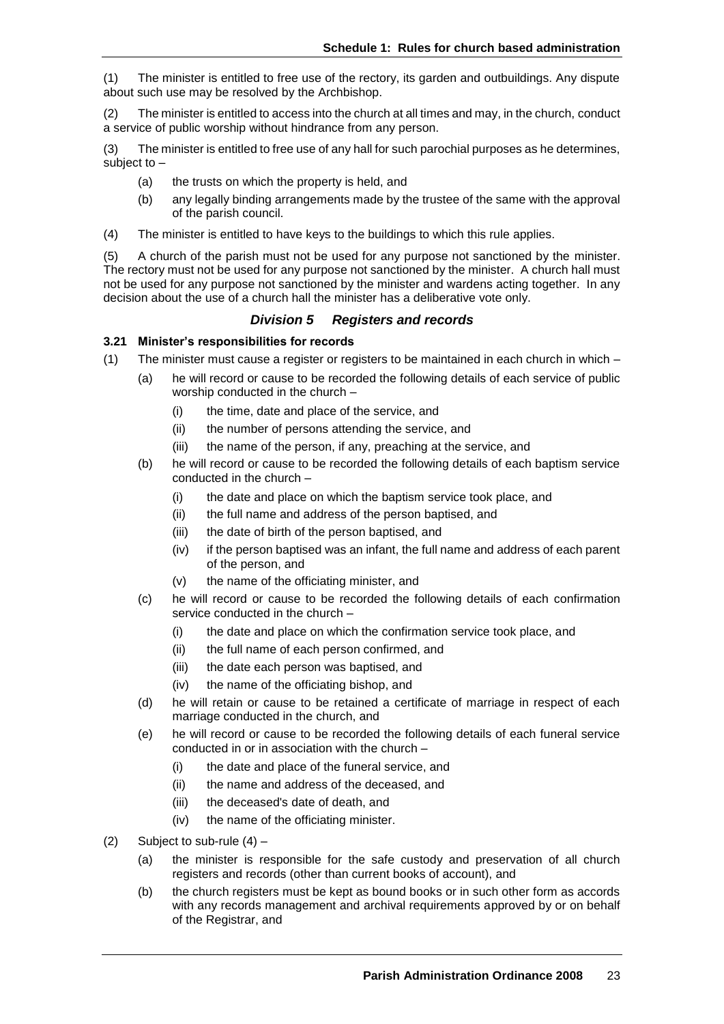(1) The minister is entitled to free use of the rectory, its garden and outbuildings. Any dispute about such use may be resolved by the Archbishop.

(2) The minister is entitled to access into the church at all times and may, in the church, conduct a service of public worship without hindrance from any person.

(3) The minister is entitled to free use of any hall for such parochial purposes as he determines, subject to –

- (a) the trusts on which the property is held, and
- (b) any legally binding arrangements made by the trustee of the same with the approval of the parish council.
- (4) The minister is entitled to have keys to the buildings to which this rule applies.

(5) A church of the parish must not be used for any purpose not sanctioned by the minister. The rectory must not be used for any purpose not sanctioned by the minister. A church hall must not be used for any purpose not sanctioned by the minister and wardens acting together. In any decision about the use of a church hall the minister has a deliberative vote only.

# *Division 5 Registers and records*

## **3.21 Minister's responsibilities for records**

- (1) The minister must cause a register or registers to be maintained in each church in which
	- (a) he will record or cause to be recorded the following details of each service of public worship conducted in the church –
		- (i) the time, date and place of the service, and
		- (ii) the number of persons attending the service, and
		- (iii) the name of the person, if any, preaching at the service, and
	- (b) he will record or cause to be recorded the following details of each baptism service conducted in the church –
		- (i) the date and place on which the baptism service took place, and
		- (ii) the full name and address of the person baptised, and
		- (iii) the date of birth of the person baptised, and
		- (iv) if the person baptised was an infant, the full name and address of each parent of the person, and
		- (v) the name of the officiating minister, and
	- (c) he will record or cause to be recorded the following details of each confirmation service conducted in the church –
		- (i) the date and place on which the confirmation service took place, and
		- (ii) the full name of each person confirmed, and
		- (iii) the date each person was baptised, and
		- (iv) the name of the officiating bishop, and
	- (d) he will retain or cause to be retained a certificate of marriage in respect of each marriage conducted in the church, and
	- (e) he will record or cause to be recorded the following details of each funeral service conducted in or in association with the church –
		- (i) the date and place of the funeral service, and
		- (ii) the name and address of the deceased, and
		- (iii) the deceased's date of death, and
		- (iv) the name of the officiating minister.
- (2) Subject to sub-rule  $(4)$ 
	- (a) the minister is responsible for the safe custody and preservation of all church registers and records (other than current books of account), and
	- (b) the church registers must be kept as bound books or in such other form as accords with any records management and archival requirements approved by or on behalf of the Registrar, and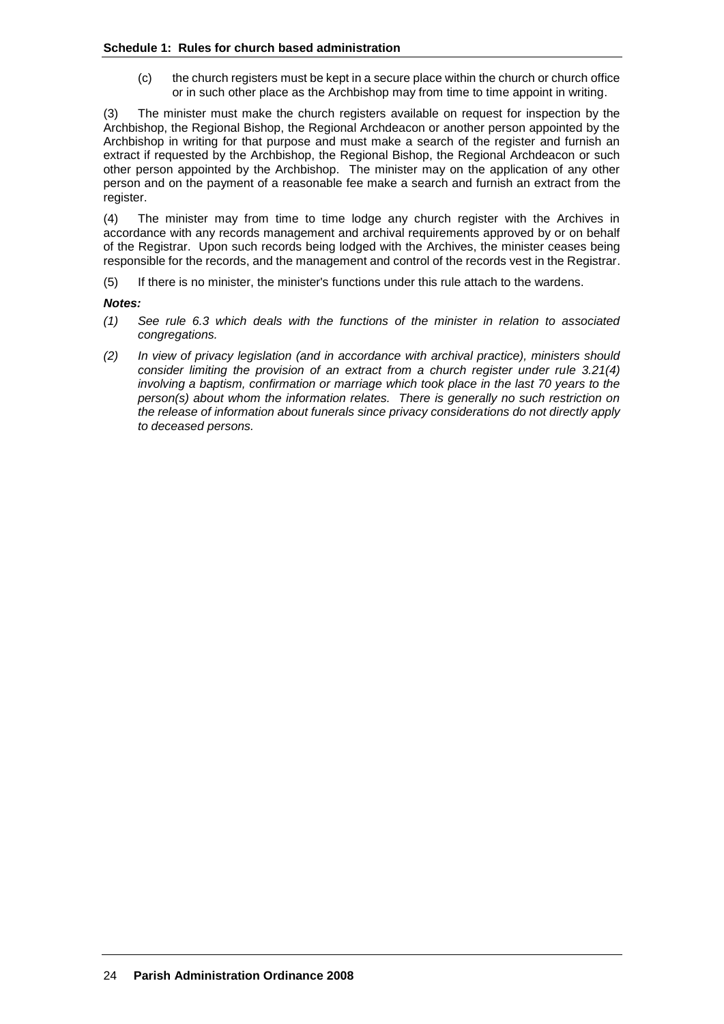(c) the church registers must be kept in a secure place within the church or church office or in such other place as the Archbishop may from time to time appoint in writing.

(3) The minister must make the church registers available on request for inspection by the Archbishop, the Regional Bishop, the Regional Archdeacon or another person appointed by the Archbishop in writing for that purpose and must make a search of the register and furnish an extract if requested by the Archbishop, the Regional Bishop, the Regional Archdeacon or such other person appointed by the Archbishop. The minister may on the application of any other person and on the payment of a reasonable fee make a search and furnish an extract from the register.

(4) The minister may from time to time lodge any church register with the Archives in accordance with any records management and archival requirements approved by or on behalf of the Registrar. Upon such records being lodged with the Archives, the minister ceases being responsible for the records, and the management and control of the records vest in the Registrar.

(5) If there is no minister, the minister's functions under this rule attach to the wardens.

#### *Notes:*

- *(1) See rule 6.3 which deals with the functions of the minister in relation to associated congregations.*
- *(2) In view of privacy legislation (and in accordance with archival practice), ministers should consider limiting the provision of an extract from a church register under rule 3.21(4) involving a baptism, confirmation or marriage which took place in the last 70 years to the person(s) about whom the information relates. There is generally no such restriction on the release of information about funerals since privacy considerations do not directly apply to deceased persons.*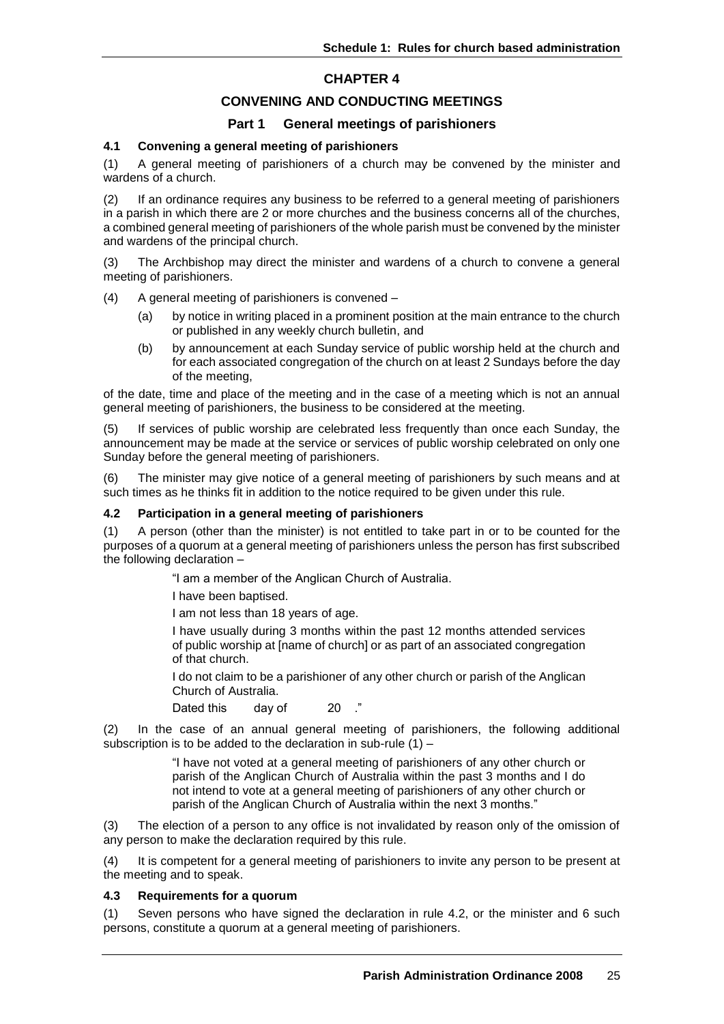# **CHAPTER 4**

# **CONVENING AND CONDUCTING MEETINGS**

## **Part 1 General meetings of parishioners**

#### **4.1 Convening a general meeting of parishioners**

(1) A general meeting of parishioners of a church may be convened by the minister and wardens of a church.

(2) If an ordinance requires any business to be referred to a general meeting of parishioners in a parish in which there are 2 or more churches and the business concerns all of the churches, a combined general meeting of parishioners of the whole parish must be convened by the minister and wardens of the principal church.

(3) The Archbishop may direct the minister and wardens of a church to convene a general meeting of parishioners.

(4) A general meeting of parishioners is convened –

- (a) by notice in writing placed in a prominent position at the main entrance to the church or published in any weekly church bulletin, and
- (b) by announcement at each Sunday service of public worship held at the church and for each associated congregation of the church on at least 2 Sundays before the day of the meeting,

of the date, time and place of the meeting and in the case of a meeting which is not an annual general meeting of parishioners, the business to be considered at the meeting.

(5) If services of public worship are celebrated less frequently than once each Sunday, the announcement may be made at the service or services of public worship celebrated on only one Sunday before the general meeting of parishioners.

(6) The minister may give notice of a general meeting of parishioners by such means and at such times as he thinks fit in addition to the notice required to be given under this rule.

#### **4.2 Participation in a general meeting of parishioners**

(1) A person (other than the minister) is not entitled to take part in or to be counted for the purposes of a quorum at a general meeting of parishioners unless the person has first subscribed the following declaration –

"I am a member of the Anglican Church of Australia.

I have been baptised.

I am not less than 18 years of age.

I have usually during 3 months within the past 12 months attended services of public worship at [name of church] or as part of an associated congregation of that church.

I do not claim to be a parishioner of any other church or parish of the Anglican Church of Australia.

Dated this day of 20 ."

(2) In the case of an annual general meeting of parishioners, the following additional subscription is to be added to the declaration in sub-rule (1) –

> "I have not voted at a general meeting of parishioners of any other church or parish of the Anglican Church of Australia within the past 3 months and I do not intend to vote at a general meeting of parishioners of any other church or parish of the Anglican Church of Australia within the next 3 months."

(3) The election of a person to any office is not invalidated by reason only of the omission of any person to make the declaration required by this rule.

(4) It is competent for a general meeting of parishioners to invite any person to be present at the meeting and to speak.

#### **4.3 Requirements for a quorum**

(1) Seven persons who have signed the declaration in rule 4.2, or the minister and 6 such persons, constitute a quorum at a general meeting of parishioners.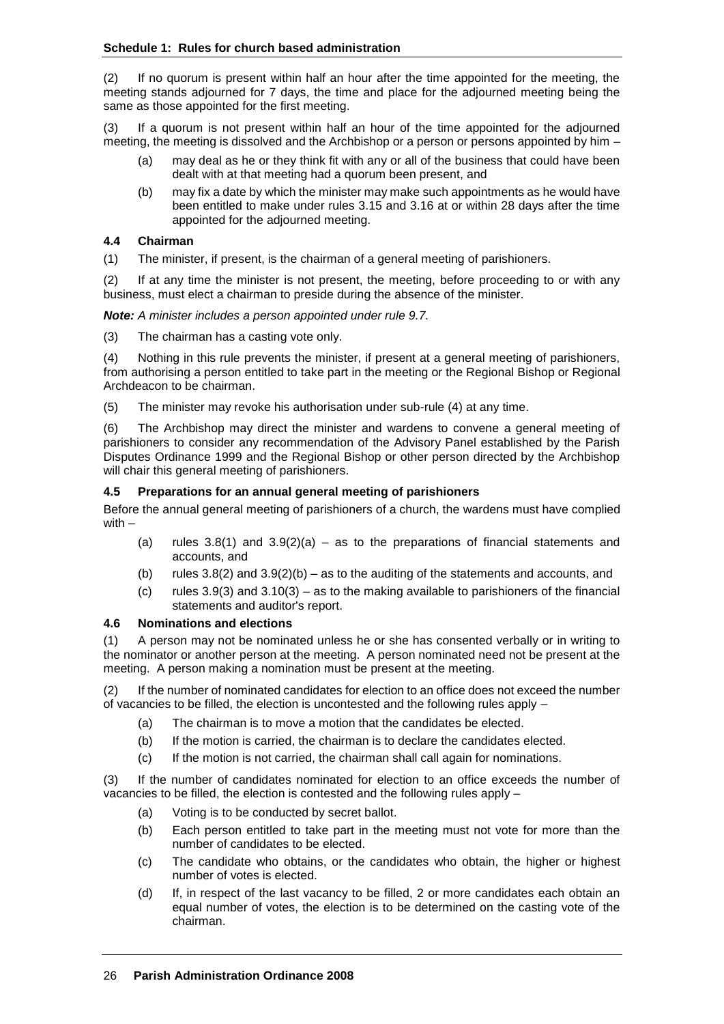(2) If no quorum is present within half an hour after the time appointed for the meeting, the meeting stands adjourned for 7 days, the time and place for the adjourned meeting being the same as those appointed for the first meeting.

(3) If a quorum is not present within half an hour of the time appointed for the adjourned meeting, the meeting is dissolved and the Archbishop or a person or persons appointed by him –

- (a) may deal as he or they think fit with any or all of the business that could have been dealt with at that meeting had a quorum been present, and
- (b) may fix a date by which the minister may make such appointments as he would have been entitled to make under rules 3.15 and 3.16 at or within 28 days after the time appointed for the adjourned meeting.

#### **4.4 Chairman**

(1) The minister, if present, is the chairman of a general meeting of parishioners.

(2) If at any time the minister is not present, the meeting, before proceeding to or with any business, must elect a chairman to preside during the absence of the minister.

*Note: A minister includes a person appointed under rule 9.7.*

(3) The chairman has a casting vote only.

(4) Nothing in this rule prevents the minister, if present at a general meeting of parishioners, from authorising a person entitled to take part in the meeting or the Regional Bishop or Regional Archdeacon to be chairman.

(5) The minister may revoke his authorisation under sub-rule (4) at any time.

(6) The Archbishop may direct the minister and wardens to convene a general meeting of parishioners to consider any recommendation of the Advisory Panel established by the Parish Disputes Ordinance 1999 and the Regional Bishop or other person directed by the Archbishop will chair this general meeting of parishioners.

#### **4.5 Preparations for an annual general meeting of parishioners**

Before the annual general meeting of parishioners of a church, the wardens must have complied with –

- (a) rules  $3.8(1)$  and  $3.9(2)(a)$  as to the preparations of financial statements and accounts, and
- (b) rules  $3.8(2)$  and  $3.9(2)(b)$  as to the auditing of the statements and accounts, and
- (c) rules  $3.9(3)$  and  $3.10(3)$  as to the making available to parishioners of the financial statements and auditor's report.

#### **4.6 Nominations and elections**

(1) A person may not be nominated unless he or she has consented verbally or in writing to the nominator or another person at the meeting. A person nominated need not be present at the meeting. A person making a nomination must be present at the meeting.

(2) If the number of nominated candidates for election to an office does not exceed the number of vacancies to be filled, the election is uncontested and the following rules apply –

- (a) The chairman is to move a motion that the candidates be elected.
- (b) If the motion is carried, the chairman is to declare the candidates elected.
- (c) If the motion is not carried, the chairman shall call again for nominations.

(3) If the number of candidates nominated for election to an office exceeds the number of vacancies to be filled, the election is contested and the following rules apply –

- (a) Voting is to be conducted by secret ballot.
- (b) Each person entitled to take part in the meeting must not vote for more than the number of candidates to be elected.
- (c) The candidate who obtains, or the candidates who obtain, the higher or highest number of votes is elected.
- (d) If, in respect of the last vacancy to be filled, 2 or more candidates each obtain an equal number of votes, the election is to be determined on the casting vote of the chairman.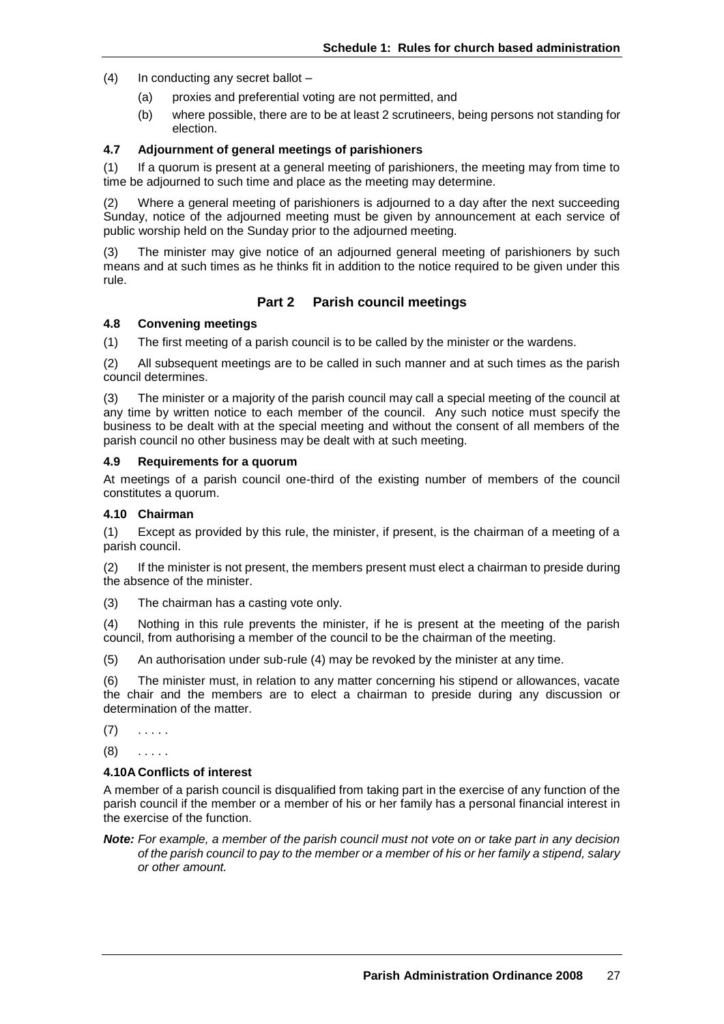- (4) In conducting any secret ballot
	- (a) proxies and preferential voting are not permitted, and
	- (b) where possible, there are to be at least 2 scrutineers, being persons not standing for election.

#### **4.7 Adjournment of general meetings of parishioners**

(1) If a quorum is present at a general meeting of parishioners, the meeting may from time to time be adjourned to such time and place as the meeting may determine.

(2) Where a general meeting of parishioners is adjourned to a day after the next succeeding Sunday, notice of the adjourned meeting must be given by announcement at each service of public worship held on the Sunday prior to the adjourned meeting.

(3) The minister may give notice of an adjourned general meeting of parishioners by such means and at such times as he thinks fit in addition to the notice required to be given under this rule.

## **Part 2 Parish council meetings**

#### **4.8 Convening meetings**

(1) The first meeting of a parish council is to be called by the minister or the wardens.

(2) All subsequent meetings are to be called in such manner and at such times as the parish council determines.

(3) The minister or a majority of the parish council may call a special meeting of the council at any time by written notice to each member of the council. Any such notice must specify the business to be dealt with at the special meeting and without the consent of all members of the parish council no other business may be dealt with at such meeting.

#### **4.9 Requirements for a quorum**

At meetings of a parish council one-third of the existing number of members of the council constitutes a quorum.

#### **4.10 Chairman**

(1) Except as provided by this rule, the minister, if present, is the chairman of a meeting of a parish council.

(2) If the minister is not present, the members present must elect a chairman to preside during the absence of the minister.

(3) The chairman has a casting vote only.

(4) Nothing in this rule prevents the minister, if he is present at the meeting of the parish council, from authorising a member of the council to be the chairman of the meeting.

(5) An authorisation under sub-rule (4) may be revoked by the minister at any time.

(6) The minister must, in relation to any matter concerning his stipend or allowances, vacate the chair and the members are to elect a chairman to preside during any discussion or determination of the matter.

 $(7)$  . . . . .

 $(8)$  . . . . .

#### **4.10A Conflicts of interest**

A member of a parish council is disqualified from taking part in the exercise of any function of the parish council if the member or a member of his or her family has a personal financial interest in the exercise of the function.

*Note: For example, a member of the parish council must not vote on or take part in any decision of the parish council to pay to the member or a member of his or her family a stipend, salary or other amount.*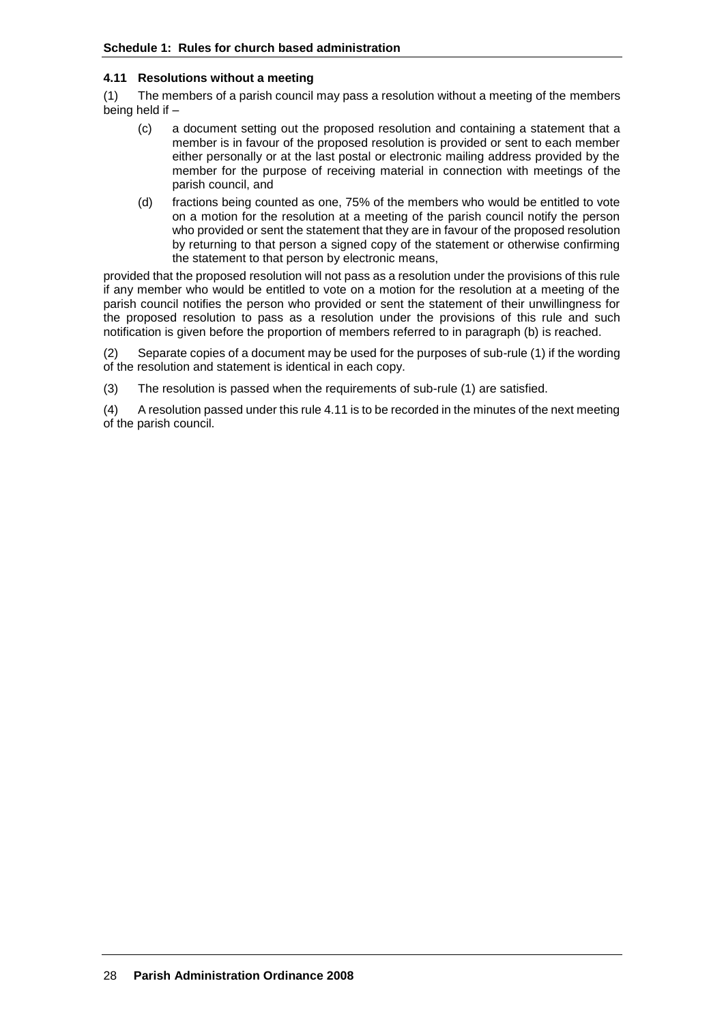#### **4.11 Resolutions without a meeting**

(1) The members of a parish council may pass a resolution without a meeting of the members being held if –

- (c) a document setting out the proposed resolution and containing a statement that a member is in favour of the proposed resolution is provided or sent to each member either personally or at the last postal or electronic mailing address provided by the member for the purpose of receiving material in connection with meetings of the parish council, and
- (d) fractions being counted as one, 75% of the members who would be entitled to vote on a motion for the resolution at a meeting of the parish council notify the person who provided or sent the statement that they are in favour of the proposed resolution by returning to that person a signed copy of the statement or otherwise confirming the statement to that person by electronic means,

provided that the proposed resolution will not pass as a resolution under the provisions of this rule if any member who would be entitled to vote on a motion for the resolution at a meeting of the parish council notifies the person who provided or sent the statement of their unwillingness for the proposed resolution to pass as a resolution under the provisions of this rule and such notification is given before the proportion of members referred to in paragraph (b) is reached.

(2) Separate copies of a document may be used for the purposes of sub-rule (1) if the wording of the resolution and statement is identical in each copy.

(3) The resolution is passed when the requirements of sub-rule (1) are satisfied.

(4) A resolution passed under this rule 4.11 is to be recorded in the minutes of the next meeting of the parish council.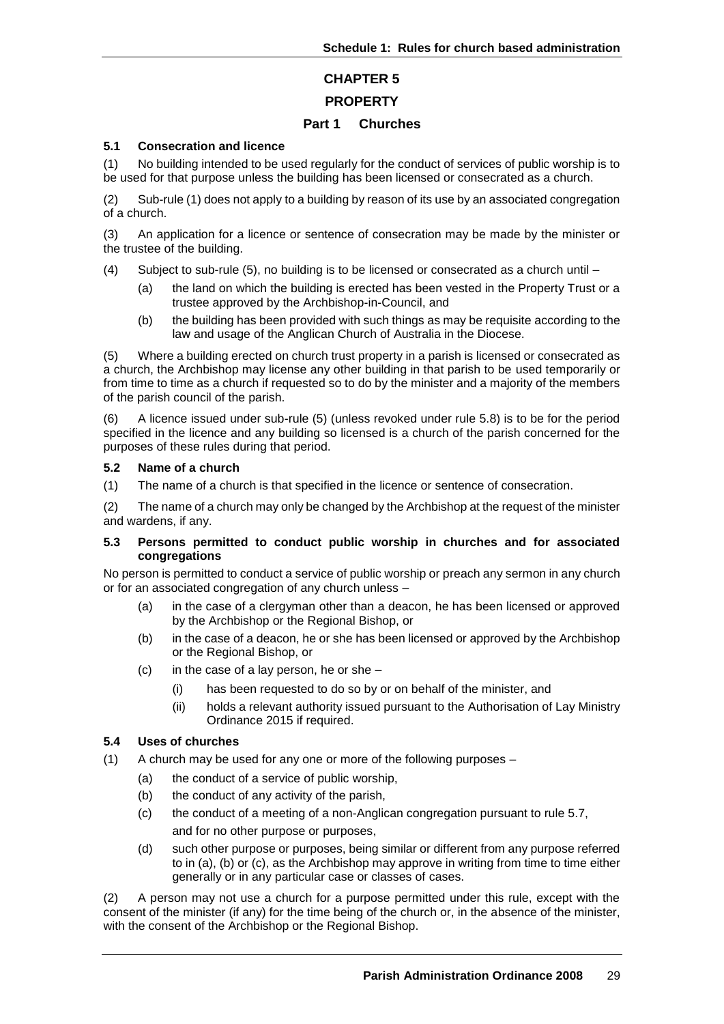# **CHAPTER 5**

# **PROPERTY**

# **Part 1 Churches**

## **5.1 Consecration and licence**

(1) No building intended to be used regularly for the conduct of services of public worship is to be used for that purpose unless the building has been licensed or consecrated as a church.

(2) Sub-rule (1) does not apply to a building by reason of its use by an associated congregation of a church.

(3) An application for a licence or sentence of consecration may be made by the minister or the trustee of the building.

- (4) Subject to sub-rule (5), no building is to be licensed or consecrated as a church until
	- (a) the land on which the building is erected has been vested in the Property Trust or a trustee approved by the Archbishop-in-Council, and
	- (b) the building has been provided with such things as may be requisite according to the law and usage of the Anglican Church of Australia in the Diocese.

(5) Where a building erected on church trust property in a parish is licensed or consecrated as a church, the Archbishop may license any other building in that parish to be used temporarily or from time to time as a church if requested so to do by the minister and a majority of the members of the parish council of the parish.

(6) A licence issued under sub-rule (5) (unless revoked under rule 5.8) is to be for the period specified in the licence and any building so licensed is a church of the parish concerned for the purposes of these rules during that period.

#### **5.2 Name of a church**

(1) The name of a church is that specified in the licence or sentence of consecration.

(2) The name of a church may only be changed by the Archbishop at the request of the minister and wardens, if any.

#### **5.3 Persons permitted to conduct public worship in churches and for associated congregations**

No person is permitted to conduct a service of public worship or preach any sermon in any church or for an associated congregation of any church unless –

- (a) in the case of a clergyman other than a deacon, he has been licensed or approved by the Archbishop or the Regional Bishop, or
- (b) in the case of a deacon, he or she has been licensed or approved by the Archbishop or the Regional Bishop, or
- $(c)$  in the case of a lay person, he or she
	- (i) has been requested to do so by or on behalf of the minister, and
	- (ii) holds a relevant authority issued pursuant to the Authorisation of Lay Ministry Ordinance 2015 if required.

## **5.4 Uses of churches**

- (1) A church may be used for any one or more of the following purposes
	- (a) the conduct of a service of public worship,
	- (b) the conduct of any activity of the parish,
	- (c) the conduct of a meeting of a non-Anglican congregation pursuant to rule 5.7, and for no other purpose or purposes,
	- (d) such other purpose or purposes, being similar or different from any purpose referred to in (a), (b) or (c), as the Archbishop may approve in writing from time to time either generally or in any particular case or classes of cases.

(2) A person may not use a church for a purpose permitted under this rule, except with the consent of the minister (if any) for the time being of the church or, in the absence of the minister, with the consent of the Archbishop or the Regional Bishop.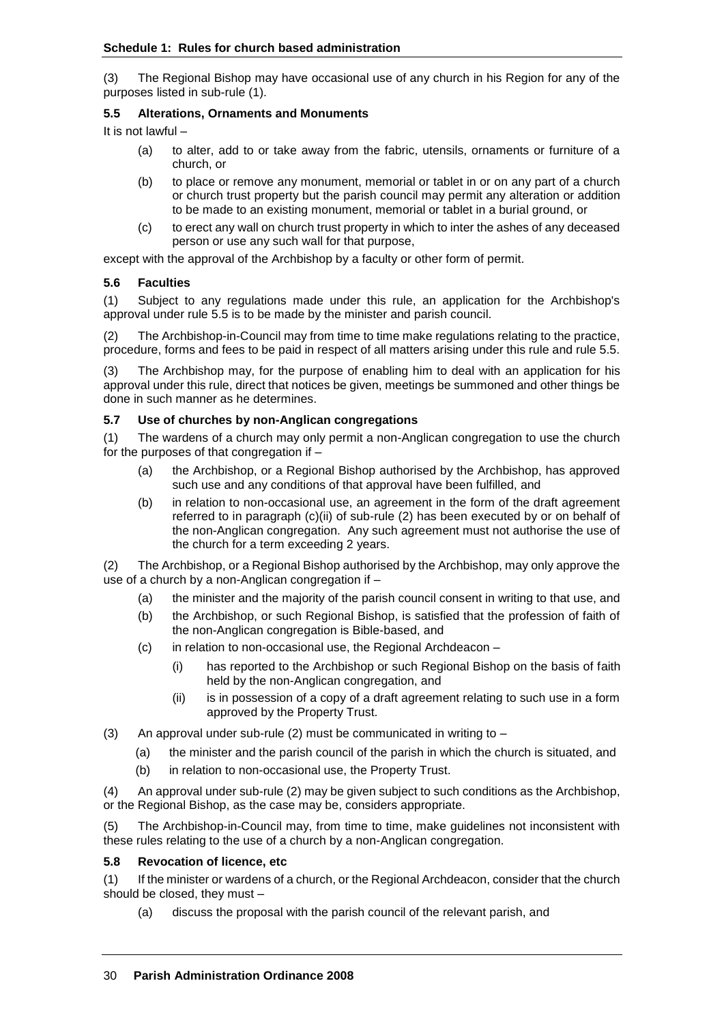(3) The Regional Bishop may have occasional use of any church in his Region for any of the purposes listed in sub-rule (1).

# **5.5 Alterations, Ornaments and Monuments**

It is not lawful –

- (a) to alter, add to or take away from the fabric, utensils, ornaments or furniture of a church, or
- (b) to place or remove any monument, memorial or tablet in or on any part of a church or church trust property but the parish council may permit any alteration or addition to be made to an existing monument, memorial or tablet in a burial ground, or
- (c) to erect any wall on church trust property in which to inter the ashes of any deceased person or use any such wall for that purpose,

except with the approval of the Archbishop by a faculty or other form of permit.

## **5.6 Faculties**

(1) Subject to any regulations made under this rule, an application for the Archbishop's approval under rule 5.5 is to be made by the minister and parish council.

(2) The Archbishop-in-Council may from time to time make regulations relating to the practice, procedure, forms and fees to be paid in respect of all matters arising under this rule and rule 5.5.

(3) The Archbishop may, for the purpose of enabling him to deal with an application for his approval under this rule, direct that notices be given, meetings be summoned and other things be done in such manner as he determines.

## **5.7 Use of churches by non-Anglican congregations**

(1) The wardens of a church may only permit a non-Anglican congregation to use the church for the purposes of that congregation if –

- (a) the Archbishop, or a Regional Bishop authorised by the Archbishop, has approved such use and any conditions of that approval have been fulfilled, and
- (b) in relation to non-occasional use, an agreement in the form of the draft agreement referred to in paragraph (c)(ii) of sub-rule (2) has been executed by or on behalf of the non-Anglican congregation. Any such agreement must not authorise the use of the church for a term exceeding 2 years.

(2) The Archbishop, or a Regional Bishop authorised by the Archbishop, may only approve the use of a church by a non-Anglican congregation if –

- (a) the minister and the majority of the parish council consent in writing to that use, and
- (b) the Archbishop, or such Regional Bishop, is satisfied that the profession of faith of the non-Anglican congregation is Bible-based, and
- (c) in relation to non-occasional use, the Regional Archdeacon
	- (i) has reported to the Archbishop or such Regional Bishop on the basis of faith held by the non-Anglican congregation, and
	- (ii) is in possession of a copy of a draft agreement relating to such use in a form approved by the Property Trust.
- (3) An approval under sub-rule (2) must be communicated in writing to  $-$ 
	- (a) the minister and the parish council of the parish in which the church is situated, and
	- (b) in relation to non-occasional use, the Property Trust.

(4) An approval under sub-rule (2) may be given subject to such conditions as the Archbishop, or the Regional Bishop, as the case may be, considers appropriate.

(5) The Archbishop-in-Council may, from time to time, make guidelines not inconsistent with these rules relating to the use of a church by a non-Anglican congregation.

## **5.8 Revocation of licence, etc**

(1) If the minister or wardens of a church, or the Regional Archdeacon, consider that the church should be closed, they must –

(a) discuss the proposal with the parish council of the relevant parish, and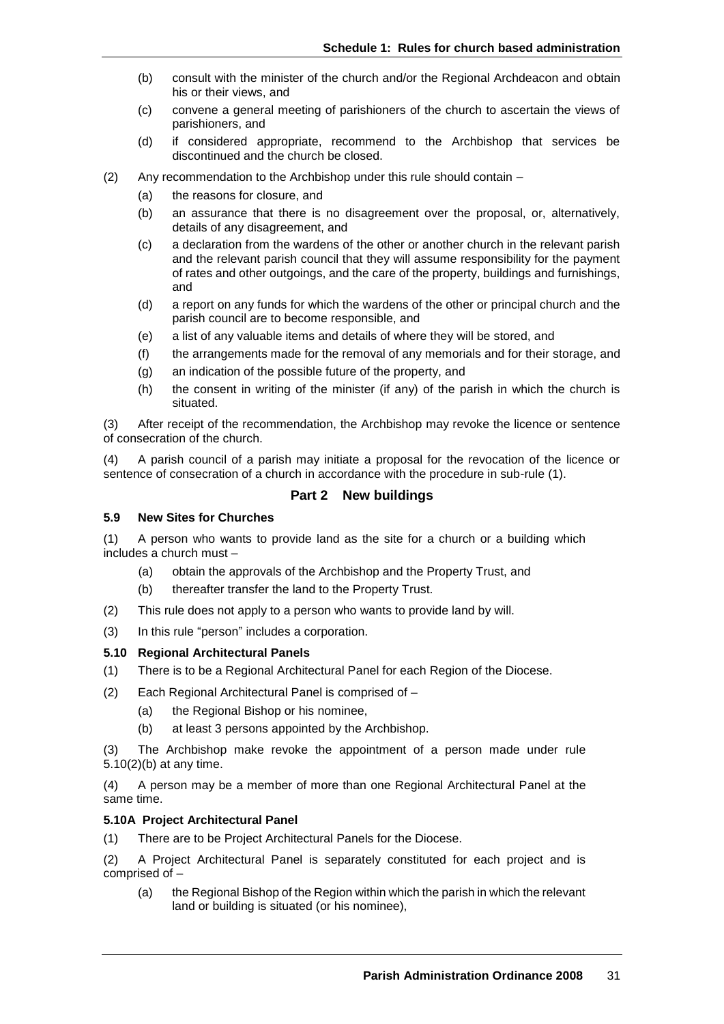- (b) consult with the minister of the church and/or the Regional Archdeacon and obtain his or their views, and
- (c) convene a general meeting of parishioners of the church to ascertain the views of parishioners, and
- (d) if considered appropriate, recommend to the Archbishop that services be discontinued and the church be closed.
- (2) Any recommendation to the Archbishop under this rule should contain
	- (a) the reasons for closure, and
	- (b) an assurance that there is no disagreement over the proposal, or, alternatively, details of any disagreement, and
	- (c) a declaration from the wardens of the other or another church in the relevant parish and the relevant parish council that they will assume responsibility for the payment of rates and other outgoings, and the care of the property, buildings and furnishings, and
	- (d) a report on any funds for which the wardens of the other or principal church and the parish council are to become responsible, and
	- (e) a list of any valuable items and details of where they will be stored, and
	- (f) the arrangements made for the removal of any memorials and for their storage, and
	- (g) an indication of the possible future of the property, and
	- (h) the consent in writing of the minister (if any) of the parish in which the church is situated.

(3) After receipt of the recommendation, the Archbishop may revoke the licence or sentence of consecration of the church.

(4) A parish council of a parish may initiate a proposal for the revocation of the licence or sentence of consecration of a church in accordance with the procedure in sub-rule (1).

# **Part 2 New buildings**

#### **5.9 New Sites for Churches**

(1) A person who wants to provide land as the site for a church or a building which includes a church must –

- (a) obtain the approvals of the Archbishop and the Property Trust, and
- (b) thereafter transfer the land to the Property Trust.
- (2) This rule does not apply to a person who wants to provide land by will.
- (3) In this rule "person" includes a corporation.

#### **5.10 Regional Architectural Panels**

- (1) There is to be a Regional Architectural Panel for each Region of the Diocese.
- (2) Each Regional Architectural Panel is comprised of
	- (a) the Regional Bishop or his nominee,
	- (b) at least 3 persons appointed by the Archbishop.

(3) The Archbishop make revoke the appointment of a person made under rule 5.10(2)(b) at any time.

(4) A person may be a member of more than one Regional Architectural Panel at the same time.

#### **5.10A Project Architectural Panel**

(1) There are to be Project Architectural Panels for the Diocese.

(2) A Project Architectural Panel is separately constituted for each project and is comprised of –

(a) the Regional Bishop of the Region within which the parish in which the relevant land or building is situated (or his nominee),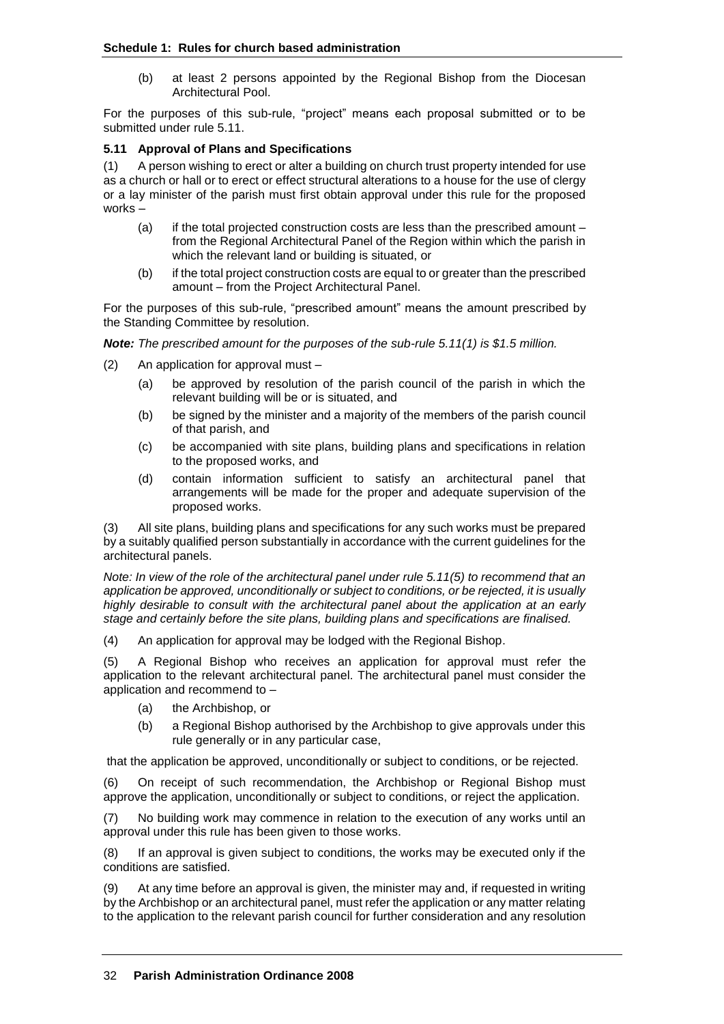#### **Schedule 1: Rules for church based administration**

(b) at least 2 persons appointed by the Regional Bishop from the Diocesan Architectural Pool.

For the purposes of this sub-rule, "project" means each proposal submitted or to be submitted under rule 5.11.

#### **5.11 Approval of Plans and Specifications**

(1) A person wishing to erect or alter a building on church trust property intended for use as a church or hall or to erect or effect structural alterations to a house for the use of clergy or a lay minister of the parish must first obtain approval under this rule for the proposed works –

- (a) if the total projected construction costs are less than the prescribed amount from the Regional Architectural Panel of the Region within which the parish in which the relevant land or building is situated, or
- (b) if the total project construction costs are equal to or greater than the prescribed amount – from the Project Architectural Panel.

For the purposes of this sub-rule, "prescribed amount" means the amount prescribed by the Standing Committee by resolution.

*Note: The prescribed amount for the purposes of the sub-rule 5.11(1) is \$1.5 million.*

- (2) An application for approval must
	- (a) be approved by resolution of the parish council of the parish in which the relevant building will be or is situated, and
	- (b) be signed by the minister and a majority of the members of the parish council of that parish, and
	- (c) be accompanied with site plans, building plans and specifications in relation to the proposed works, and
	- (d) contain information sufficient to satisfy an architectural panel that arrangements will be made for the proper and adequate supervision of the proposed works.

(3) All site plans, building plans and specifications for any such works must be prepared by a suitably qualified person substantially in accordance with the current guidelines for the architectural panels.

*Note: In view of the role of the architectural panel under rule 5.11(5) to recommend that an application be approved, unconditionally or subject to conditions, or be rejected, it is usually highly desirable to consult with the architectural panel about the application at an early stage and certainly before the site plans, building plans and specifications are finalised.*

(4) An application for approval may be lodged with the Regional Bishop.

(5) A Regional Bishop who receives an application for approval must refer the application to the relevant architectural panel. The architectural panel must consider the application and recommend to –

- (a) the Archbishop, or
- (b) a Regional Bishop authorised by the Archbishop to give approvals under this rule generally or in any particular case,

that the application be approved, unconditionally or subject to conditions, or be rejected.

(6) On receipt of such recommendation, the Archbishop or Regional Bishop must approve the application, unconditionally or subject to conditions, or reject the application.

(7) No building work may commence in relation to the execution of any works until an approval under this rule has been given to those works.

(8) If an approval is given subject to conditions, the works may be executed only if the conditions are satisfied.

(9) At any time before an approval is given, the minister may and, if requested in writing by the Archbishop or an architectural panel, must refer the application or any matter relating to the application to the relevant parish council for further consideration and any resolution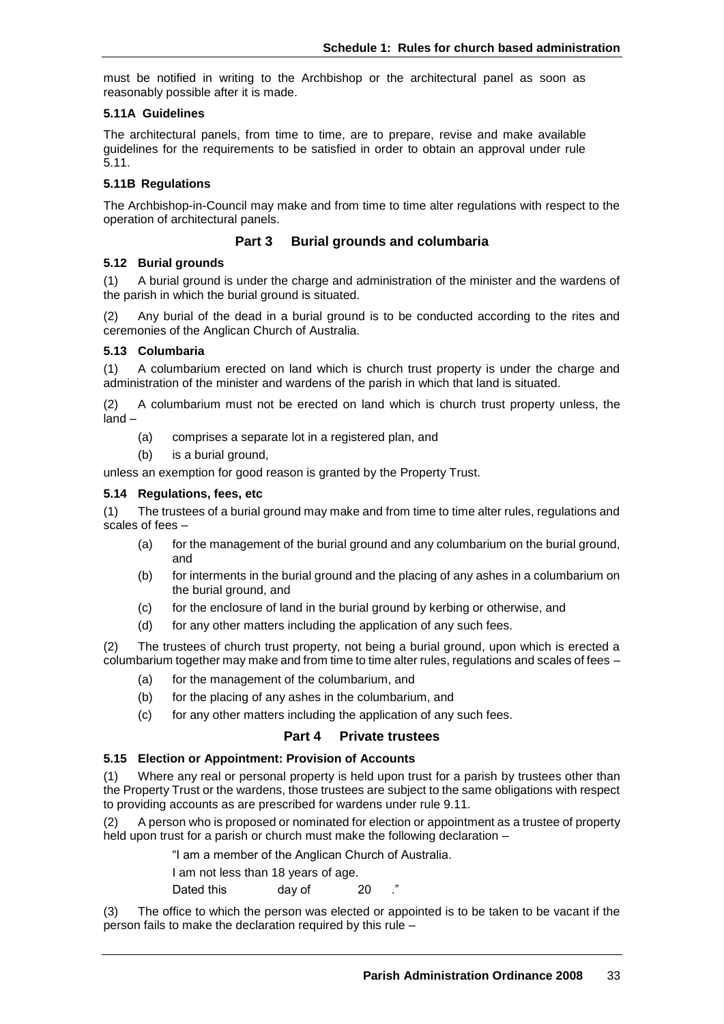must be notified in writing to the Archbishop or the architectural panel as soon as reasonably possible after it is made.

## **5.11A Guidelines**

The architectural panels, from time to time, are to prepare, revise and make available guidelines for the requirements to be satisfied in order to obtain an approval under rule 5.11.

## **5.11B Regulations**

The Archbishop-in-Council may make and from time to time alter regulations with respect to the operation of architectural panels.

# **Part 3 Burial grounds and columbaria**

## **5.12 Burial grounds**

(1) A burial ground is under the charge and administration of the minister and the wardens of the parish in which the burial ground is situated.

Any burial of the dead in a burial ground is to be conducted according to the rites and ceremonies of the Anglican Church of Australia.

#### **5.13 Columbaria**

(1) A columbarium erected on land which is church trust property is under the charge and administration of the minister and wardens of the parish in which that land is situated.

(2) A columbarium must not be erected on land which is church trust property unless, the land –

- (a) comprises a separate lot in a registered plan, and
- (b) is a burial ground,

unless an exemption for good reason is granted by the Property Trust.

#### **5.14 Regulations, fees, etc**

(1) The trustees of a burial ground may make and from time to time alter rules, regulations and scales of fees –

- (a) for the management of the burial ground and any columbarium on the burial ground, and
- (b) for interments in the burial ground and the placing of any ashes in a columbarium on the burial ground, and
- (c) for the enclosure of land in the burial ground by kerbing or otherwise, and
- (d) for any other matters including the application of any such fees.

(2) The trustees of church trust property, not being a burial ground, upon which is erected a columbarium together may make and from time to time alter rules, regulations and scales of fees –

- (a) for the management of the columbarium, and
- (b) for the placing of any ashes in the columbarium, and
- (c) for any other matters including the application of any such fees.

## **Part 4 Private trustees**

## **5.15 Election or Appointment: Provision of Accounts**

(1) Where any real or personal property is held upon trust for a parish by trustees other than the Property Trust or the wardens, those trustees are subject to the same obligations with respect to providing accounts as are prescribed for wardens under rule 9.11.

(2) A person who is proposed or nominated for election or appointment as a trustee of property held upon trust for a parish or church must make the following declaration –

"I am a member of the Anglican Church of Australia.

I am not less than 18 years of age.

Dated this day of 20

(3) The office to which the person was elected or appointed is to be taken to be vacant if the person fails to make the declaration required by this rule –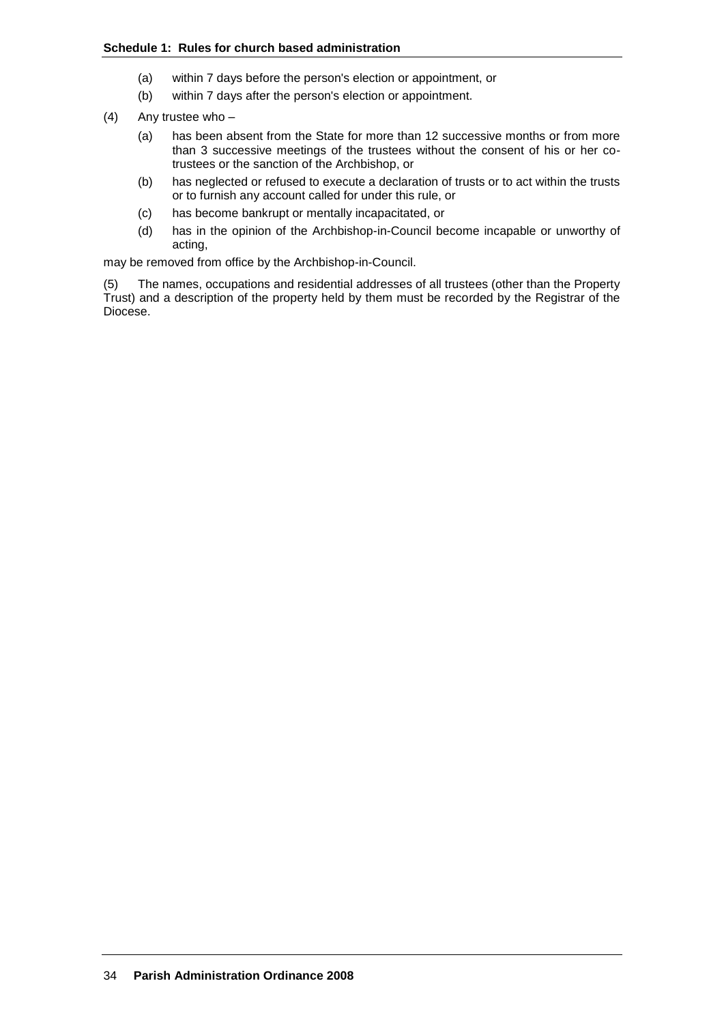- (a) within 7 days before the person's election or appointment, or
- (b) within 7 days after the person's election or appointment.
- (4) Any trustee who
	- (a) has been absent from the State for more than 12 successive months or from more than 3 successive meetings of the trustees without the consent of his or her cotrustees or the sanction of the Archbishop, or
	- (b) has neglected or refused to execute a declaration of trusts or to act within the trusts or to furnish any account called for under this rule, or
	- (c) has become bankrupt or mentally incapacitated, or
	- (d) has in the opinion of the Archbishop-in-Council become incapable or unworthy of acting,

may be removed from office by the Archbishop-in-Council.

(5) The names, occupations and residential addresses of all trustees (other than the Property Trust) and a description of the property held by them must be recorded by the Registrar of the Diocese.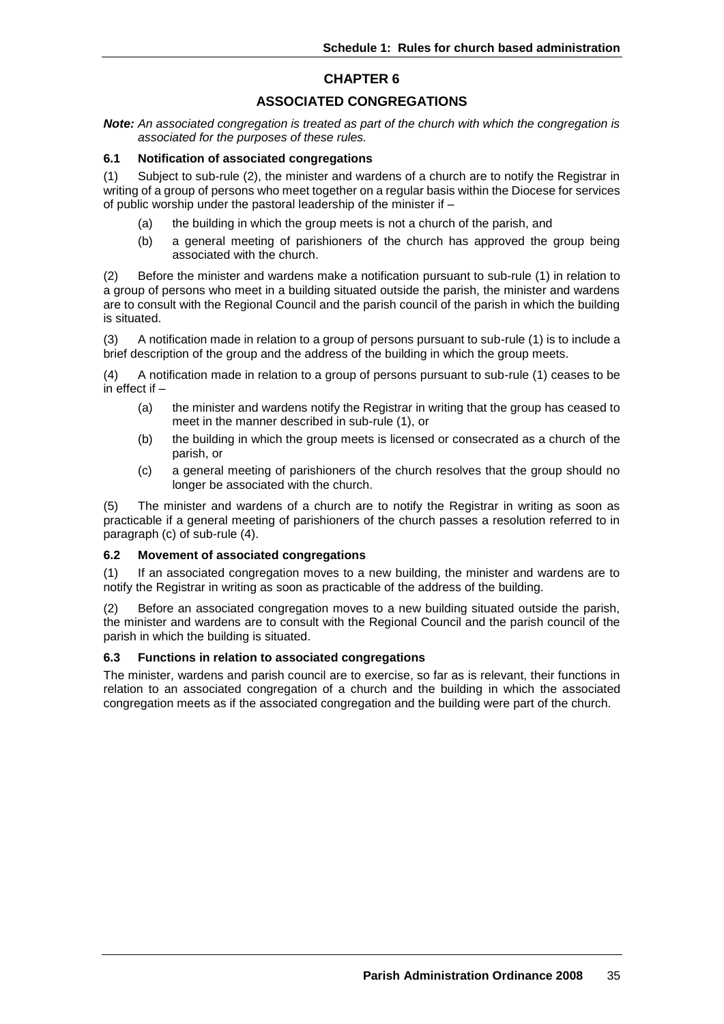# **CHAPTER 6**

# **ASSOCIATED CONGREGATIONS**

*Note: An associated congregation is treated as part of the church with which the congregation is associated for the purposes of these rules.*

#### **6.1 Notification of associated congregations**

(1) Subject to sub-rule (2), the minister and wardens of a church are to notify the Registrar in writing of a group of persons who meet together on a regular basis within the Diocese for services of public worship under the pastoral leadership of the minister if –

- (a) the building in which the group meets is not a church of the parish, and
- (b) a general meeting of parishioners of the church has approved the group being associated with the church.

(2) Before the minister and wardens make a notification pursuant to sub-rule (1) in relation to a group of persons who meet in a building situated outside the parish, the minister and wardens are to consult with the Regional Council and the parish council of the parish in which the building is situated.

(3) A notification made in relation to a group of persons pursuant to sub-rule (1) is to include a brief description of the group and the address of the building in which the group meets.

(4) A notification made in relation to a group of persons pursuant to sub-rule (1) ceases to be in effect if –

- (a) the minister and wardens notify the Registrar in writing that the group has ceased to meet in the manner described in sub-rule (1), or
- (b) the building in which the group meets is licensed or consecrated as a church of the parish, or
- (c) a general meeting of parishioners of the church resolves that the group should no longer be associated with the church.

(5) The minister and wardens of a church are to notify the Registrar in writing as soon as practicable if a general meeting of parishioners of the church passes a resolution referred to in paragraph (c) of sub-rule (4).

#### **6.2 Movement of associated congregations**

(1) If an associated congregation moves to a new building, the minister and wardens are to notify the Registrar in writing as soon as practicable of the address of the building.

(2) Before an associated congregation moves to a new building situated outside the parish, the minister and wardens are to consult with the Regional Council and the parish council of the parish in which the building is situated.

#### **6.3 Functions in relation to associated congregations**

The minister, wardens and parish council are to exercise, so far as is relevant, their functions in relation to an associated congregation of a church and the building in which the associated congregation meets as if the associated congregation and the building were part of the church.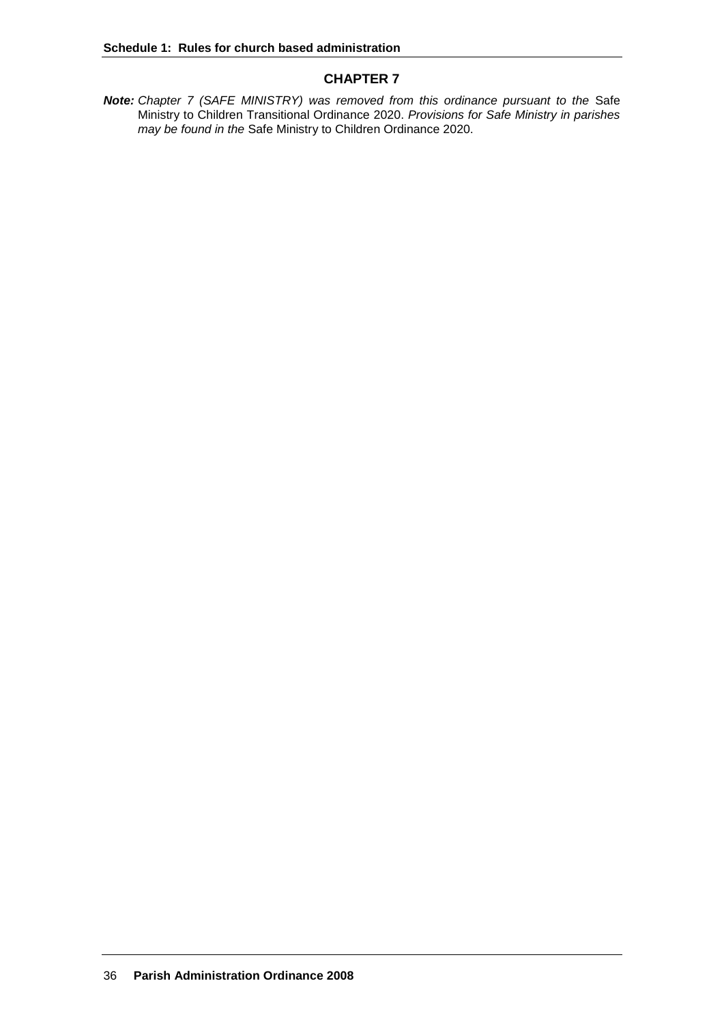# **CHAPTER 7**

**Note:** *Chapter 7 (SAFE MINISTRY) was removed from this ordinance pursuant to the Safe* Ministry to Children Transitional Ordinance 2020. *Provisions for Safe Ministry in parishes may be found in the* Safe Ministry to Children Ordinance 2020.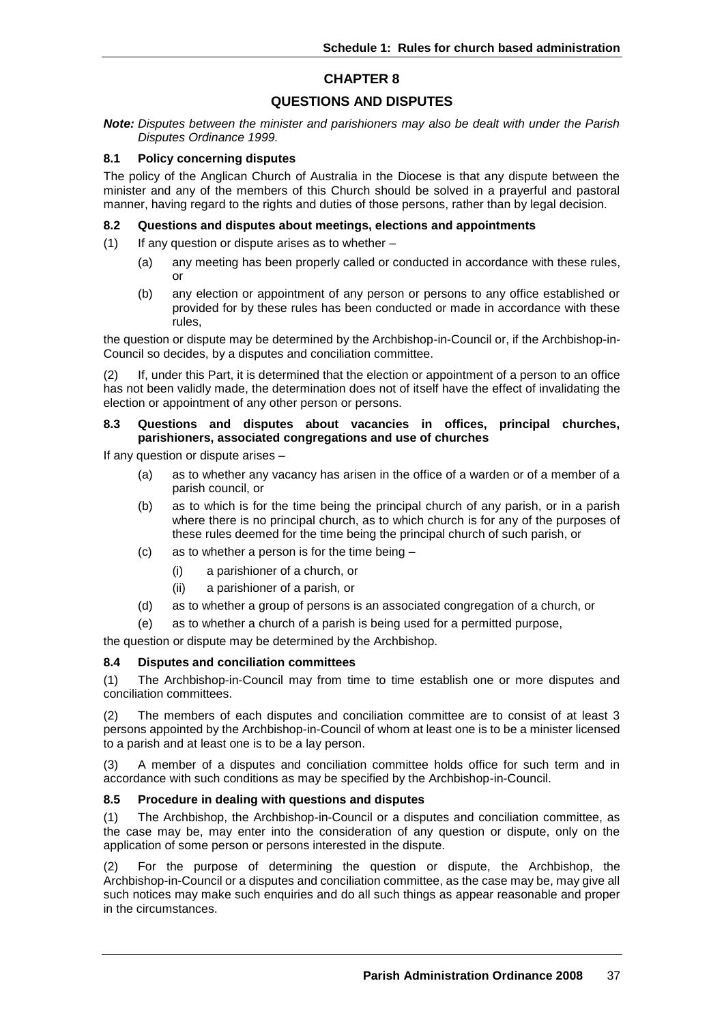# **QUESTIONS AND DISPUTES**

*Note: Disputes between the minister and parishioners may also be dealt with under the Parish Disputes Ordinance 1999.*

#### **8.1 Policy concerning disputes**

The policy of the Anglican Church of Australia in the Diocese is that any dispute between the minister and any of the members of this Church should be solved in a prayerful and pastoral manner, having regard to the rights and duties of those persons, rather than by legal decision.

#### **8.2 Questions and disputes about meetings, elections and appointments**

- (1) If any question or dispute arises as to whether
	- (a) any meeting has been properly called or conducted in accordance with these rules, or
	- (b) any election or appointment of any person or persons to any office established or provided for by these rules has been conducted or made in accordance with these rules,

the question or dispute may be determined by the Archbishop-in-Council or, if the Archbishop-in-Council so decides, by a disputes and conciliation committee.

(2) If, under this Part, it is determined that the election or appointment of a person to an office has not been validly made, the determination does not of itself have the effect of invalidating the election or appointment of any other person or persons.

#### **8.3 Questions and disputes about vacancies in offices, principal churches, parishioners, associated congregations and use of churches**

If any question or dispute arises –

- (a) as to whether any vacancy has arisen in the office of a warden or of a member of a parish council, or
- (b) as to which is for the time being the principal church of any parish, or in a parish where there is no principal church, as to which church is for any of the purposes of these rules deemed for the time being the principal church of such parish, or
- (c) as to whether a person is for the time being
	- (i) a parishioner of a church, or
	- (ii) a parishioner of a parish, or
- (d) as to whether a group of persons is an associated congregation of a church, or
- (e) as to whether a church of a parish is being used for a permitted purpose,

the question or dispute may be determined by the Archbishop.

# **8.4 Disputes and conciliation committees**

(1) The Archbishop-in-Council may from time to time establish one or more disputes and conciliation committees.

(2) The members of each disputes and conciliation committee are to consist of at least 3 persons appointed by the Archbishop-in-Council of whom at least one is to be a minister licensed to a parish and at least one is to be a lay person.

(3) A member of a disputes and conciliation committee holds office for such term and in accordance with such conditions as may be specified by the Archbishop-in-Council.

# **8.5 Procedure in dealing with questions and disputes**

(1) The Archbishop, the Archbishop-in-Council or a disputes and conciliation committee, as the case may be, may enter into the consideration of any question or dispute, only on the application of some person or persons interested in the dispute.

(2) For the purpose of determining the question or dispute, the Archbishop, the Archbishop-in-Council or a disputes and conciliation committee, as the case may be, may give all such notices may make such enquiries and do all such things as appear reasonable and proper in the circumstances.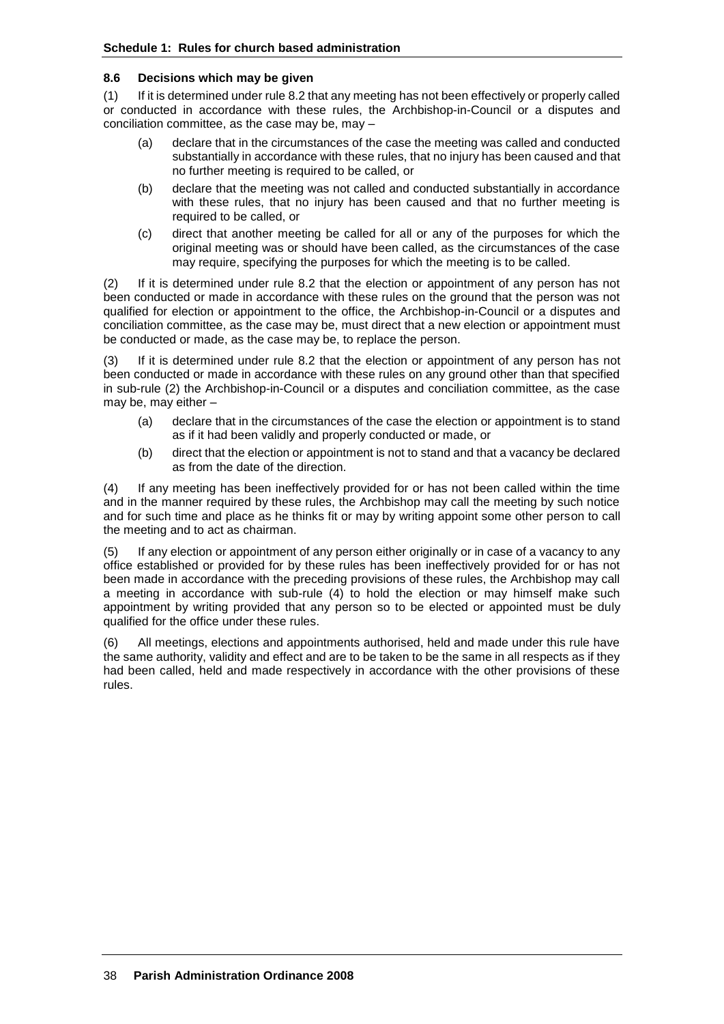# **8.6 Decisions which may be given**

(1) If it is determined under rule 8.2 that any meeting has not been effectively or properly called or conducted in accordance with these rules, the Archbishop-in-Council or a disputes and conciliation committee, as the case may be, may –

- (a) declare that in the circumstances of the case the meeting was called and conducted substantially in accordance with these rules, that no injury has been caused and that no further meeting is required to be called, or
- (b) declare that the meeting was not called and conducted substantially in accordance with these rules, that no injury has been caused and that no further meeting is required to be called, or
- (c) direct that another meeting be called for all or any of the purposes for which the original meeting was or should have been called, as the circumstances of the case may require, specifying the purposes for which the meeting is to be called.

(2) If it is determined under rule 8.2 that the election or appointment of any person has not been conducted or made in accordance with these rules on the ground that the person was not qualified for election or appointment to the office, the Archbishop-in-Council or a disputes and conciliation committee, as the case may be, must direct that a new election or appointment must be conducted or made, as the case may be, to replace the person.

(3) If it is determined under rule 8.2 that the election or appointment of any person has not been conducted or made in accordance with these rules on any ground other than that specified in sub-rule (2) the Archbishop-in-Council or a disputes and conciliation committee, as the case may be, may either –

- (a) declare that in the circumstances of the case the election or appointment is to stand as if it had been validly and properly conducted or made, or
- (b) direct that the election or appointment is not to stand and that a vacancy be declared as from the date of the direction.

(4) If any meeting has been ineffectively provided for or has not been called within the time and in the manner required by these rules, the Archbishop may call the meeting by such notice and for such time and place as he thinks fit or may by writing appoint some other person to call the meeting and to act as chairman.

(5) If any election or appointment of any person either originally or in case of a vacancy to any office established or provided for by these rules has been ineffectively provided for or has not been made in accordance with the preceding provisions of these rules, the Archbishop may call a meeting in accordance with sub-rule (4) to hold the election or may himself make such appointment by writing provided that any person so to be elected or appointed must be duly qualified for the office under these rules.

(6) All meetings, elections and appointments authorised, held and made under this rule have the same authority, validity and effect and are to be taken to be the same in all respects as if they had been called, held and made respectively in accordance with the other provisions of these rules.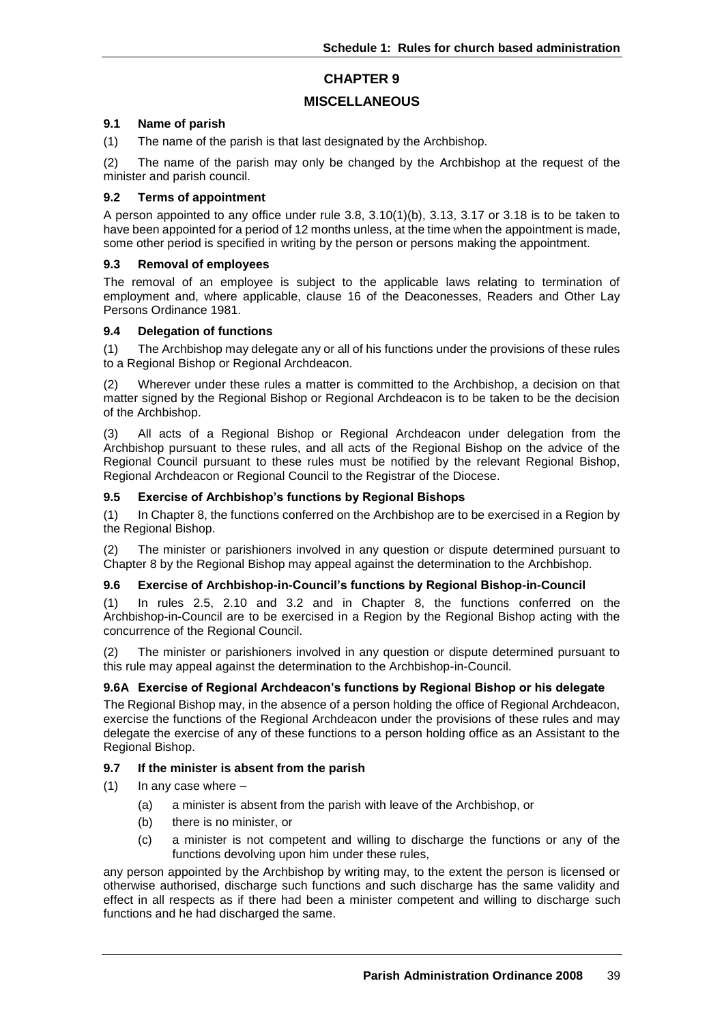# **MISCELLANEOUS**

#### **9.1 Name of parish**

(1) The name of the parish is that last designated by the Archbishop.

(2) The name of the parish may only be changed by the Archbishop at the request of the minister and parish council.

#### **9.2 Terms of appointment**

A person appointed to any office under rule 3.8, 3.10(1)(b), 3.13, 3.17 or 3.18 is to be taken to have been appointed for a period of 12 months unless, at the time when the appointment is made, some other period is specified in writing by the person or persons making the appointment.

#### **9.3 Removal of employees**

The removal of an employee is subject to the applicable laws relating to termination of employment and, where applicable, clause 16 of the Deaconesses, Readers and Other Lay Persons Ordinance 1981.

#### **9.4 Delegation of functions**

(1) The Archbishop may delegate any or all of his functions under the provisions of these rules to a Regional Bishop or Regional Archdeacon.

(2) Wherever under these rules a matter is committed to the Archbishop, a decision on that matter signed by the Regional Bishop or Regional Archdeacon is to be taken to be the decision of the Archbishop.

(3) All acts of a Regional Bishop or Regional Archdeacon under delegation from the Archbishop pursuant to these rules, and all acts of the Regional Bishop on the advice of the Regional Council pursuant to these rules must be notified by the relevant Regional Bishop, Regional Archdeacon or Regional Council to the Registrar of the Diocese.

#### **9.5 Exercise of Archbishop's functions by Regional Bishops**

(1) In Chapter 8, the functions conferred on the Archbishop are to be exercised in a Region by the Regional Bishop.

(2) The minister or parishioners involved in any question or dispute determined pursuant to Chapter 8 by the Regional Bishop may appeal against the determination to the Archbishop.

# **9.6 Exercise of Archbishop-in-Council's functions by Regional Bishop-in-Council**

(1) In rules 2.5, 2.10 and 3.2 and in Chapter 8, the functions conferred on the Archbishop-in-Council are to be exercised in a Region by the Regional Bishop acting with the concurrence of the Regional Council.

(2) The minister or parishioners involved in any question or dispute determined pursuant to this rule may appeal against the determination to the Archbishop-in-Council.

# **9.6A Exercise of Regional Archdeacon's functions by Regional Bishop or his delegate**

The Regional Bishop may, in the absence of a person holding the office of Regional Archdeacon, exercise the functions of the Regional Archdeacon under the provisions of these rules and may delegate the exercise of any of these functions to a person holding office as an Assistant to the Regional Bishop.

# **9.7 If the minister is absent from the parish**

- $(1)$  In any case where
	- (a) a minister is absent from the parish with leave of the Archbishop, or
	- (b) there is no minister, or
	- (c) a minister is not competent and willing to discharge the functions or any of the functions devolving upon him under these rules,

any person appointed by the Archbishop by writing may, to the extent the person is licensed or otherwise authorised, discharge such functions and such discharge has the same validity and effect in all respects as if there had been a minister competent and willing to discharge such functions and he had discharged the same.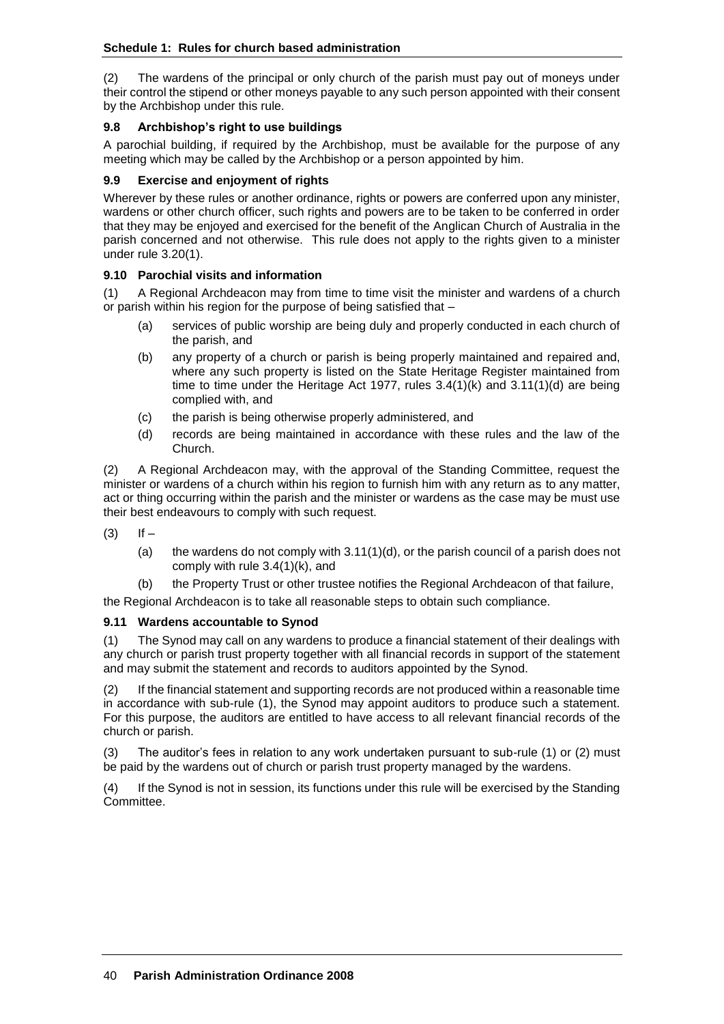(2) The wardens of the principal or only church of the parish must pay out of moneys under their control the stipend or other moneys payable to any such person appointed with their consent by the Archbishop under this rule.

# **9.8 Archbishop's right to use buildings**

A parochial building, if required by the Archbishop, must be available for the purpose of any meeting which may be called by the Archbishop or a person appointed by him.

# **9.9 Exercise and enjoyment of rights**

Wherever by these rules or another ordinance, rights or powers are conferred upon any minister, wardens or other church officer, such rights and powers are to be taken to be conferred in order that they may be enjoyed and exercised for the benefit of the Anglican Church of Australia in the parish concerned and not otherwise. This rule does not apply to the rights given to a minister under rule 3.20(1).

# **9.10 Parochial visits and information**

(1) A Regional Archdeacon may from time to time visit the minister and wardens of a church or parish within his region for the purpose of being satisfied that –

- (a) services of public worship are being duly and properly conducted in each church of the parish, and
- (b) any property of a church or parish is being properly maintained and repaired and, where any such property is listed on the State Heritage Register maintained from time to time under the Heritage Act 1977, rules 3.4(1)(k) and 3.11(1)(d) are being complied with, and
- (c) the parish is being otherwise properly administered, and
- (d) records are being maintained in accordance with these rules and the law of the Church.

(2) A Regional Archdeacon may, with the approval of the Standing Committee, request the minister or wardens of a church within his region to furnish him with any return as to any matter, act or thing occurring within the parish and the minister or wardens as the case may be must use their best endeavours to comply with such request.

 $(3)$  If  $-$ 

- (a) the wardens do not comply with  $3.11(1)(d)$ , or the parish council of a parish does not comply with rule 3.4(1)(k), and
- (b) the Property Trust or other trustee notifies the Regional Archdeacon of that failure,

the Regional Archdeacon is to take all reasonable steps to obtain such compliance.

# **9.11 Wardens accountable to Synod**

(1) The Synod may call on any wardens to produce a financial statement of their dealings with any church or parish trust property together with all financial records in support of the statement and may submit the statement and records to auditors appointed by the Synod.

(2) If the financial statement and supporting records are not produced within a reasonable time in accordance with sub-rule (1), the Synod may appoint auditors to produce such a statement. For this purpose, the auditors are entitled to have access to all relevant financial records of the church or parish.

(3) The auditor's fees in relation to any work undertaken pursuant to sub-rule (1) or (2) must be paid by the wardens out of church or parish trust property managed by the wardens.

(4) If the Synod is not in session, its functions under this rule will be exercised by the Standing Committee.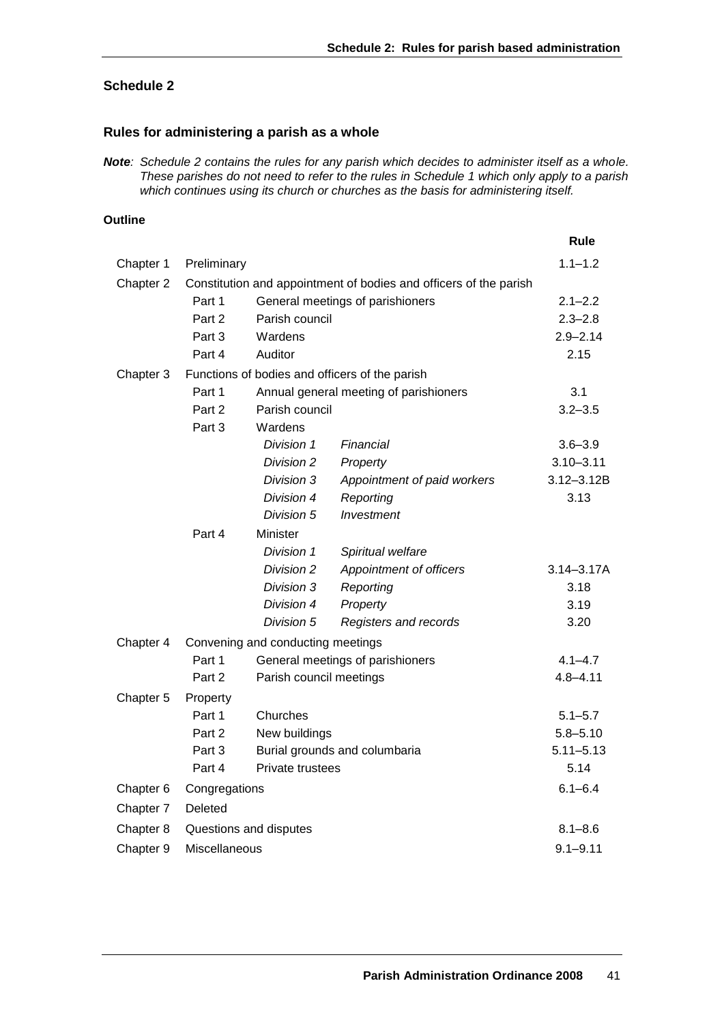# **Schedule 2**

# **Rules for administering a parish as a whole**

*Note: Schedule 2 contains the rules for any parish which decides to administer itself as a whole. These parishes do not need to refer to the rules in Schedule 1 which only apply to a parish which continues using its church or churches as the basis for administering itself.*

# **Outline**

|           |                                                                   |                                  |                             | Rule           |
|-----------|-------------------------------------------------------------------|----------------------------------|-----------------------------|----------------|
| Chapter 1 | Preliminary                                                       |                                  |                             | $1.1 - 1.2$    |
| Chapter 2 | Constitution and appointment of bodies and officers of the parish |                                  |                             |                |
|           | Part 1<br>General meetings of parishioners                        |                                  |                             | $2.1 - 2.2$    |
|           | Part 2                                                            | Parish council                   |                             | $2.3 - 2.8$    |
|           | Part 3                                                            | Wardens                          |                             | $2.9 - 2.14$   |
|           | Part 4                                                            | Auditor                          |                             | 2.15           |
| Chapter 3 | Functions of bodies and officers of the parish                    |                                  |                             |                |
|           | Part 1<br>Annual general meeting of parishioners                  |                                  |                             | 3.1            |
|           | Part 2                                                            |                                  | Parish council              |                |
|           | Part 3                                                            | Wardens                          |                             |                |
|           |                                                                   | Division 1                       | Financial                   | $3.6 - 3.9$    |
|           |                                                                   | Division 2                       | Property                    | $3.10 - 3.11$  |
|           |                                                                   | Division 3                       | Appointment of paid workers | $3.12 - 3.12B$ |
|           |                                                                   | Division 4                       | Reporting                   | 3.13           |
|           |                                                                   | Division 5                       | Investment                  |                |
|           | Part 4                                                            | Minister                         |                             |                |
|           |                                                                   | Division 1                       | Spiritual welfare           |                |
|           |                                                                   | Division 2                       | Appointment of officers     | $3.14 - 3.17A$ |
|           |                                                                   | Division 3                       | Reporting                   | 3.18           |
|           |                                                                   | Division 4                       | Property                    | 3.19           |
|           |                                                                   | Division 5                       | Registers and records       | 3.20           |
| Chapter 4 | Convening and conducting meetings                                 |                                  |                             |                |
|           | Part 1                                                            | General meetings of parishioners |                             | $4.1 - 4.7$    |
|           | Part 2                                                            | Parish council meetings          |                             | $4.8 - 4.11$   |
| Chapter 5 | Property                                                          |                                  |                             |                |
|           | Part 1                                                            | Churches                         |                             | $5.1 - 5.7$    |
|           | Part 2                                                            | New buildings                    |                             | $5.8 - 5.10$   |
|           | Part 3                                                            | Burial grounds and columbaria    |                             | $5.11 - 5.13$  |
|           | Part 4                                                            | Private trustees                 |                             | 5.14           |
| Chapter 6 | Congregations                                                     |                                  |                             | $6.1 - 6.4$    |
| Chapter 7 | Deleted                                                           |                                  |                             |                |
| Chapter 8 | Questions and disputes                                            |                                  |                             | $8.1 - 8.6$    |
| Chapter 9 | Miscellaneous                                                     |                                  |                             | $9.1 - 9.11$   |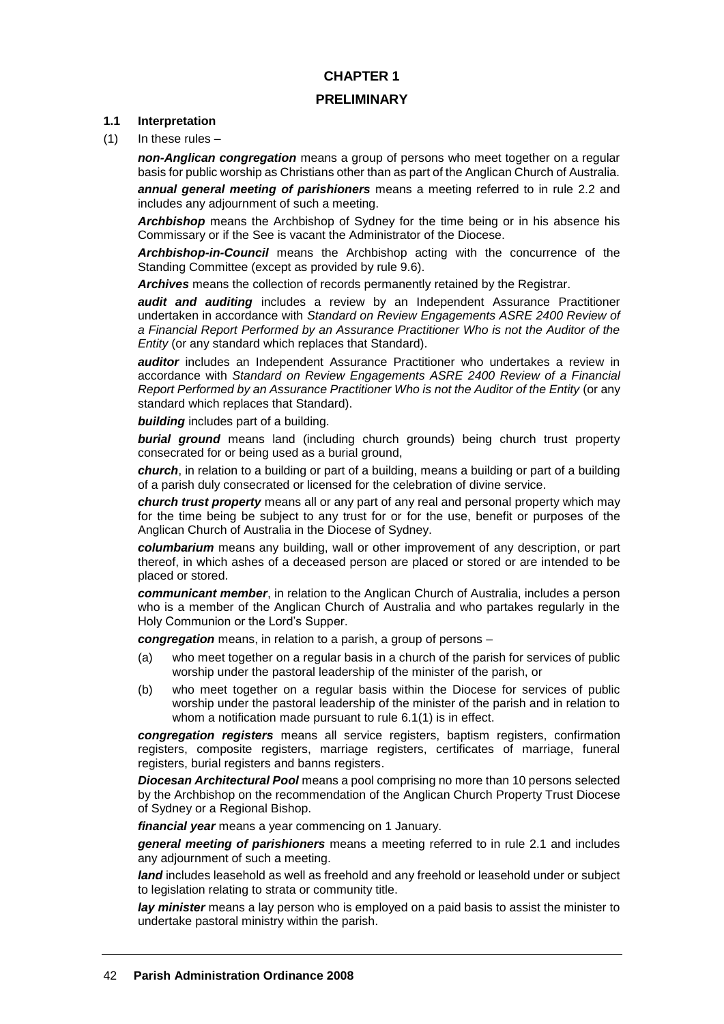# **CHAPTER 1 PRELIMINARY**

#### **1.1 Interpretation**

(1) In these rules –

*non-Anglican congregation* means a group of persons who meet together on a regular basis for public worship as Christians other than as part of the Anglican Church of Australia.

*annual general meeting of parishioners* means a meeting referred to in rule 2.2 and includes any adjournment of such a meeting.

*Archbishop* means the Archbishop of Sydney for the time being or in his absence his Commissary or if the See is vacant the Administrator of the Diocese.

*Archbishop-in-Council* means the Archbishop acting with the concurrence of the Standing Committee (except as provided by rule 9.6).

*Archives* means the collection of records permanently retained by the Registrar.

*audit and auditing* includes a review by an Independent Assurance Practitioner undertaken in accordance with *Standard on Review Engagements ASRE 2400 Review of a Financial Report Performed by an Assurance Practitioner Who is not the Auditor of the Entity* (or any standard which replaces that Standard).

*auditor* includes an Independent Assurance Practitioner who undertakes a review in accordance with *Standard on Review Engagements ASRE 2400 Review of a Financial Report Performed by an Assurance Practitioner Who is not the Auditor of the Entity* (or any standard which replaces that Standard).

*building* includes part of a building.

*burial ground* means land (including church grounds) being church trust property consecrated for or being used as a burial ground,

*church*, in relation to a building or part of a building, means a building or part of a building of a parish duly consecrated or licensed for the celebration of divine service.

*church trust property* means all or any part of any real and personal property which may for the time being be subject to any trust for or for the use, benefit or purposes of the Anglican Church of Australia in the Diocese of Sydney.

*columbarium* means any building, wall or other improvement of any description, or part thereof, in which ashes of a deceased person are placed or stored or are intended to be placed or stored.

*communicant member*, in relation to the Anglican Church of Australia, includes a person who is a member of the Anglican Church of Australia and who partakes regularly in the Holy Communion or the Lord's Supper.

*congregation* means, in relation to a parish, a group of persons –

- (a) who meet together on a regular basis in a church of the parish for services of public worship under the pastoral leadership of the minister of the parish, or
- (b) who meet together on a regular basis within the Diocese for services of public worship under the pastoral leadership of the minister of the parish and in relation to whom a notification made pursuant to rule 6.1(1) is in effect.

*congregation registers* means all service registers, baptism registers, confirmation registers, composite registers, marriage registers, certificates of marriage, funeral registers, burial registers and banns registers.

*Diocesan Architectural Pool* means a pool comprising no more than 10 persons selected by the Archbishop on the recommendation of the Anglican Church Property Trust Diocese of Sydney or a Regional Bishop.

*financial year* means a year commencing on 1 January.

*general meeting of parishioners* means a meeting referred to in rule 2.1 and includes any adjournment of such a meeting.

*land* includes leasehold as well as freehold and any freehold or leasehold under or subject to legislation relating to strata or community title.

*lay minister* means a lay person who is employed on a paid basis to assist the minister to undertake pastoral ministry within the parish.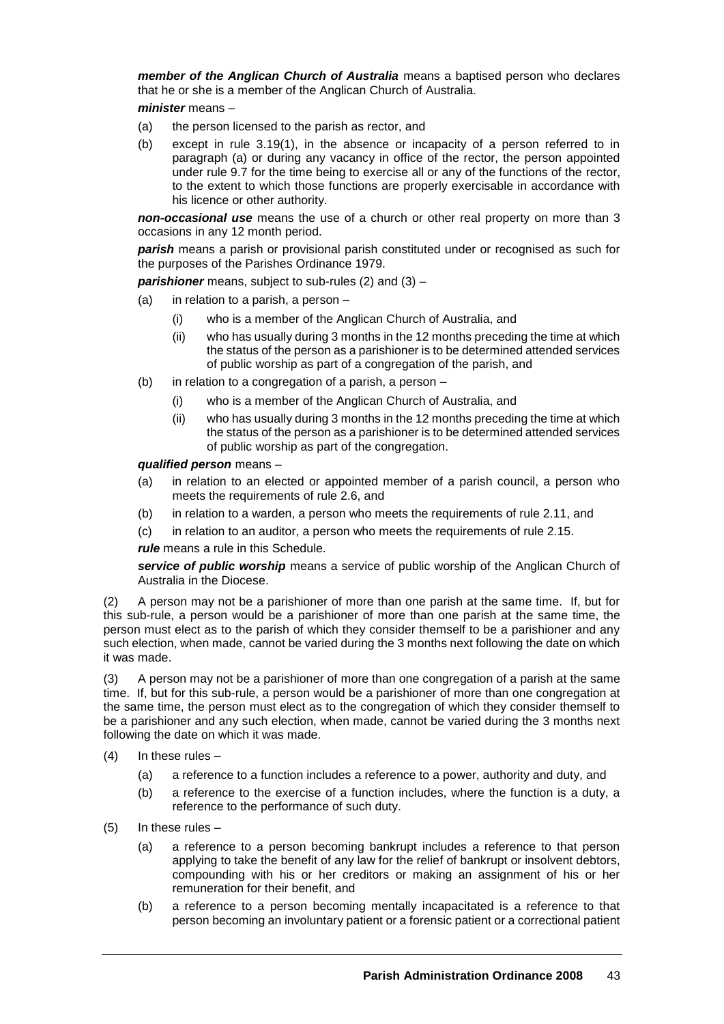*member of the Anglican Church of Australia* means a baptised person who declares that he or she is a member of the Anglican Church of Australia.

*minister* means –

- (a) the person licensed to the parish as rector, and
- (b) except in rule 3.19(1), in the absence or incapacity of a person referred to in paragraph (a) or during any vacancy in office of the rector, the person appointed under rule 9.7 for the time being to exercise all or any of the functions of the rector, to the extent to which those functions are properly exercisable in accordance with his licence or other authority.

*non-occasional use* means the use of a church or other real property on more than 3 occasions in any 12 month period.

*parish* means a parish or provisional parish constituted under or recognised as such for the purposes of the Parishes Ordinance 1979.

*parishioner* means, subject to sub-rules (2) and (3) –

- (a) in relation to a parish, a person
	- (i) who is a member of the Anglican Church of Australia, and
	- (ii) who has usually during 3 months in the 12 months preceding the time at which the status of the person as a parishioner is to be determined attended services of public worship as part of a congregation of the parish, and
- (b) in relation to a congregation of a parish, a person
	- (i) who is a member of the Anglican Church of Australia, and
	- (ii) who has usually during 3 months in the 12 months preceding the time at which the status of the person as a parishioner is to be determined attended services of public worship as part of the congregation.

*qualified person* means –

- (a) in relation to an elected or appointed member of a parish council, a person who meets the requirements of rule 2.6, and
- (b) in relation to a warden, a person who meets the requirements of rule 2.11, and
- (c) in relation to an auditor, a person who meets the requirements of rule 2.15.

*rule* means a rule in this Schedule.

*service of public worship* means a service of public worship of the Anglican Church of Australia in the Diocese.

(2) A person may not be a parishioner of more than one parish at the same time. If, but for this sub-rule, a person would be a parishioner of more than one parish at the same time, the person must elect as to the parish of which they consider themself to be a parishioner and any such election, when made, cannot be varied during the 3 months next following the date on which it was made.

(3) A person may not be a parishioner of more than one congregation of a parish at the same time. If, but for this sub-rule, a person would be a parishioner of more than one congregation at the same time, the person must elect as to the congregation of which they consider themself to be a parishioner and any such election, when made, cannot be varied during the 3 months next following the date on which it was made.

- $(4)$  In these rules
	- (a) a reference to a function includes a reference to a power, authority and duty, and
	- (b) a reference to the exercise of a function includes, where the function is a duty, a reference to the performance of such duty.
- (5) In these rules
	- (a) a reference to a person becoming bankrupt includes a reference to that person applying to take the benefit of any law for the relief of bankrupt or insolvent debtors, compounding with his or her creditors or making an assignment of his or her remuneration for their benefit, and
	- (b) a reference to a person becoming mentally incapacitated is a reference to that person becoming an involuntary patient or a forensic patient or a correctional patient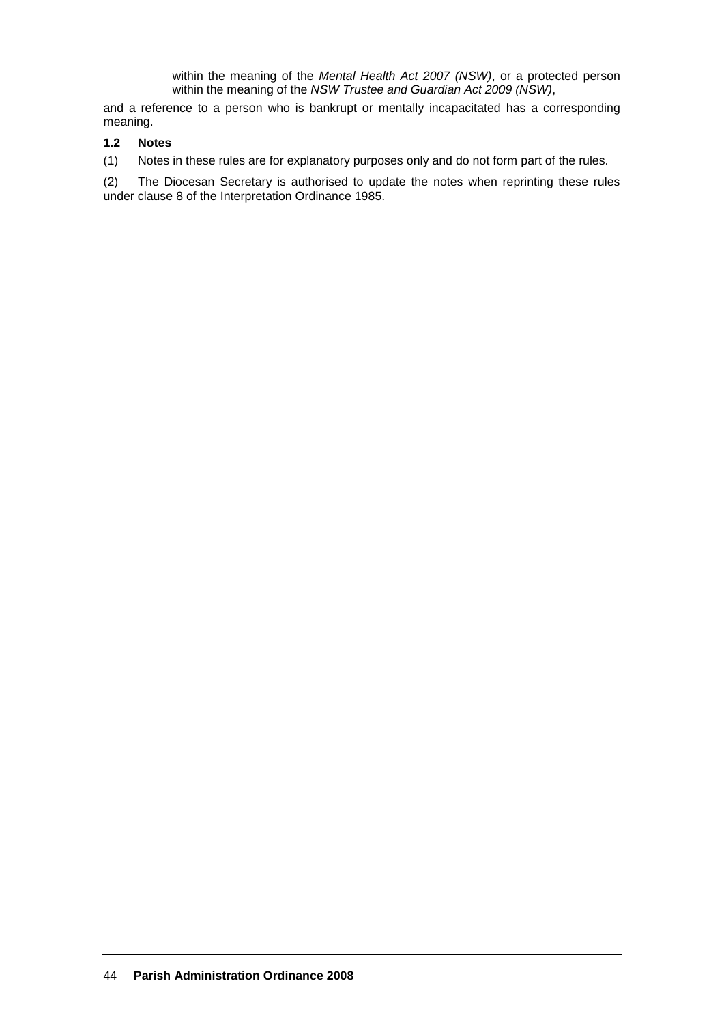within the meaning of the *Mental Health Act 2007 (NSW)*, or a protected person within the meaning of the *NSW Trustee and Guardian Act 2009 (NSW)*,

and a reference to a person who is bankrupt or mentally incapacitated has a corresponding meaning.

# **1.2 Notes**

(1) Notes in these rules are for explanatory purposes only and do not form part of the rules.

(2) The Diocesan Secretary is authorised to update the notes when reprinting these rules under clause 8 of the Interpretation Ordinance 1985.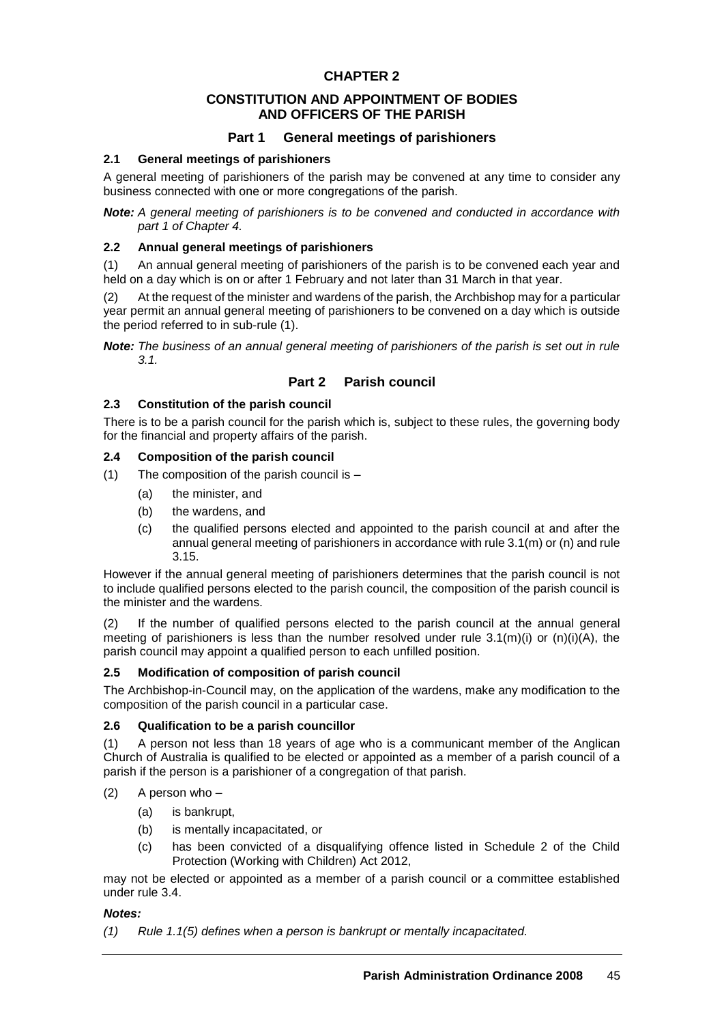# **CONSTITUTION AND APPOINTMENT OF BODIES AND OFFICERS OF THE PARISH**

# **Part 1 General meetings of parishioners**

# **2.1 General meetings of parishioners**

A general meeting of parishioners of the parish may be convened at any time to consider any business connected with one or more congregations of the parish.

*Note: A general meeting of parishioners is to be convened and conducted in accordance with part 1 of Chapter 4.*

# **2.2 Annual general meetings of parishioners**

(1) An annual general meeting of parishioners of the parish is to be convened each year and held on a day which is on or after 1 February and not later than 31 March in that year.

(2) At the request of the minister and wardens of the parish, the Archbishop may for a particular year permit an annual general meeting of parishioners to be convened on a day which is outside the period referred to in sub-rule (1).

*Note: The business of an annual general meeting of parishioners of the parish is set out in rule 3.1.* 

# **Part 2 Parish council**

# **2.3 Constitution of the parish council**

There is to be a parish council for the parish which is, subject to these rules, the governing body for the financial and property affairs of the parish.

# **2.4 Composition of the parish council**

- (1) The composition of the parish council is  $-$ 
	- (a) the minister, and
	- (b) the wardens, and
	- (c) the qualified persons elected and appointed to the parish council at and after the annual general meeting of parishioners in accordance with rule 3.1(m) or (n) and rule 3.15.

However if the annual general meeting of parishioners determines that the parish council is not to include qualified persons elected to the parish council, the composition of the parish council is the minister and the wardens.

(2) If the number of qualified persons elected to the parish council at the annual general meeting of parishioners is less than the number resolved under rule  $3.1(m)(i)$  or  $(n)(i)(A)$ , the parish council may appoint a qualified person to each unfilled position.

# **2.5 Modification of composition of parish council**

The Archbishop-in-Council may, on the application of the wardens, make any modification to the composition of the parish council in a particular case.

# **2.6 Qualification to be a parish councillor**

(1) A person not less than 18 years of age who is a communicant member of the Anglican Church of Australia is qualified to be elected or appointed as a member of a parish council of a parish if the person is a parishioner of a congregation of that parish.

- (2) A person who
	- (a) is bankrupt,
	- (b) is mentally incapacitated, or
	- (c) has been convicted of a disqualifying offence listed in Schedule 2 of the Child Protection (Working with Children) Act 2012,

may not be elected or appointed as a member of a parish council or a committee established under rule 3.4.

# *Notes:*

*(1) Rule 1.1(5) defines when a person is bankrupt or mentally incapacitated.*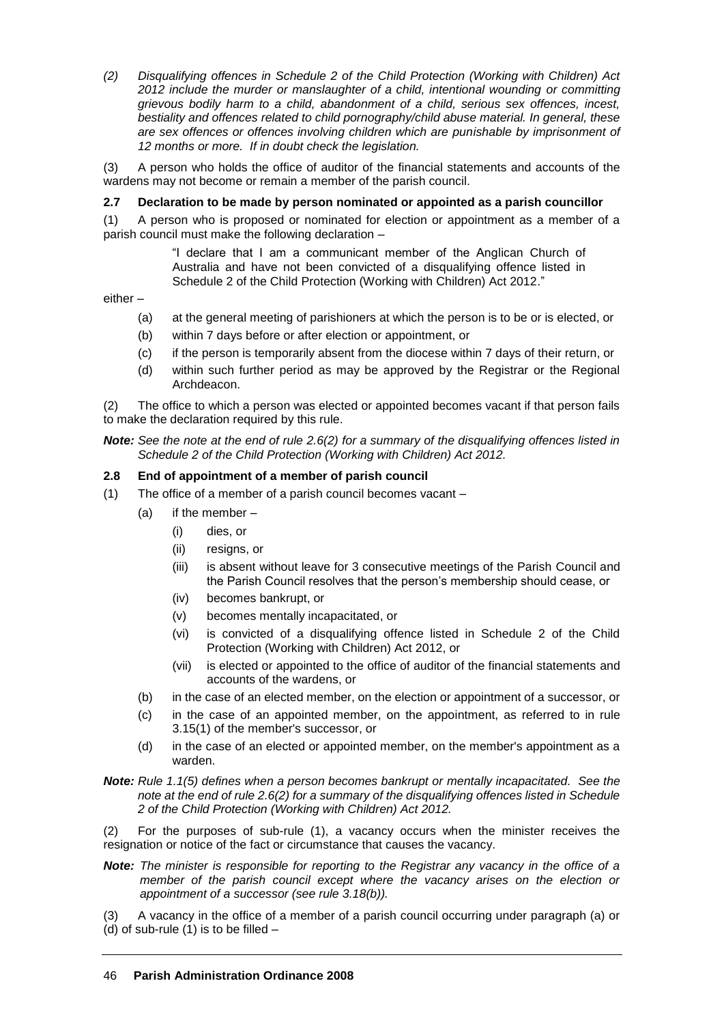*(2) Disqualifying offences in Schedule 2 of the Child Protection (Working with Children) Act 2012 include the murder or manslaughter of a child, intentional wounding or committing grievous bodily harm to a child, abandonment of a child, serious sex offences, incest, bestiality and offences related to child pornography/child abuse material. In general, these are sex offences or offences involving children which are punishable by imprisonment of 12 months or more. If in doubt check the legislation.*

(3) A person who holds the office of auditor of the financial statements and accounts of the wardens may not become or remain a member of the parish council.

# **2.7 Declaration to be made by person nominated or appointed as a parish councillor**

(1) A person who is proposed or nominated for election or appointment as a member of a parish council must make the following declaration –

> "I declare that I am a communicant member of the Anglican Church of Australia and have not been convicted of a disqualifying offence listed in Schedule 2 of the Child Protection (Working with Children) Act 2012."

either –

- (a) at the general meeting of parishioners at which the person is to be or is elected, or
- (b) within 7 days before or after election or appointment, or
- (c) if the person is temporarily absent from the diocese within 7 days of their return, or
- (d) within such further period as may be approved by the Registrar or the Regional Archdeacon.

(2) The office to which a person was elected or appointed becomes vacant if that person fails to make the declaration required by this rule.

#### *Note: See the note at the end of rule 2.6(2) for a summary of the disqualifying offences listed in Schedule 2 of the Child Protection (Working with Children) Act 2012.*

#### **2.8 End of appointment of a member of parish council**

- (1) The office of a member of a parish council becomes vacant
	- (a) if the member
		- (i) dies, or
		- (ii) resigns, or
		- (iii) is absent without leave for 3 consecutive meetings of the Parish Council and the Parish Council resolves that the person's membership should cease, or
		- (iv) becomes bankrupt, or
		- (v) becomes mentally incapacitated, or
		- (vi) is convicted of a disqualifying offence listed in Schedule 2 of the Child Protection (Working with Children) Act 2012, or
		- (vii) is elected or appointed to the office of auditor of the financial statements and accounts of the wardens, or
	- (b) in the case of an elected member, on the election or appointment of a successor, or
	- (c) in the case of an appointed member, on the appointment, as referred to in rule 3.15(1) of the member's successor, or
	- (d) in the case of an elected or appointed member, on the member's appointment as a warden.
- *Note: Rule 1.1(5) defines when a person becomes bankrupt or mentally incapacitated. See the note at the end of rule 2.6(2) for a summary of the disqualifying offences listed in Schedule 2 of the Child Protection (Working with Children) Act 2012.*
- (2) For the purposes of sub-rule (1), a vacancy occurs when the minister receives the resignation or notice of the fact or circumstance that causes the vacancy.
- *Note: The minister is responsible for reporting to the Registrar any vacancy in the office of a member of the parish council except where the vacancy arises on the election or appointment of a successor (see rule 3.18(b)).*

(3) A vacancy in the office of a member of a parish council occurring under paragraph (a) or (d) of sub-rule  $(1)$  is to be filled  $-$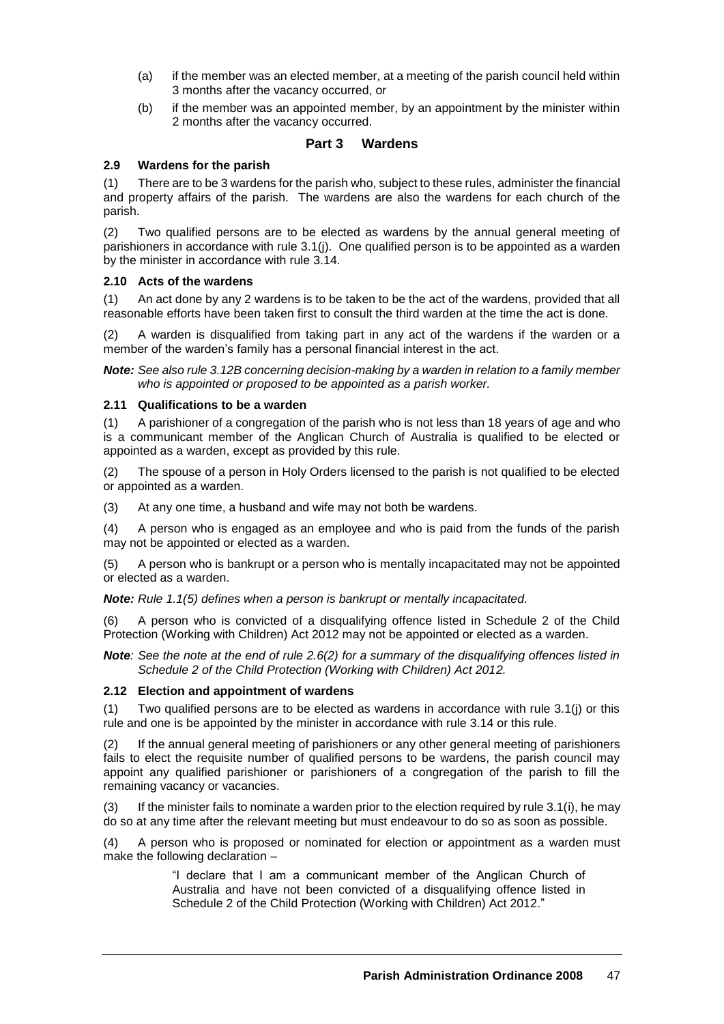- (a) if the member was an elected member, at a meeting of the parish council held within 3 months after the vacancy occurred, or
- (b) if the member was an appointed member, by an appointment by the minister within 2 months after the vacancy occurred.

# **Part 3 Wardens**

#### **2.9 Wardens for the parish**

(1) There are to be 3 wardens for the parish who, subject to these rules, administer the financial and property affairs of the parish. The wardens are also the wardens for each church of the parish.

(2) Two qualified persons are to be elected as wardens by the annual general meeting of parishioners in accordance with rule 3.1(j). One qualified person is to be appointed as a warden by the minister in accordance with rule 3.14.

#### **2.10 Acts of the wardens**

(1) An act done by any 2 wardens is to be taken to be the act of the wardens, provided that all reasonable efforts have been taken first to consult the third warden at the time the act is done.

(2) A warden is disqualified from taking part in any act of the wardens if the warden or a member of the warden's family has a personal financial interest in the act.

*Note: See also rule 3.12B concerning decision-making by a warden in relation to a family member who is appointed or proposed to be appointed as a parish worker.*

#### **2.11 Qualifications to be a warden**

(1) A parishioner of a congregation of the parish who is not less than 18 years of age and who is a communicant member of the Anglican Church of Australia is qualified to be elected or appointed as a warden, except as provided by this rule.

(2) The spouse of a person in Holy Orders licensed to the parish is not qualified to be elected or appointed as a warden.

(3) At any one time, a husband and wife may not both be wardens.

(4) A person who is engaged as an employee and who is paid from the funds of the parish may not be appointed or elected as a warden.

(5) A person who is bankrupt or a person who is mentally incapacitated may not be appointed or elected as a warden.

*Note: Rule 1.1(5) defines when a person is bankrupt or mentally incapacitated.*

(6) A person who is convicted of a disqualifying offence listed in Schedule 2 of the Child Protection (Working with Children) Act 2012 may not be appointed or elected as a warden.

*Note: See the note at the end of rule 2.6(2) for a summary of the disqualifying offences listed in Schedule 2 of the Child Protection (Working with Children) Act 2012.*

#### **2.12 Election and appointment of wardens**

(1) Two qualified persons are to be elected as wardens in accordance with rule 3.1(j) or this rule and one is be appointed by the minister in accordance with rule 3.14 or this rule.

(2) If the annual general meeting of parishioners or any other general meeting of parishioners fails to elect the requisite number of qualified persons to be wardens, the parish council may appoint any qualified parishioner or parishioners of a congregation of the parish to fill the remaining vacancy or vacancies.

 $(3)$  If the minister fails to nominate a warden prior to the election required by rule 3.1(i), he may do so at any time after the relevant meeting but must endeavour to do so as soon as possible.

(4) A person who is proposed or nominated for election or appointment as a warden must make the following declaration –

> "I declare that I am a communicant member of the Anglican Church of Australia and have not been convicted of a disqualifying offence listed in Schedule 2 of the Child Protection (Working with Children) Act 2012."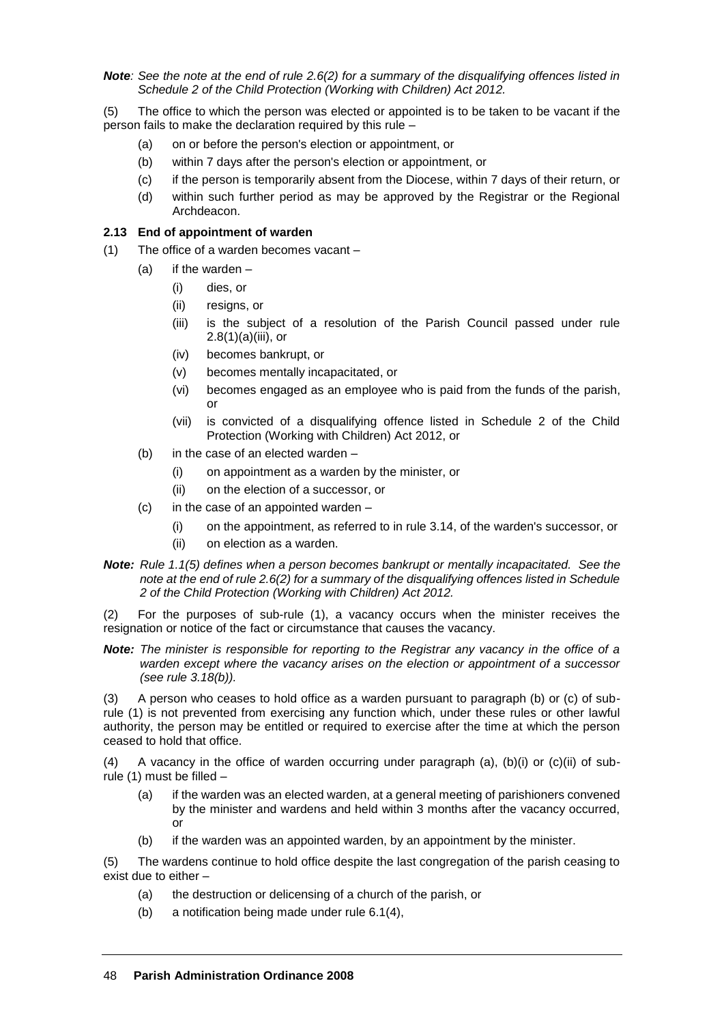*Note: See the note at the end of rule 2.6(2) for a summary of the disqualifying offences listed in Schedule 2 of the Child Protection (Working with Children) Act 2012.*

(5) The office to which the person was elected or appointed is to be taken to be vacant if the person fails to make the declaration required by this rule –

- (a) on or before the person's election or appointment, or
- (b) within 7 days after the person's election or appointment, or
- (c) if the person is temporarily absent from the Diocese, within 7 days of their return, or
- (d) within such further period as may be approved by the Registrar or the Regional Archdeacon.

#### **2.13 End of appointment of warden**

- (1) The office of a warden becomes vacant
	- $(a)$  if the warden
		- (i) dies, or
		- (ii) resigns, or
		- (iii) is the subject of a resolution of the Parish Council passed under rule  $2.8(1)(a)(iii)$ , or
		- (iv) becomes bankrupt, or
		- (v) becomes mentally incapacitated, or
		- (vi) becomes engaged as an employee who is paid from the funds of the parish, or
		- (vii) is convicted of a disqualifying offence listed in Schedule 2 of the Child Protection (Working with Children) Act 2012, or
	- (b) in the case of an elected warden
		- (i) on appointment as a warden by the minister, or
		- (ii) on the election of a successor, or
	- (c) in the case of an appointed warden
		- (i) on the appointment, as referred to in rule 3.14, of the warden's successor, or
		- (ii) on election as a warden.
- *Note: Rule 1.1(5) defines when a person becomes bankrupt or mentally incapacitated. See the note at the end of rule 2.6(2) for a summary of the disqualifying offences listed in Schedule 2 of the Child Protection (Working with Children) Act 2012.*

(2) For the purposes of sub-rule (1), a vacancy occurs when the minister receives the resignation or notice of the fact or circumstance that causes the vacancy.

*Note: The minister is responsible for reporting to the Registrar any vacancy in the office of a warden except where the vacancy arises on the election or appointment of a successor (see rule 3.18(b)).*

(3) A person who ceases to hold office as a warden pursuant to paragraph (b) or (c) of subrule (1) is not prevented from exercising any function which, under these rules or other lawful authority, the person may be entitled or required to exercise after the time at which the person ceased to hold that office.

(4) A vacancy in the office of warden occurring under paragraph (a),  $(b)(i)$  or  $(c)(ii)$  of subrule (1) must be filled –

- (a) if the warden was an elected warden, at a general meeting of parishioners convened by the minister and wardens and held within 3 months after the vacancy occurred, or
- (b) if the warden was an appointed warden, by an appointment by the minister.

(5) The wardens continue to hold office despite the last congregation of the parish ceasing to exist due to either –

- (a) the destruction or delicensing of a church of the parish, or
- (b) a notification being made under rule 6.1(4),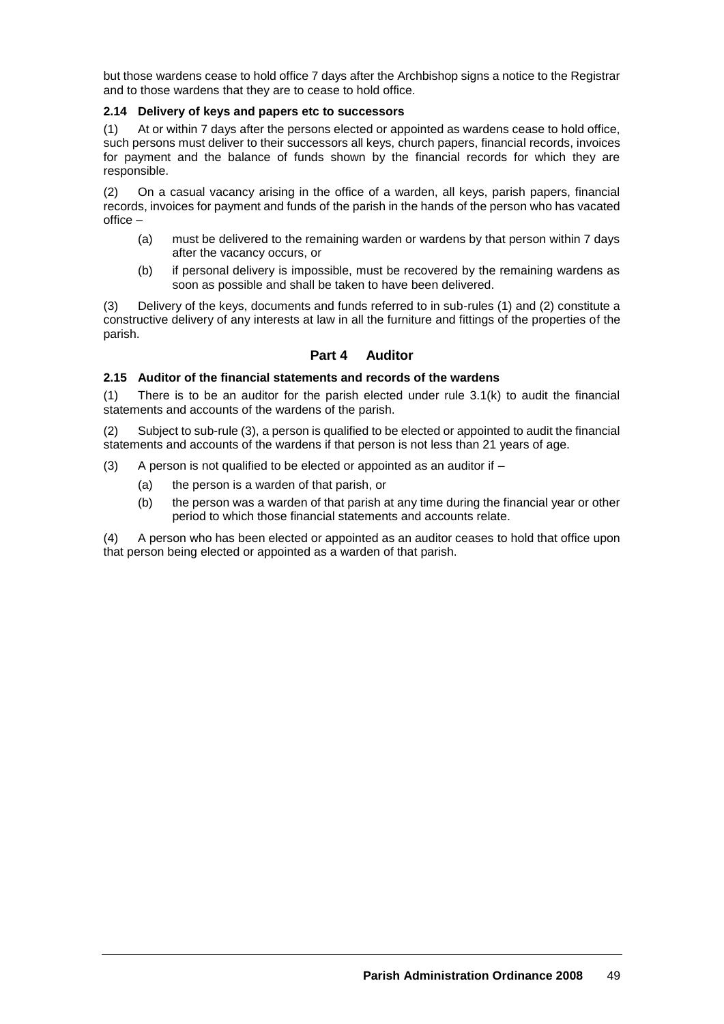but those wardens cease to hold office 7 days after the Archbishop signs a notice to the Registrar and to those wardens that they are to cease to hold office.

# **2.14 Delivery of keys and papers etc to successors**

(1) At or within 7 days after the persons elected or appointed as wardens cease to hold office, such persons must deliver to their successors all keys, church papers, financial records, invoices for payment and the balance of funds shown by the financial records for which they are responsible.

(2) On a casual vacancy arising in the office of a warden, all keys, parish papers, financial records, invoices for payment and funds of the parish in the hands of the person who has vacated office –

- (a) must be delivered to the remaining warden or wardens by that person within 7 days after the vacancy occurs, or
- (b) if personal delivery is impossible, must be recovered by the remaining wardens as soon as possible and shall be taken to have been delivered.

(3) Delivery of the keys, documents and funds referred to in sub-rules (1) and (2) constitute a constructive delivery of any interests at law in all the furniture and fittings of the properties of the parish.

# **Part 4 Auditor**

# **2.15 Auditor of the financial statements and records of the wardens**

(1) There is to be an auditor for the parish elected under rule 3.1(k) to audit the financial statements and accounts of the wardens of the parish.

(2) Subject to sub-rule (3), a person is qualified to be elected or appointed to audit the financial statements and accounts of the wardens if that person is not less than 21 years of age.

- (3) A person is not qualified to be elected or appointed as an auditor if  $-$ 
	- (a) the person is a warden of that parish, or
	- (b) the person was a warden of that parish at any time during the financial year or other period to which those financial statements and accounts relate.

(4) A person who has been elected or appointed as an auditor ceases to hold that office upon that person being elected or appointed as a warden of that parish.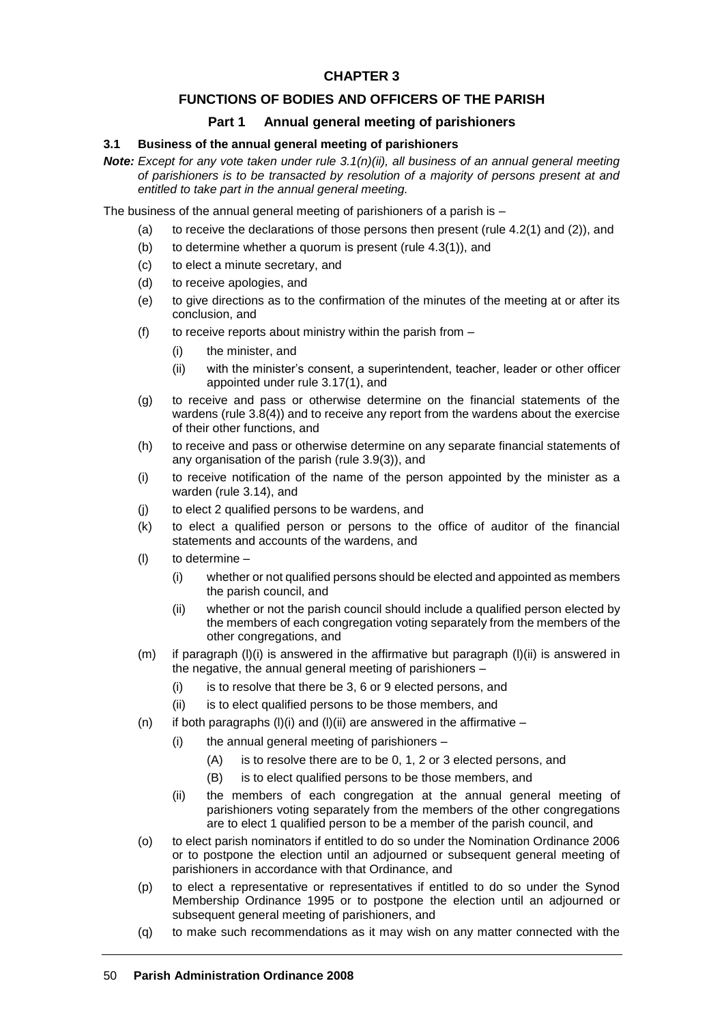# **FUNCTIONS OF BODIES AND OFFICERS OF THE PARISH**

# **Part 1 Annual general meeting of parishioners**

#### **3.1 Business of the annual general meeting of parishioners**

*Note: Except for any vote taken under rule 3.1(n)(ii), all business of an annual general meeting of parishioners is to be transacted by resolution of a majority of persons present at and entitled to take part in the annual general meeting.*

The business of the annual general meeting of parishioners of a parish is –

- (a) to receive the declarations of those persons then present (rule  $4.2(1)$  and  $(2)$ ), and
- (b) to determine whether a quorum is present (rule 4.3(1)), and
- (c) to elect a minute secretary, and
- (d) to receive apologies, and
- (e) to give directions as to the confirmation of the minutes of the meeting at or after its conclusion, and
- (f) to receive reports about ministry within the parish from  $-$ 
	- (i) the minister, and
	- (ii) with the minister's consent, a superintendent, teacher, leader or other officer appointed under rule 3.17(1), and
- (g) to receive and pass or otherwise determine on the financial statements of the wardens (rule 3.8(4)) and to receive any report from the wardens about the exercise of their other functions, and
- (h) to receive and pass or otherwise determine on any separate financial statements of any organisation of the parish (rule 3.9(3)), and
- (i) to receive notification of the name of the person appointed by the minister as a warden (rule 3.14), and
- (j) to elect 2 qualified persons to be wardens, and
- (k) to elect a qualified person or persons to the office of auditor of the financial statements and accounts of the wardens, and
- (l) to determine
	- (i) whether or not qualified persons should be elected and appointed as members the parish council, and
	- (ii) whether or not the parish council should include a qualified person elected by the members of each congregation voting separately from the members of the other congregations, and
- (m) if paragraph (l)(i) is answered in the affirmative but paragraph (l)(ii) is answered in the negative, the annual general meeting of parishioners –
	- (i) is to resolve that there be 3, 6 or 9 elected persons, and
	- (ii) is to elect qualified persons to be those members, and
- (n) if both paragraphs (I)(i) and (I)(ii) are answered in the affirmative
	- (i) the annual general meeting of parishioners
		- (A) is to resolve there are to be 0, 1, 2 or 3 elected persons, and
		- (B) is to elect qualified persons to be those members, and
	- (ii) the members of each congregation at the annual general meeting of parishioners voting separately from the members of the other congregations are to elect 1 qualified person to be a member of the parish council, and
- (o) to elect parish nominators if entitled to do so under the Nomination Ordinance 2006 or to postpone the election until an adjourned or subsequent general meeting of parishioners in accordance with that Ordinance, and
- (p) to elect a representative or representatives if entitled to do so under the Synod Membership Ordinance 1995 or to postpone the election until an adjourned or subsequent general meeting of parishioners, and
- (q) to make such recommendations as it may wish on any matter connected with the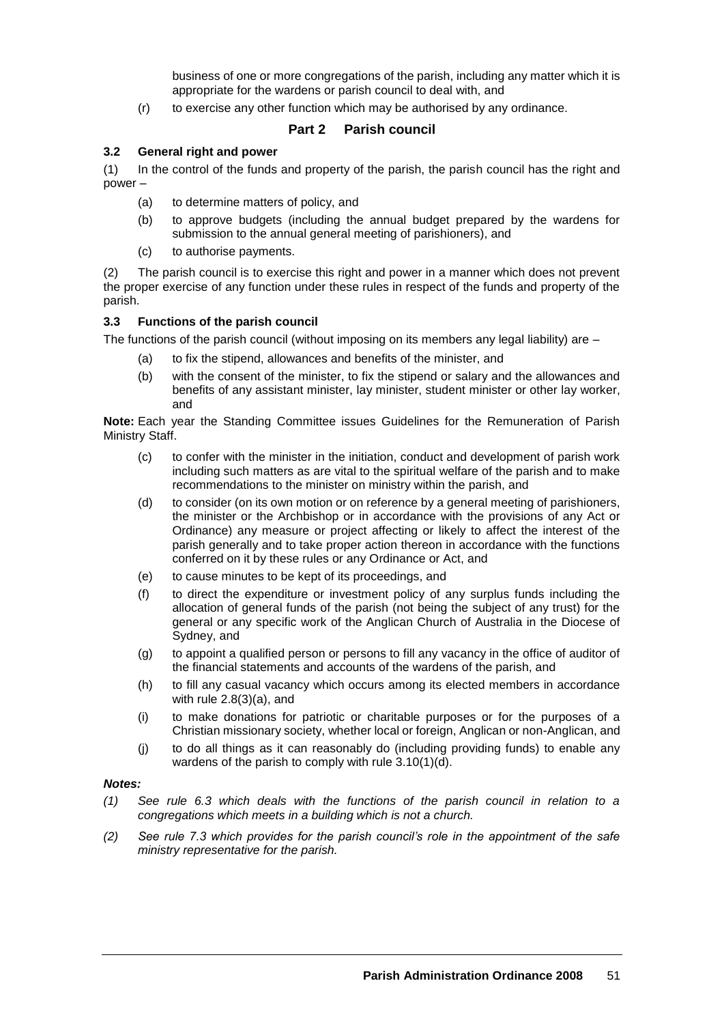business of one or more congregations of the parish, including any matter which it is appropriate for the wardens or parish council to deal with, and

(r) to exercise any other function which may be authorised by any ordinance.

# **Part 2 Parish council**

#### **3.2 General right and power**

(1) In the control of the funds and property of the parish, the parish council has the right and power –

- (a) to determine matters of policy, and
- (b) to approve budgets (including the annual budget prepared by the wardens for submission to the annual general meeting of parishioners), and
- (c) to authorise payments.

(2) The parish council is to exercise this right and power in a manner which does not prevent the proper exercise of any function under these rules in respect of the funds and property of the parish.

#### **3.3 Functions of the parish council**

The functions of the parish council (without imposing on its members any legal liability) are  $-$ 

- (a) to fix the stipend, allowances and benefits of the minister, and
- (b) with the consent of the minister, to fix the stipend or salary and the allowances and benefits of any assistant minister, lay minister, student minister or other lay worker, and

**Note:** Each year the Standing Committee issues Guidelines for the Remuneration of Parish Ministry Staff.

- (c) to confer with the minister in the initiation, conduct and development of parish work including such matters as are vital to the spiritual welfare of the parish and to make recommendations to the minister on ministry within the parish, and
- (d) to consider (on its own motion or on reference by a general meeting of parishioners, the minister or the Archbishop or in accordance with the provisions of any Act or Ordinance) any measure or project affecting or likely to affect the interest of the parish generally and to take proper action thereon in accordance with the functions conferred on it by these rules or any Ordinance or Act, and
- (e) to cause minutes to be kept of its proceedings, and
- (f) to direct the expenditure or investment policy of any surplus funds including the allocation of general funds of the parish (not being the subject of any trust) for the general or any specific work of the Anglican Church of Australia in the Diocese of Sydney, and
- (g) to appoint a qualified person or persons to fill any vacancy in the office of auditor of the financial statements and accounts of the wardens of the parish, and
- (h) to fill any casual vacancy which occurs among its elected members in accordance with rule 2.8(3)(a), and
- (i) to make donations for patriotic or charitable purposes or for the purposes of a Christian missionary society, whether local or foreign, Anglican or non-Anglican, and
- (j) to do all things as it can reasonably do (including providing funds) to enable any wardens of the parish to comply with rule 3.10(1)(d).

#### *Notes:*

- *(1) See rule 6.3 which deals with the functions of the parish council in relation to a congregations which meets in a building which is not a church.*
- *(2) See rule 7.3 which provides for the parish council's role in the appointment of the safe ministry representative for the parish.*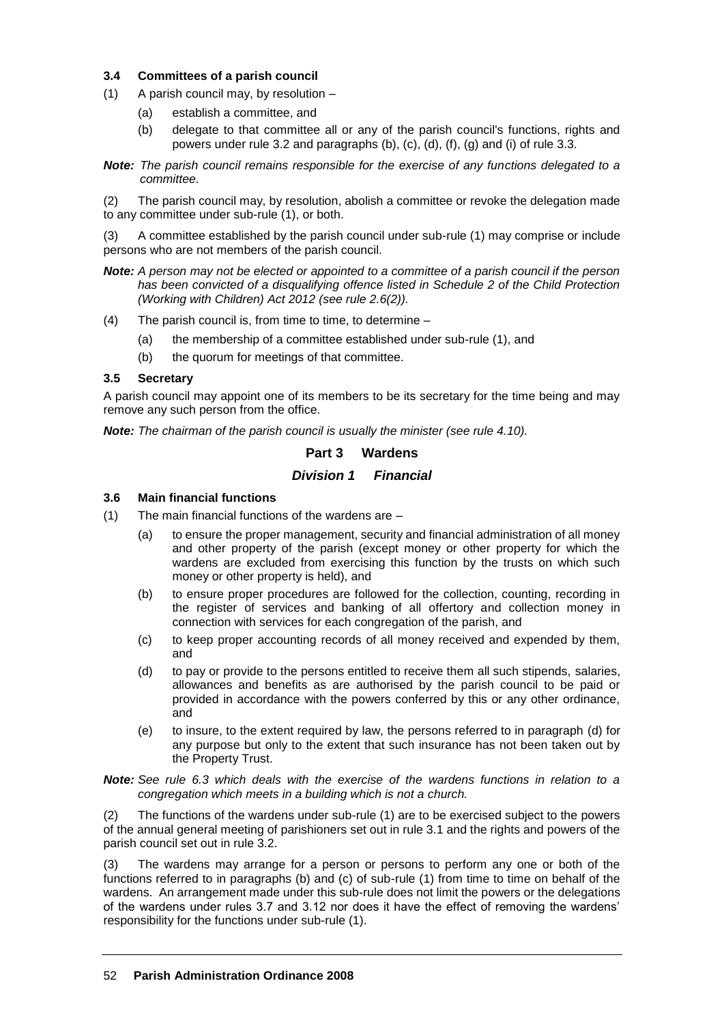# **3.4 Committees of a parish council**

- (1) A parish council may, by resolution
	- (a) establish a committee, and
	- (b) delegate to that committee all or any of the parish council's functions, rights and powers under rule 3.2 and paragraphs (b), (c), (d), (f), (g) and (i) of rule 3.3.
- *Note: The parish council remains responsible for the exercise of any functions delegated to a committee.*

(2) The parish council may, by resolution, abolish a committee or revoke the delegation made to any committee under sub-rule (1), or both.

(3) A committee established by the parish council under sub-rule (1) may comprise or include persons who are not members of the parish council.

- *Note: A person may not be elected or appointed to a committee of a parish council if the person has been convicted of a disqualifying offence listed in Schedule 2 of the Child Protection (Working with Children) Act 2012 (see rule 2.6(2)).*
- (4) The parish council is, from time to time, to determine
	- (a) the membership of a committee established under sub-rule (1), and
	- (b) the quorum for meetings of that committee.

#### **3.5 Secretary**

A parish council may appoint one of its members to be its secretary for the time being and may remove any such person from the office.

*Note: The chairman of the parish council is usually the minister (see rule 4.10).*

# **Part 3 Wardens**

# *Division 1 Financial*

# **3.6 Main financial functions**

- (1) The main financial functions of the wardens are
	- (a) to ensure the proper management, security and financial administration of all money and other property of the parish (except money or other property for which the wardens are excluded from exercising this function by the trusts on which such money or other property is held), and
	- (b) to ensure proper procedures are followed for the collection, counting, recording in the register of services and banking of all offertory and collection money in connection with services for each congregation of the parish, and
	- (c) to keep proper accounting records of all money received and expended by them, and
	- (d) to pay or provide to the persons entitled to receive them all such stipends, salaries, allowances and benefits as are authorised by the parish council to be paid or provided in accordance with the powers conferred by this or any other ordinance, and
	- (e) to insure, to the extent required by law, the persons referred to in paragraph (d) for any purpose but only to the extent that such insurance has not been taken out by the Property Trust.

*Note: See rule 6.3 which deals with the exercise of the wardens functions in relation to a congregation which meets in a building which is not a church.*

(2) The functions of the wardens under sub-rule (1) are to be exercised subject to the powers of the annual general meeting of parishioners set out in rule 3.1 and the rights and powers of the parish council set out in rule 3.2.

(3) The wardens may arrange for a person or persons to perform any one or both of the functions referred to in paragraphs (b) and (c) of sub-rule (1) from time to time on behalf of the wardens. An arrangement made under this sub-rule does not limit the powers or the delegations of the wardens under rules 3.7 and 3.12 nor does it have the effect of removing the wardens' responsibility for the functions under sub-rule (1).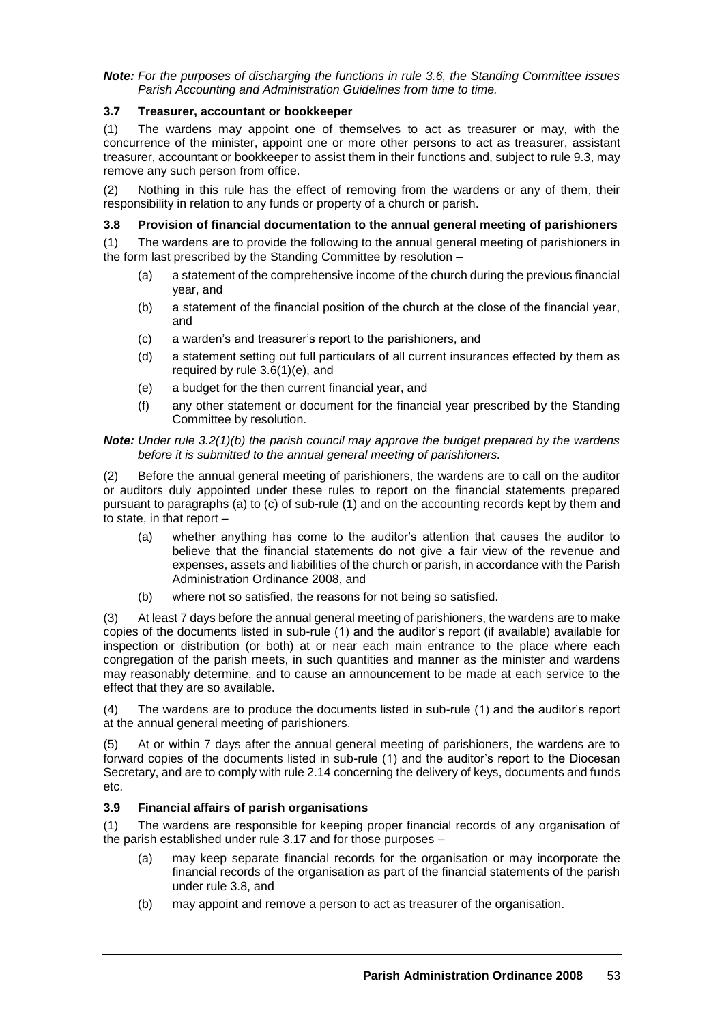*Note: For the purposes of discharging the functions in rule 3.6, the Standing Committee issues Parish Accounting and Administration Guidelines from time to time.*

# **3.7 Treasurer, accountant or bookkeeper**

(1) The wardens may appoint one of themselves to act as treasurer or may, with the concurrence of the minister, appoint one or more other persons to act as treasurer, assistant treasurer, accountant or bookkeeper to assist them in their functions and, subject to rule 9.3, may remove any such person from office.

(2) Nothing in this rule has the effect of removing from the wardens or any of them, their responsibility in relation to any funds or property of a church or parish.

#### **3.8 Provision of financial documentation to the annual general meeting of parishioners**

(1) The wardens are to provide the following to the annual general meeting of parishioners in the form last prescribed by the Standing Committee by resolution –

- (a) a statement of the comprehensive income of the church during the previous financial year, and
- (b) a statement of the financial position of the church at the close of the financial year, and
- (c) a warden's and treasurer's report to the parishioners, and
- (d) a statement setting out full particulars of all current insurances effected by them as required by rule 3.6(1)(e), and
- (e) a budget for the then current financial year, and
- (f) any other statement or document for the financial year prescribed by the Standing Committee by resolution.

#### *Note: Under rule 3.2(1)(b) the parish council may approve the budget prepared by the wardens before it is submitted to the annual general meeting of parishioners.*

(2) Before the annual general meeting of parishioners, the wardens are to call on the auditor or auditors duly appointed under these rules to report on the financial statements prepared pursuant to paragraphs (a) to (c) of sub-rule (1) and on the accounting records kept by them and to state, in that report –

- (a) whether anything has come to the auditor's attention that causes the auditor to believe that the financial statements do not give a fair view of the revenue and expenses, assets and liabilities of the church or parish, in accordance with the Parish Administration Ordinance 2008, and
- (b) where not so satisfied, the reasons for not being so satisfied.

(3) At least 7 days before the annual general meeting of parishioners, the wardens are to make copies of the documents listed in sub-rule (1) and the auditor's report (if available) available for inspection or distribution (or both) at or near each main entrance to the place where each congregation of the parish meets, in such quantities and manner as the minister and wardens may reasonably determine, and to cause an announcement to be made at each service to the effect that they are so available.

(4) The wardens are to produce the documents listed in sub-rule (1) and the auditor's report at the annual general meeting of parishioners.

(5) At or within 7 days after the annual general meeting of parishioners, the wardens are to forward copies of the documents listed in sub-rule (1) and the auditor's report to the Diocesan Secretary, and are to comply with rule 2.14 concerning the delivery of keys, documents and funds etc.

# **3.9 Financial affairs of parish organisations**

(1) The wardens are responsible for keeping proper financial records of any organisation of the parish established under rule 3.17 and for those purposes –

- (a) may keep separate financial records for the organisation or may incorporate the financial records of the organisation as part of the financial statements of the parish under rule 3.8, and
- (b) may appoint and remove a person to act as treasurer of the organisation.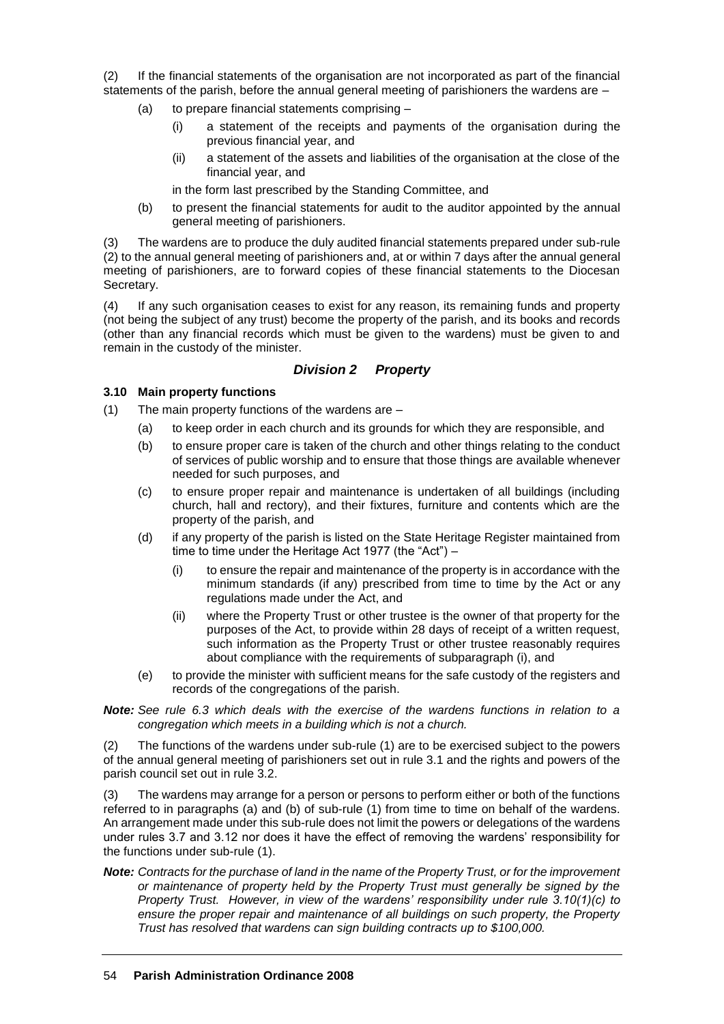(2) If the financial statements of the organisation are not incorporated as part of the financial statements of the parish, before the annual general meeting of parishioners the wardens are –

- (a) to prepare financial statements comprising
	- (i) a statement of the receipts and payments of the organisation during the previous financial year, and
	- (ii) a statement of the assets and liabilities of the organisation at the close of the financial year, and
	- in the form last prescribed by the Standing Committee, and
- (b) to present the financial statements for audit to the auditor appointed by the annual general meeting of parishioners.

(3) The wardens are to produce the duly audited financial statements prepared under sub-rule (2) to the annual general meeting of parishioners and, at or within 7 days after the annual general meeting of parishioners, are to forward copies of these financial statements to the Diocesan Secretary.

(4) If any such organisation ceases to exist for any reason, its remaining funds and property (not being the subject of any trust) become the property of the parish, and its books and records (other than any financial records which must be given to the wardens) must be given to and remain in the custody of the minister.

# *Division 2 Property*

# **3.10 Main property functions**

(1) The main property functions of the wardens are –

- (a) to keep order in each church and its grounds for which they are responsible, and
- (b) to ensure proper care is taken of the church and other things relating to the conduct of services of public worship and to ensure that those things are available whenever needed for such purposes, and
- (c) to ensure proper repair and maintenance is undertaken of all buildings (including church, hall and rectory), and their fixtures, furniture and contents which are the property of the parish, and
- (d) if any property of the parish is listed on the State Heritage Register maintained from time to time under the Heritage Act 1977 (the "Act") –
	- (i) to ensure the repair and maintenance of the property is in accordance with the minimum standards (if any) prescribed from time to time by the Act or any regulations made under the Act, and
	- (ii) where the Property Trust or other trustee is the owner of that property for the purposes of the Act, to provide within 28 days of receipt of a written request, such information as the Property Trust or other trustee reasonably requires about compliance with the requirements of subparagraph (i), and
- (e) to provide the minister with sufficient means for the safe custody of the registers and records of the congregations of the parish.

#### *Note: See rule 6.3 which deals with the exercise of the wardens functions in relation to a congregation which meets in a building which is not a church.*

(2) The functions of the wardens under sub-rule (1) are to be exercised subject to the powers of the annual general meeting of parishioners set out in rule 3.1 and the rights and powers of the parish council set out in rule 3.2.

(3) The wardens may arrange for a person or persons to perform either or both of the functions referred to in paragraphs (a) and (b) of sub-rule (1) from time to time on behalf of the wardens. An arrangement made under this sub-rule does not limit the powers or delegations of the wardens under rules 3.7 and 3.12 nor does it have the effect of removing the wardens' responsibility for the functions under sub-rule (1).

*Note: Contracts for the purchase of land in the name of the Property Trust, or for the improvement or maintenance of property held by the Property Trust must generally be signed by the Property Trust. However, in view of the wardens' responsibility under rule 3.10(1)(c) to ensure the proper repair and maintenance of all buildings on such property, the Property Trust has resolved that wardens can sign building contracts up to \$100,000.*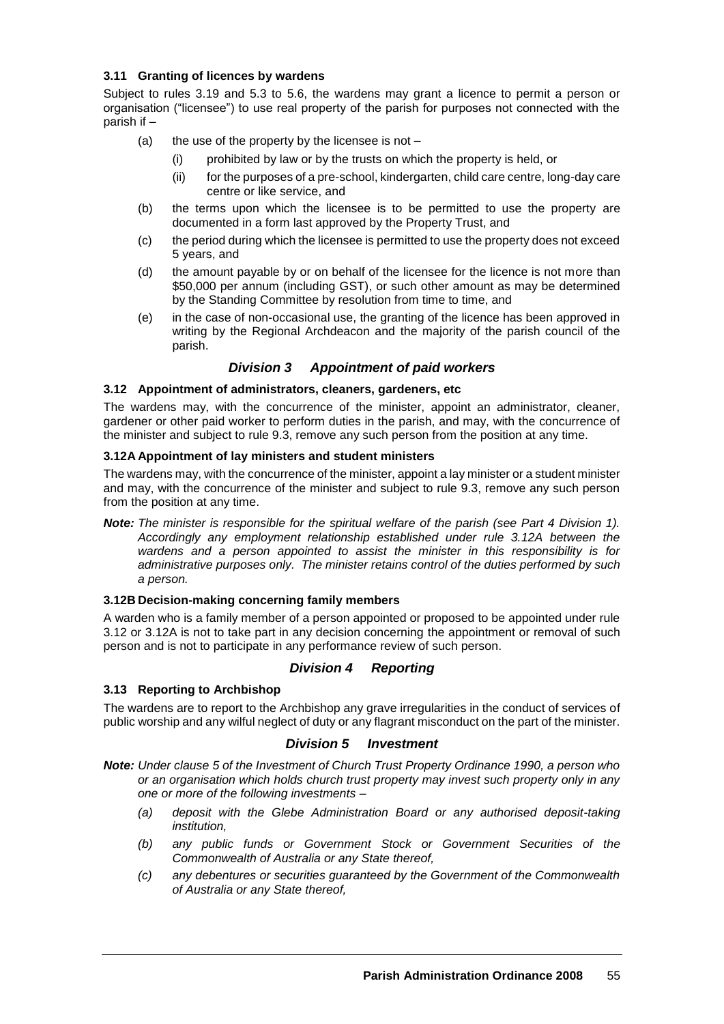# **3.11 Granting of licences by wardens**

Subject to rules 3.19 and 5.3 to 5.6, the wardens may grant a licence to permit a person or organisation ("licensee") to use real property of the parish for purposes not connected with the parish if –

- (a) the use of the property by the licensee is not  $-$ 
	- (i) prohibited by law or by the trusts on which the property is held, or
	- (ii) for the purposes of a pre-school, kindergarten, child care centre, long-day care centre or like service, and
- (b) the terms upon which the licensee is to be permitted to use the property are documented in a form last approved by the Property Trust, and
- (c) the period during which the licensee is permitted to use the property does not exceed 5 years, and
- (d) the amount payable by or on behalf of the licensee for the licence is not more than \$50,000 per annum (including GST), or such other amount as may be determined by the Standing Committee by resolution from time to time, and
- (e) in the case of non-occasional use, the granting of the licence has been approved in writing by the Regional Archdeacon and the majority of the parish council of the parish.

# *Division 3 Appointment of paid workers*

# **3.12 Appointment of administrators, cleaners, gardeners, etc**

The wardens may, with the concurrence of the minister, appoint an administrator, cleaner, gardener or other paid worker to perform duties in the parish, and may, with the concurrence of the minister and subject to rule 9.3, remove any such person from the position at any time.

# **3.12A Appointment of lay ministers and student ministers**

The wardens may, with the concurrence of the minister, appoint a lay minister or a student minister and may, with the concurrence of the minister and subject to rule 9.3, remove any such person from the position at any time.

*Note: The minister is responsible for the spiritual welfare of the parish (see Part 4 Division 1). Accordingly any employment relationship established under rule 3.12A between the wardens and a person appointed to assist the minister in this responsibility is for administrative purposes only. The minister retains control of the duties performed by such a person.*

# **3.12B Decision-making concerning family members**

A warden who is a family member of a person appointed or proposed to be appointed under rule 3.12 or 3.12A is not to take part in any decision concerning the appointment or removal of such person and is not to participate in any performance review of such person.

# *Division 4 Reporting*

# **3.13 Reporting to Archbishop**

The wardens are to report to the Archbishop any grave irregularities in the conduct of services of public worship and any wilful neglect of duty or any flagrant misconduct on the part of the minister.

# *Division 5 Investment*

*Note: Under clause 5 of the Investment of Church Trust Property Ordinance 1990, a person who or an organisation which holds church trust property may invest such property only in any one or more of the following investments –*

- *(a) deposit with the Glebe Administration Board or any authorised deposit-taking institution,*
- *(b) any public funds or Government Stock or Government Securities of the Commonwealth of Australia or any State thereof,*
- *(c) any debentures or securities guaranteed by the Government of the Commonwealth of Australia or any State thereof,*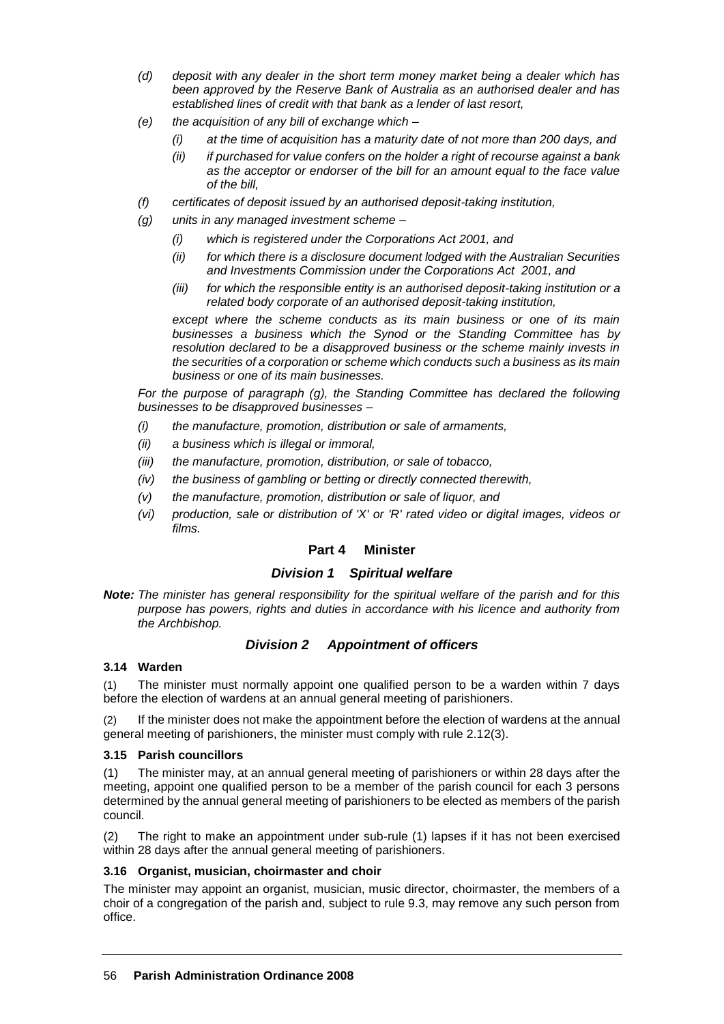- *(d) deposit with any dealer in the short term money market being a dealer which has been approved by the Reserve Bank of Australia as an authorised dealer and has established lines of credit with that bank as a lender of last resort,*
- *(e) the acquisition of any bill of exchange which –*
	- *(i) at the time of acquisition has a maturity date of not more than 200 days, and*
	- *(ii) if purchased for value confers on the holder a right of recourse against a bank as the acceptor or endorser of the bill for an amount equal to the face value of the bill,*
- *(f) certificates of deposit issued by an authorised deposit-taking institution,*
- *(g) units in any managed investment scheme –*
	- *(i) which is registered under the Corporations Act 2001, and*
	- *(ii) for which there is a disclosure document lodged with the Australian Securities and Investments Commission under the Corporations Act 2001, and*
	- *(iii) for which the responsible entity is an authorised deposit-taking institution or a related body corporate of an authorised deposit-taking institution,*

*except where the scheme conducts as its main business or one of its main businesses a business which the Synod or the Standing Committee has by resolution declared to be a disapproved business or the scheme mainly invests in the securities of a corporation or scheme which conducts such a business as its main business or one of its main businesses.*

*For the purpose of paragraph (g), the Standing Committee has declared the following businesses to be disapproved businesses –*

- *(i) the manufacture, promotion, distribution or sale of armaments,*
- *(ii) a business which is illegal or immoral,*
- *(iii) the manufacture, promotion, distribution, or sale of tobacco,*
- *(iv) the business of gambling or betting or directly connected therewith,*
- *(v) the manufacture, promotion, distribution or sale of liquor, and*
- *(vi) production, sale or distribution of 'X' or 'R' rated video or digital images, videos or films.*

# **Part 4 Minister**

# *Division 1 Spiritual welfare*

*Note: The minister has general responsibility for the spiritual welfare of the parish and for this purpose has powers, rights and duties in accordance with his licence and authority from the Archbishop.*

# *Division 2 Appointment of officers*

# **3.14 Warden**

(1) The minister must normally appoint one qualified person to be a warden within 7 days before the election of wardens at an annual general meeting of parishioners.

(2) If the minister does not make the appointment before the election of wardens at the annual general meeting of parishioners, the minister must comply with rule 2.12(3).

# **3.15 Parish councillors**

(1) The minister may, at an annual general meeting of parishioners or within 28 days after the meeting, appoint one qualified person to be a member of the parish council for each 3 persons determined by the annual general meeting of parishioners to be elected as members of the parish council.

(2) The right to make an appointment under sub-rule (1) lapses if it has not been exercised within 28 days after the annual general meeting of parishioners.

# **3.16 Organist, musician, choirmaster and choir**

The minister may appoint an organist, musician, music director, choirmaster, the members of a choir of a congregation of the parish and, subject to rule 9.3, may remove any such person from office.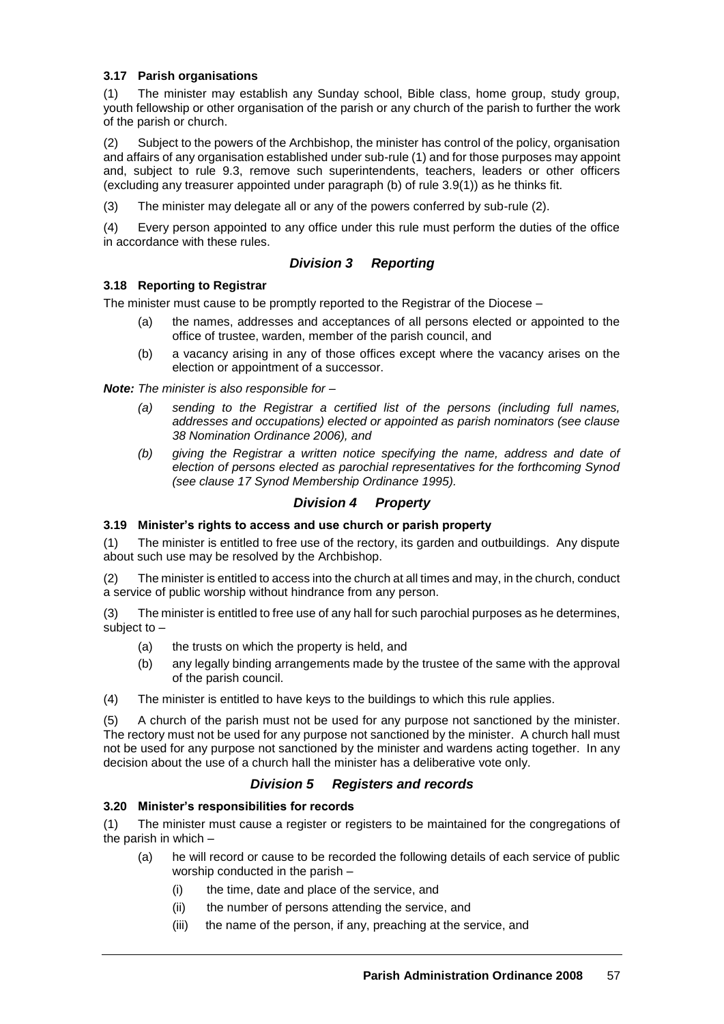# **3.17 Parish organisations**

(1) The minister may establish any Sunday school, Bible class, home group, study group, youth fellowship or other organisation of the parish or any church of the parish to further the work of the parish or church.

(2) Subject to the powers of the Archbishop, the minister has control of the policy, organisation and affairs of any organisation established under sub-rule (1) and for those purposes may appoint and, subject to rule 9.3, remove such superintendents, teachers, leaders or other officers (excluding any treasurer appointed under paragraph (b) of rule 3.9(1)) as he thinks fit.

(3) The minister may delegate all or any of the powers conferred by sub-rule (2).

(4) Every person appointed to any office under this rule must perform the duties of the office in accordance with these rules.

# *Division 3 Reporting*

# **3.18 Reporting to Registrar**

The minister must cause to be promptly reported to the Registrar of the Diocese –

- (a) the names, addresses and acceptances of all persons elected or appointed to the office of trustee, warden, member of the parish council, and
- (b) a vacancy arising in any of those offices except where the vacancy arises on the election or appointment of a successor.

*Note: The minister is also responsible for –*

- *(a) sending to the Registrar a certified list of the persons (including full names, addresses and occupations) elected or appointed as parish nominators (see clause 38 Nomination Ordinance 2006), and*
- *(b) giving the Registrar a written notice specifying the name, address and date of election of persons elected as parochial representatives for the forthcoming Synod (see clause 17 Synod Membership Ordinance 1995).*

# *Division 4 Property*

# **3.19 Minister's rights to access and use church or parish property**

(1) The minister is entitled to free use of the rectory, its garden and outbuildings. Any dispute about such use may be resolved by the Archbishop.

(2) The minister is entitled to access into the church at all times and may, in the church, conduct a service of public worship without hindrance from any person.

(3) The minister is entitled to free use of any hall for such parochial purposes as he determines, subject to –

- (a) the trusts on which the property is held, and
- (b) any legally binding arrangements made by the trustee of the same with the approval of the parish council.

(4) The minister is entitled to have keys to the buildings to which this rule applies.

(5) A church of the parish must not be used for any purpose not sanctioned by the minister. The rectory must not be used for any purpose not sanctioned by the minister. A church hall must not be used for any purpose not sanctioned by the minister and wardens acting together. In any decision about the use of a church hall the minister has a deliberative vote only.

# *Division 5 Registers and records*

# **3.20 Minister's responsibilities for records**

(1) The minister must cause a register or registers to be maintained for the congregations of the parish in which –

- (a) he will record or cause to be recorded the following details of each service of public worship conducted in the parish –
	- (i) the time, date and place of the service, and
	- (ii) the number of persons attending the service, and
	- (iii) the name of the person, if any, preaching at the service, and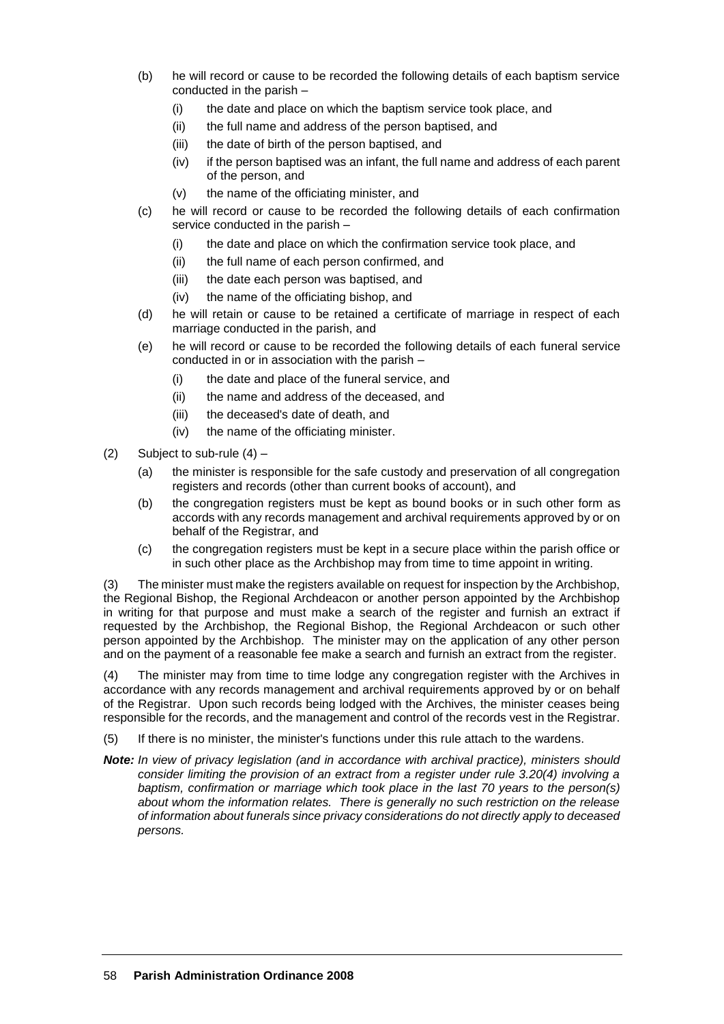- (b) he will record or cause to be recorded the following details of each baptism service conducted in the parish –
	- (i) the date and place on which the baptism service took place, and
	- (ii) the full name and address of the person baptised, and
	- (iii) the date of birth of the person baptised, and
	- (iv) if the person baptised was an infant, the full name and address of each parent of the person, and
	- (v) the name of the officiating minister, and
- (c) he will record or cause to be recorded the following details of each confirmation service conducted in the parish –
	- (i) the date and place on which the confirmation service took place, and
	- (ii) the full name of each person confirmed, and
	- (iii) the date each person was baptised, and
	- (iv) the name of the officiating bishop, and
- (d) he will retain or cause to be retained a certificate of marriage in respect of each marriage conducted in the parish, and
- (e) he will record or cause to be recorded the following details of each funeral service conducted in or in association with the parish –
	- (i) the date and place of the funeral service, and
	- (ii) the name and address of the deceased, and
	- (iii) the deceased's date of death, and
	- (iv) the name of the officiating minister.
- (2) Subject to sub-rule  $(4)$ 
	- (a) the minister is responsible for the safe custody and preservation of all congregation registers and records (other than current books of account), and
	- (b) the congregation registers must be kept as bound books or in such other form as accords with any records management and archival requirements approved by or on behalf of the Registrar, and
	- (c) the congregation registers must be kept in a secure place within the parish office or in such other place as the Archbishop may from time to time appoint in writing.

(3) The minister must make the registers available on request for inspection by the Archbishop, the Regional Bishop, the Regional Archdeacon or another person appointed by the Archbishop in writing for that purpose and must make a search of the register and furnish an extract if requested by the Archbishop, the Regional Bishop, the Regional Archdeacon or such other person appointed by the Archbishop. The minister may on the application of any other person and on the payment of a reasonable fee make a search and furnish an extract from the register.

(4) The minister may from time to time lodge any congregation register with the Archives in accordance with any records management and archival requirements approved by or on behalf of the Registrar. Upon such records being lodged with the Archives, the minister ceases being responsible for the records, and the management and control of the records vest in the Registrar.

- (5) If there is no minister, the minister's functions under this rule attach to the wardens.
- *Note: In view of privacy legislation (and in accordance with archival practice), ministers should consider limiting the provision of an extract from a register under rule 3.20(4) involving a baptism, confirmation or marriage which took place in the last 70 years to the person(s) about whom the information relates. There is generally no such restriction on the release of information about funerals since privacy considerations do not directly apply to deceased persons.*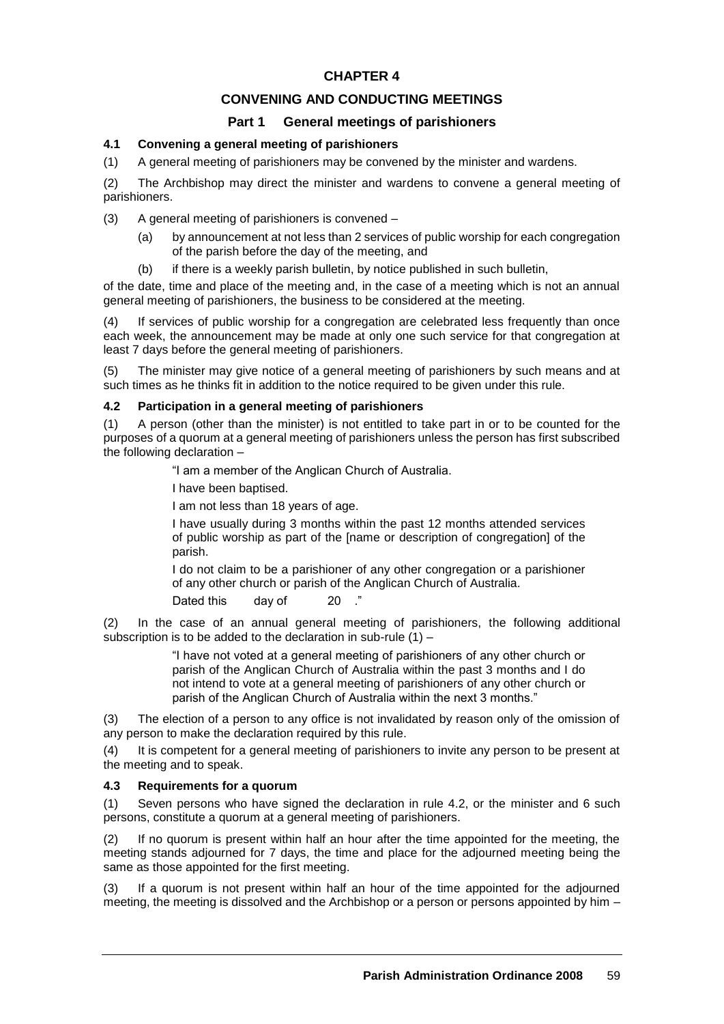# **CONVENING AND CONDUCTING MEETINGS**

# **Part 1 General meetings of parishioners**

# **4.1 Convening a general meeting of parishioners**

(1) A general meeting of parishioners may be convened by the minister and wardens.

(2) The Archbishop may direct the minister and wardens to convene a general meeting of parishioners.

(3) A general meeting of parishioners is convened –

- (a) by announcement at not less than 2 services of public worship for each congregation of the parish before the day of the meeting, and
- (b) if there is a weekly parish bulletin, by notice published in such bulletin,

of the date, time and place of the meeting and, in the case of a meeting which is not an annual general meeting of parishioners, the business to be considered at the meeting.

(4) If services of public worship for a congregation are celebrated less frequently than once each week, the announcement may be made at only one such service for that congregation at least 7 days before the general meeting of parishioners.

(5) The minister may give notice of a general meeting of parishioners by such means and at such times as he thinks fit in addition to the notice required to be given under this rule.

# **4.2 Participation in a general meeting of parishioners**

(1) A person (other than the minister) is not entitled to take part in or to be counted for the purposes of a quorum at a general meeting of parishioners unless the person has first subscribed the following declaration –

"I am a member of the Anglican Church of Australia.

I have been baptised.

I am not less than 18 years of age.

I have usually during 3 months within the past 12 months attended services of public worship as part of the [name or description of congregation] of the parish.

I do not claim to be a parishioner of any other congregation or a parishioner of any other church or parish of the Anglican Church of Australia.

Dated this day of 20

(2) In the case of an annual general meeting of parishioners, the following additional subscription is to be added to the declaration in sub-rule (1) –

> "I have not voted at a general meeting of parishioners of any other church or parish of the Anglican Church of Australia within the past 3 months and I do not intend to vote at a general meeting of parishioners of any other church or parish of the Anglican Church of Australia within the next 3 months."

(3) The election of a person to any office is not invalidated by reason only of the omission of any person to make the declaration required by this rule.

(4) It is competent for a general meeting of parishioners to invite any person to be present at the meeting and to speak.

# **4.3 Requirements for a quorum**

(1) Seven persons who have signed the declaration in rule 4.2, or the minister and 6 such persons, constitute a quorum at a general meeting of parishioners.

(2) If no quorum is present within half an hour after the time appointed for the meeting, the meeting stands adjourned for 7 days, the time and place for the adjourned meeting being the same as those appointed for the first meeting.

(3) If a quorum is not present within half an hour of the time appointed for the adjourned meeting, the meeting is dissolved and the Archbishop or a person or persons appointed by him –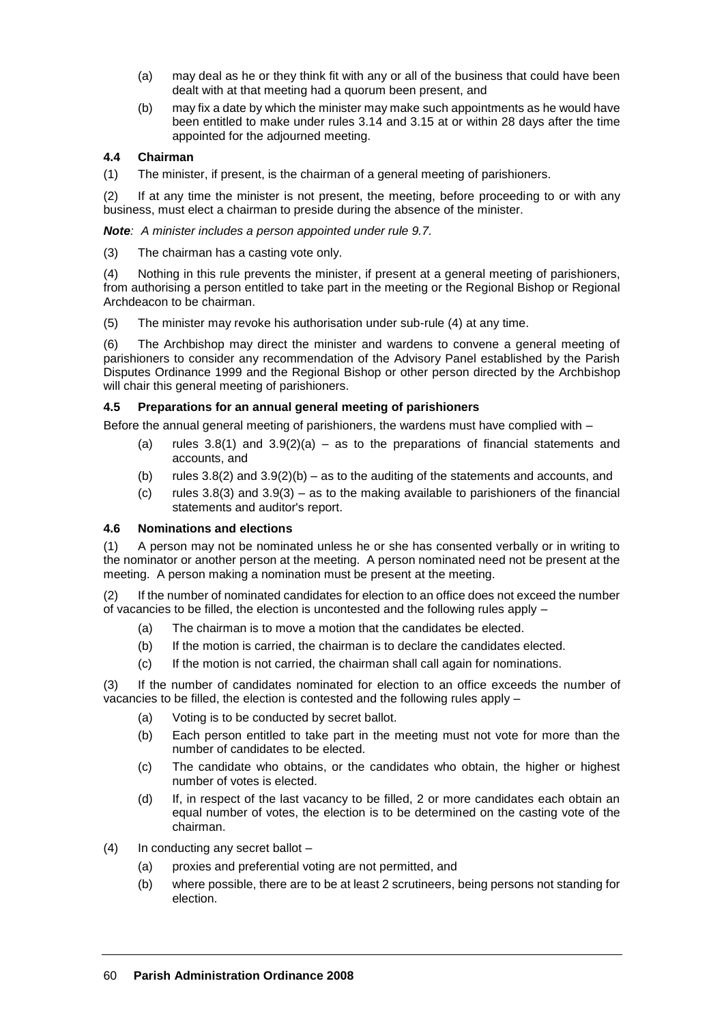- (a) may deal as he or they think fit with any or all of the business that could have been dealt with at that meeting had a quorum been present, and
- (b) may fix a date by which the minister may make such appointments as he would have been entitled to make under rules 3.14 and 3.15 at or within 28 days after the time appointed for the adjourned meeting.

# **4.4 Chairman**

(1) The minister, if present, is the chairman of a general meeting of parishioners.

(2) If at any time the minister is not present, the meeting, before proceeding to or with any business, must elect a chairman to preside during the absence of the minister.

*Note: A minister includes a person appointed under rule 9.7.*

(3) The chairman has a casting vote only.

(4) Nothing in this rule prevents the minister, if present at a general meeting of parishioners, from authorising a person entitled to take part in the meeting or the Regional Bishop or Regional Archdeacon to be chairman.

(5) The minister may revoke his authorisation under sub-rule (4) at any time.

(6) The Archbishop may direct the minister and wardens to convene a general meeting of parishioners to consider any recommendation of the Advisory Panel established by the Parish Disputes Ordinance 1999 and the Regional Bishop or other person directed by the Archbishop will chair this general meeting of parishioners.

#### **4.5 Preparations for an annual general meeting of parishioners**

Before the annual general meeting of parishioners, the wardens must have complied with –

- (a) rules  $3.8(1)$  and  $3.9(2)(a)$  as to the preparations of financial statements and accounts, and
- (b) rules  $3.8(2)$  and  $3.9(2)(b) as$  to the auditing of the statements and accounts, and
- (c) rules  $3.8(3)$  and  $3.9(3)$  as to the making available to parishioners of the financial statements and auditor's report.

# **4.6 Nominations and elections**

(1) A person may not be nominated unless he or she has consented verbally or in writing to the nominator or another person at the meeting. A person nominated need not be present at the meeting. A person making a nomination must be present at the meeting.

(2) If the number of nominated candidates for election to an office does not exceed the number of vacancies to be filled, the election is uncontested and the following rules apply –

- (a) The chairman is to move a motion that the candidates be elected.
- (b) If the motion is carried, the chairman is to declare the candidates elected.
- (c) If the motion is not carried, the chairman shall call again for nominations.

(3) If the number of candidates nominated for election to an office exceeds the number of vacancies to be filled, the election is contested and the following rules apply –

- (a) Voting is to be conducted by secret ballot.
- (b) Each person entitled to take part in the meeting must not vote for more than the number of candidates to be elected.
- (c) The candidate who obtains, or the candidates who obtain, the higher or highest number of votes is elected.
- (d) If, in respect of the last vacancy to be filled, 2 or more candidates each obtain an equal number of votes, the election is to be determined on the casting vote of the chairman.
- (4) In conducting any secret ballot
	- (a) proxies and preferential voting are not permitted, and
	- (b) where possible, there are to be at least 2 scrutineers, being persons not standing for election.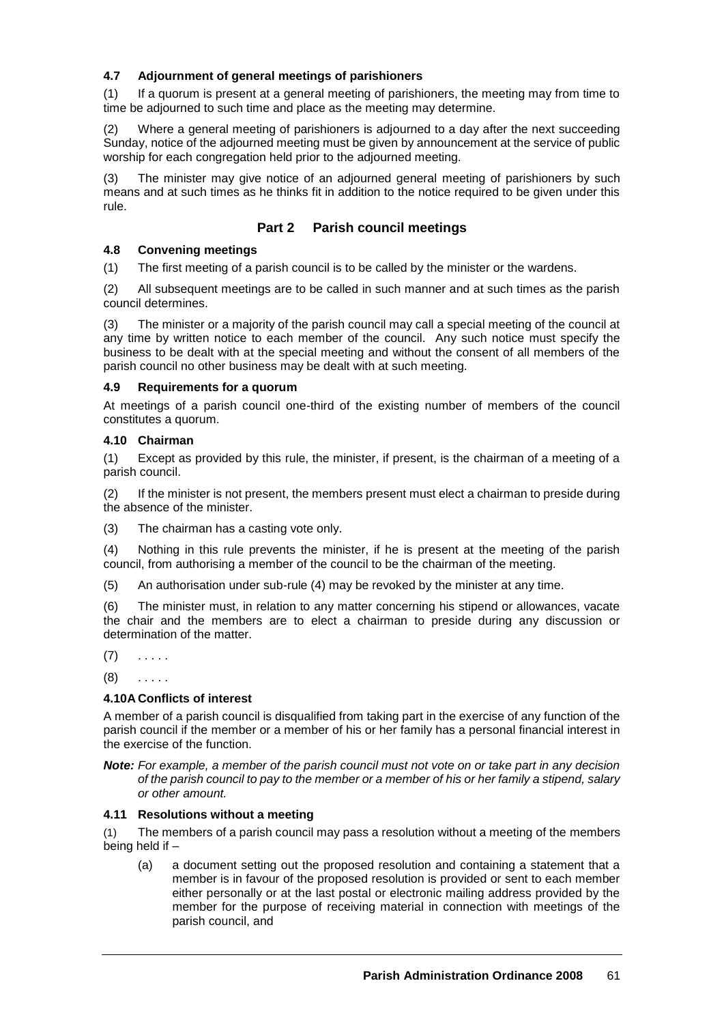# **4.7 Adjournment of general meetings of parishioners**

(1) If a quorum is present at a general meeting of parishioners, the meeting may from time to time be adjourned to such time and place as the meeting may determine.

(2) Where a general meeting of parishioners is adjourned to a day after the next succeeding Sunday, notice of the adjourned meeting must be given by announcement at the service of public worship for each congregation held prior to the adjourned meeting.

(3) The minister may give notice of an adjourned general meeting of parishioners by such means and at such times as he thinks fit in addition to the notice required to be given under this rule.

# **Part 2 Parish council meetings**

# **4.8 Convening meetings**

(1) The first meeting of a parish council is to be called by the minister or the wardens.

(2) All subsequent meetings are to be called in such manner and at such times as the parish council determines.

(3) The minister or a majority of the parish council may call a special meeting of the council at any time by written notice to each member of the council. Any such notice must specify the business to be dealt with at the special meeting and without the consent of all members of the parish council no other business may be dealt with at such meeting.

#### **4.9 Requirements for a quorum**

At meetings of a parish council one-third of the existing number of members of the council constitutes a quorum.

# **4.10 Chairman**

(1) Except as provided by this rule, the minister, if present, is the chairman of a meeting of a parish council.

(2) If the minister is not present, the members present must elect a chairman to preside during the absence of the minister.

(3) The chairman has a casting vote only.

(4) Nothing in this rule prevents the minister, if he is present at the meeting of the parish council, from authorising a member of the council to be the chairman of the meeting.

(5) An authorisation under sub-rule (4) may be revoked by the minister at any time.

(6) The minister must, in relation to any matter concerning his stipend or allowances, vacate the chair and the members are to elect a chairman to preside during any discussion or determination of the matter.

 $(7)$  . . . . .

 $(8)$  . . . . .

# **4.10A Conflicts of interest**

A member of a parish council is disqualified from taking part in the exercise of any function of the parish council if the member or a member of his or her family has a personal financial interest in the exercise of the function.

*Note: For example, a member of the parish council must not vote on or take part in any decision of the parish council to pay to the member or a member of his or her family a stipend, salary or other amount.*

#### **4.11 Resolutions without a meeting**

(1) The members of a parish council may pass a resolution without a meeting of the members being held if –

(a) a document setting out the proposed resolution and containing a statement that a member is in favour of the proposed resolution is provided or sent to each member either personally or at the last postal or electronic mailing address provided by the member for the purpose of receiving material in connection with meetings of the parish council, and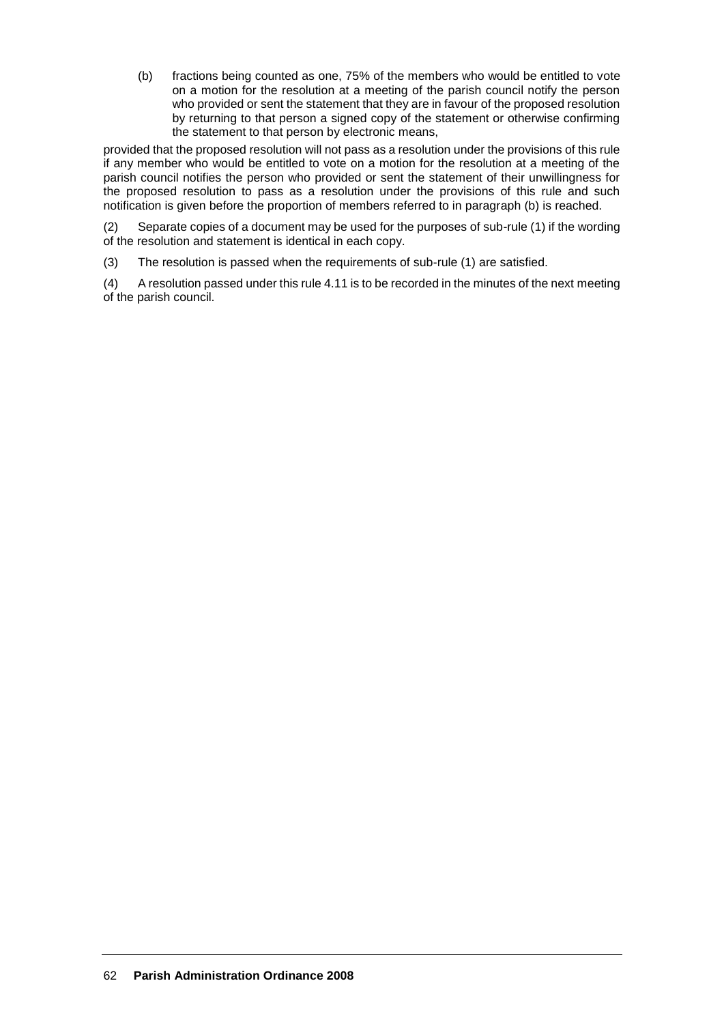(b) fractions being counted as one, 75% of the members who would be entitled to vote on a motion for the resolution at a meeting of the parish council notify the person who provided or sent the statement that they are in favour of the proposed resolution by returning to that person a signed copy of the statement or otherwise confirming the statement to that person by electronic means,

provided that the proposed resolution will not pass as a resolution under the provisions of this rule if any member who would be entitled to vote on a motion for the resolution at a meeting of the parish council notifies the person who provided or sent the statement of their unwillingness for the proposed resolution to pass as a resolution under the provisions of this rule and such notification is given before the proportion of members referred to in paragraph (b) is reached.

(2) Separate copies of a document may be used for the purposes of sub-rule (1) if the wording of the resolution and statement is identical in each copy.

(3) The resolution is passed when the requirements of sub-rule (1) are satisfied.

(4) A resolution passed under this rule 4.11 is to be recorded in the minutes of the next meeting of the parish council.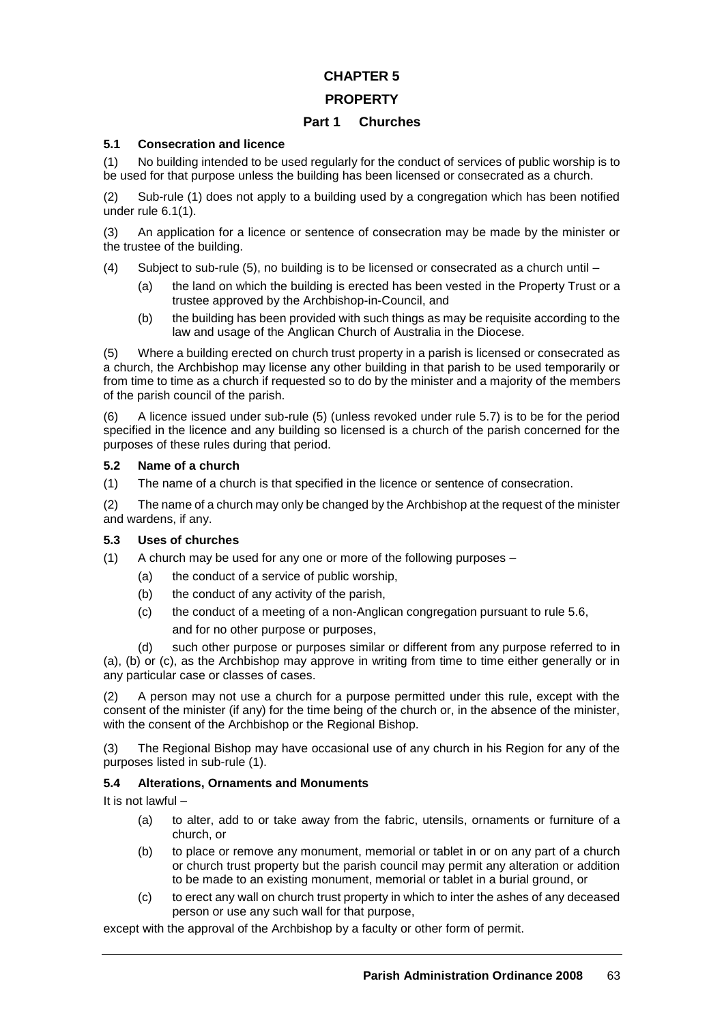# **PROPERTY**

# **Part 1 Churches**

# **5.1 Consecration and licence**

(1) No building intended to be used regularly for the conduct of services of public worship is to be used for that purpose unless the building has been licensed or consecrated as a church.

(2) Sub-rule (1) does not apply to a building used by a congregation which has been notified under rule 6.1(1).

(3) An application for a licence or sentence of consecration may be made by the minister or the trustee of the building.

- (4) Subject to sub-rule (5), no building is to be licensed or consecrated as a church until
	- (a) the land on which the building is erected has been vested in the Property Trust or a trustee approved by the Archbishop-in-Council, and
	- (b) the building has been provided with such things as may be requisite according to the law and usage of the Anglican Church of Australia in the Diocese.

(5) Where a building erected on church trust property in a parish is licensed or consecrated as a church, the Archbishop may license any other building in that parish to be used temporarily or from time to time as a church if requested so to do by the minister and a majority of the members of the parish council of the parish.

(6) A licence issued under sub-rule (5) (unless revoked under rule 5.7) is to be for the period specified in the licence and any building so licensed is a church of the parish concerned for the purposes of these rules during that period.

# **5.2 Name of a church**

(1) The name of a church is that specified in the licence or sentence of consecration.

(2) The name of a church may only be changed by the Archbishop at the request of the minister and wardens, if any.

# **5.3 Uses of churches**

(1) A church may be used for any one or more of the following purposes –

- (a) the conduct of a service of public worship,
- (b) the conduct of any activity of the parish,
- (c) the conduct of a meeting of a non-Anglican congregation pursuant to rule 5.6, and for no other purpose or purposes,

(d) such other purpose or purposes similar or different from any purpose referred to in (a), (b) or (c), as the Archbishop may approve in writing from time to time either generally or in any particular case or classes of cases.

(2) A person may not use a church for a purpose permitted under this rule, except with the consent of the minister (if any) for the time being of the church or, in the absence of the minister, with the consent of the Archbishop or the Regional Bishop.

(3) The Regional Bishop may have occasional use of any church in his Region for any of the purposes listed in sub-rule (1).

# **5.4 Alterations, Ornaments and Monuments**

It is not lawful –

- (a) to alter, add to or take away from the fabric, utensils, ornaments or furniture of a church, or
- (b) to place or remove any monument, memorial or tablet in or on any part of a church or church trust property but the parish council may permit any alteration or addition to be made to an existing monument, memorial or tablet in a burial ground, or
- (c) to erect any wall on church trust property in which to inter the ashes of any deceased person or use any such wall for that purpose,

except with the approval of the Archbishop by a faculty or other form of permit.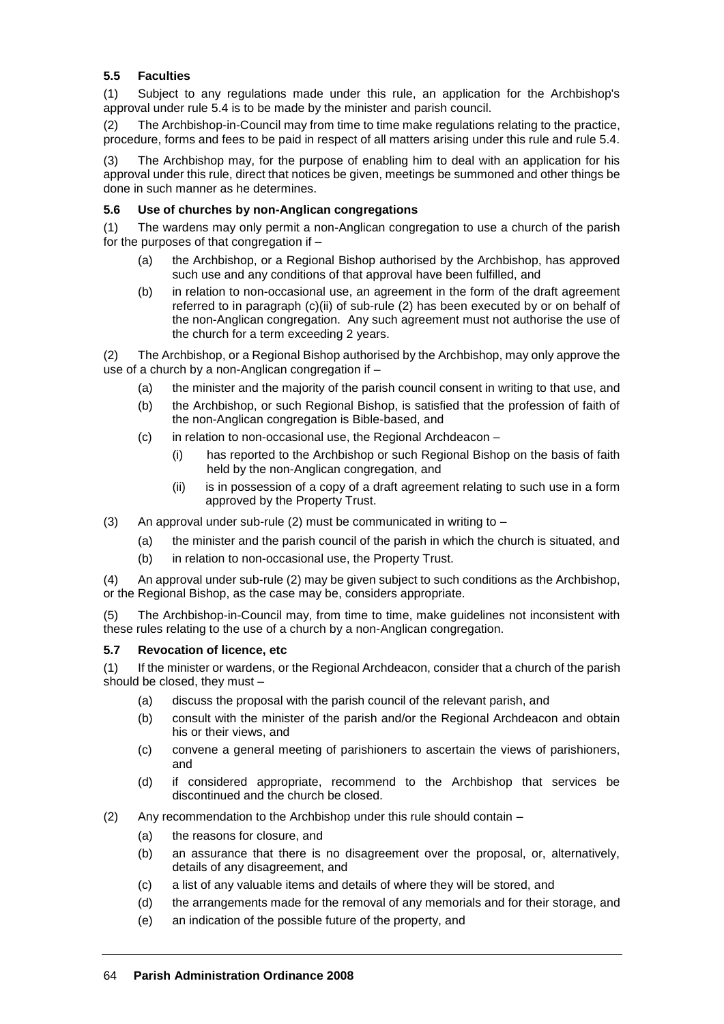# **5.5 Faculties**

(1) Subject to any regulations made under this rule, an application for the Archbishop's approval under rule 5.4 is to be made by the minister and parish council.

(2) The Archbishop-in-Council may from time to time make regulations relating to the practice, procedure, forms and fees to be paid in respect of all matters arising under this rule and rule 5.4.

(3) The Archbishop may, for the purpose of enabling him to deal with an application for his approval under this rule, direct that notices be given, meetings be summoned and other things be done in such manner as he determines.

# **5.6 Use of churches by non-Anglican congregations**

(1) The wardens may only permit a non-Anglican congregation to use a church of the parish for the purposes of that congregation if –

- (a) the Archbishop, or a Regional Bishop authorised by the Archbishop, has approved such use and any conditions of that approval have been fulfilled, and
- (b) in relation to non-occasional use, an agreement in the form of the draft agreement referred to in paragraph (c)(ii) of sub-rule (2) has been executed by or on behalf of the non-Anglican congregation. Any such agreement must not authorise the use of the church for a term exceeding 2 years.

(2) The Archbishop, or a Regional Bishop authorised by the Archbishop, may only approve the use of a church by a non-Anglican congregation if –

- (a) the minister and the majority of the parish council consent in writing to that use, and
- (b) the Archbishop, or such Regional Bishop, is satisfied that the profession of faith of the non-Anglican congregation is Bible-based, and
- (c) in relation to non-occasional use, the Regional Archdeacon
	- (i) has reported to the Archbishop or such Regional Bishop on the basis of faith held by the non-Anglican congregation, and
	- (ii) is in possession of a copy of a draft agreement relating to such use in a form approved by the Property Trust.
- (3) An approval under sub-rule (2) must be communicated in writing to  $-$ 
	- (a) the minister and the parish council of the parish in which the church is situated, and
	- (b) in relation to non-occasional use, the Property Trust.

(4) An approval under sub-rule (2) may be given subject to such conditions as the Archbishop, or the Regional Bishop, as the case may be, considers appropriate.

(5) The Archbishop-in-Council may, from time to time, make guidelines not inconsistent with these rules relating to the use of a church by a non-Anglican congregation.

# **5.7 Revocation of licence, etc**

(1) If the minister or wardens, or the Regional Archdeacon, consider that a church of the parish should be closed, they must –

- (a) discuss the proposal with the parish council of the relevant parish, and
- (b) consult with the minister of the parish and/or the Regional Archdeacon and obtain his or their views, and
- (c) convene a general meeting of parishioners to ascertain the views of parishioners, and
- (d) if considered appropriate, recommend to the Archbishop that services be discontinued and the church be closed.
- (2) Any recommendation to the Archbishop under this rule should contain
	- (a) the reasons for closure, and
	- (b) an assurance that there is no disagreement over the proposal, or, alternatively, details of any disagreement, and
	- (c) a list of any valuable items and details of where they will be stored, and
	- (d) the arrangements made for the removal of any memorials and for their storage, and
	- (e) an indication of the possible future of the property, and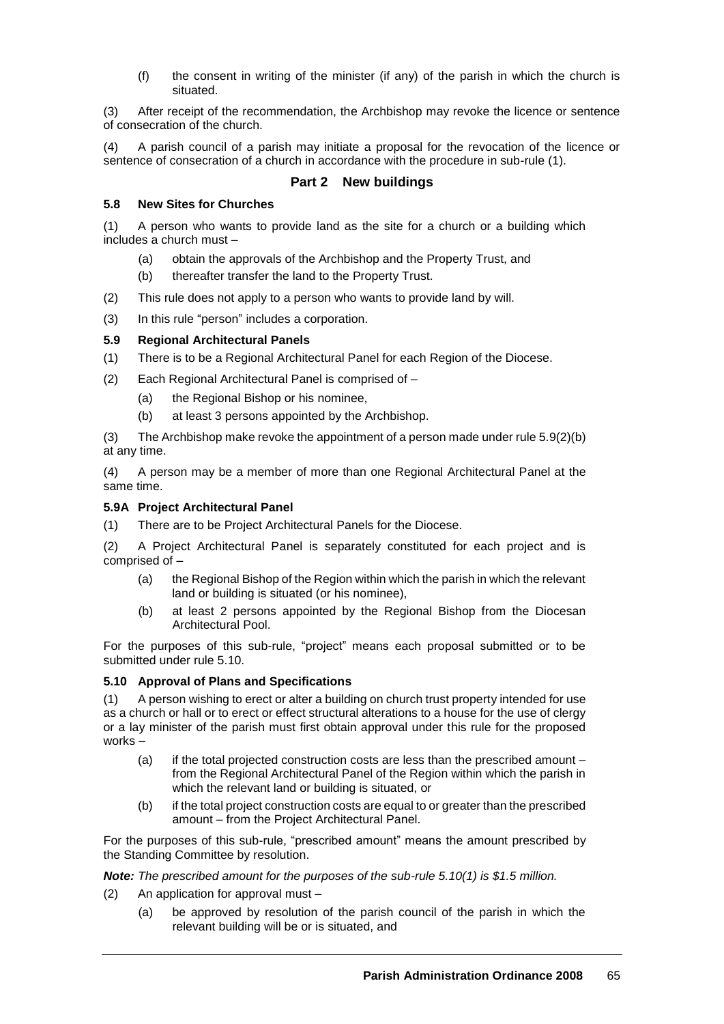(f) the consent in writing of the minister (if any) of the parish in which the church is situated.

(3) After receipt of the recommendation, the Archbishop may revoke the licence or sentence of consecration of the church.

(4) A parish council of a parish may initiate a proposal for the revocation of the licence or sentence of consecration of a church in accordance with the procedure in sub-rule (1).

# **Part 2 New buildings**

#### **5.8 New Sites for Churches**

(1) A person who wants to provide land as the site for a church or a building which includes a church must –

- (a) obtain the approvals of the Archbishop and the Property Trust, and
- (b) thereafter transfer the land to the Property Trust.
- (2) This rule does not apply to a person who wants to provide land by will.
- (3) In this rule "person" includes a corporation.

# **5.9 Regional Architectural Panels**

- (1) There is to be a Regional Architectural Panel for each Region of the Diocese.
- (2) Each Regional Architectural Panel is comprised of
	- (a) the Regional Bishop or his nominee,
	- (b) at least 3 persons appointed by the Archbishop.

(3) The Archbishop make revoke the appointment of a person made under rule 5.9(2)(b) at any time.

(4) A person may be a member of more than one Regional Architectural Panel at the same time.

# **5.9A Project Architectural Panel**

(1) There are to be Project Architectural Panels for the Diocese.

(2) A Project Architectural Panel is separately constituted for each project and is comprised of –

- (a) the Regional Bishop of the Region within which the parish in which the relevant land or building is situated (or his nominee),
- (b) at least 2 persons appointed by the Regional Bishop from the Diocesan Architectural Pool.

For the purposes of this sub-rule, "project" means each proposal submitted or to be submitted under rule 5.10.

# **5.10 Approval of Plans and Specifications**

(1) A person wishing to erect or alter a building on church trust property intended for use as a church or hall or to erect or effect structural alterations to a house for the use of clergy or a lay minister of the parish must first obtain approval under this rule for the proposed works –

- (a) if the total projected construction costs are less than the prescribed amount from the Regional Architectural Panel of the Region within which the parish in which the relevant land or building is situated, or
- (b) if the total project construction costs are equal to or greater than the prescribed amount – from the Project Architectural Panel.

For the purposes of this sub-rule, "prescribed amount" means the amount prescribed by the Standing Committee by resolution.

*Note: The prescribed amount for the purposes of the sub-rule 5.10(1) is \$1.5 million.*

- (2) An application for approval must
	- (a) be approved by resolution of the parish council of the parish in which the relevant building will be or is situated, and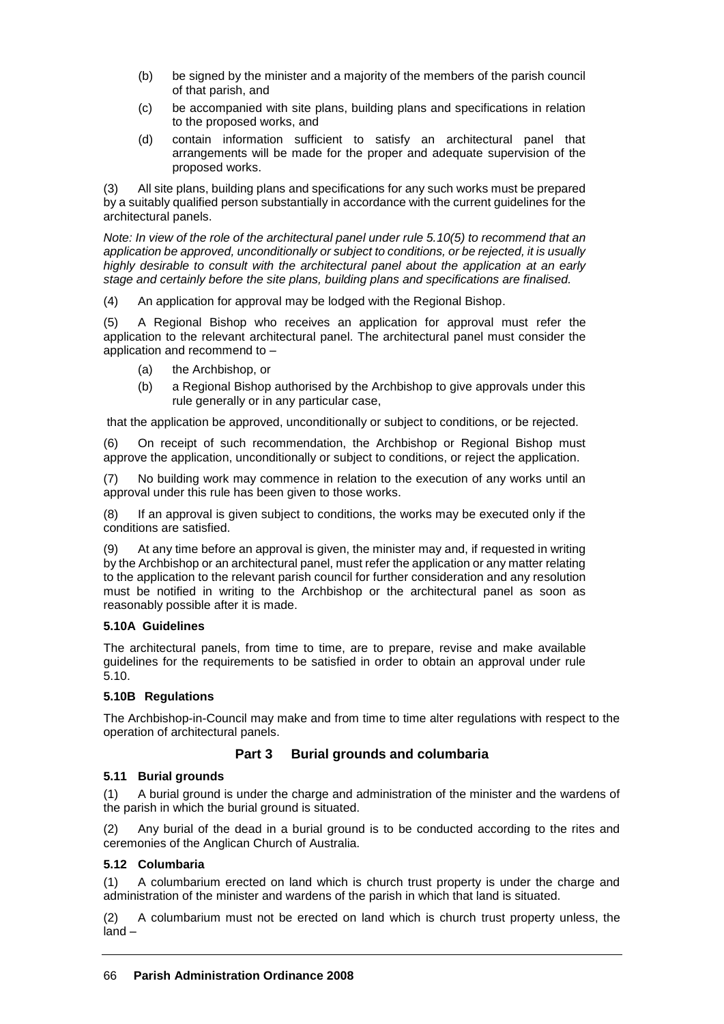- (b) be signed by the minister and a majority of the members of the parish council of that parish, and
- (c) be accompanied with site plans, building plans and specifications in relation to the proposed works, and
- (d) contain information sufficient to satisfy an architectural panel that arrangements will be made for the proper and adequate supervision of the proposed works.

(3) All site plans, building plans and specifications for any such works must be prepared by a suitably qualified person substantially in accordance with the current guidelines for the architectural panels.

*Note: In view of the role of the architectural panel under rule 5.10(5) to recommend that an application be approved, unconditionally or subject to conditions, or be rejected, it is usually highly desirable to consult with the architectural panel about the application at an early stage and certainly before the site plans, building plans and specifications are finalised.*

(4) An application for approval may be lodged with the Regional Bishop.

(5) A Regional Bishop who receives an application for approval must refer the application to the relevant architectural panel. The architectural panel must consider the application and recommend to –

- (a) the Archbishop, or
- (b) a Regional Bishop authorised by the Archbishop to give approvals under this rule generally or in any particular case,

that the application be approved, unconditionally or subject to conditions, or be rejected.

(6) On receipt of such recommendation, the Archbishop or Regional Bishop must approve the application, unconditionally or subject to conditions, or reject the application.

(7) No building work may commence in relation to the execution of any works until an approval under this rule has been given to those works.

(8) If an approval is given subject to conditions, the works may be executed only if the conditions are satisfied.

(9) At any time before an approval is given, the minister may and, if requested in writing by the Archbishop or an architectural panel, must refer the application or any matter relating to the application to the relevant parish council for further consideration and any resolution must be notified in writing to the Archbishop or the architectural panel as soon as reasonably possible after it is made.

# **5.10A Guidelines**

The architectural panels, from time to time, are to prepare, revise and make available guidelines for the requirements to be satisfied in order to obtain an approval under rule 5.10.

# **5.10B Regulations**

The Archbishop-in-Council may make and from time to time alter regulations with respect to the operation of architectural panels.

# **Part 3 Burial grounds and columbaria**

# **5.11 Burial grounds**

(1) A burial ground is under the charge and administration of the minister and the wardens of the parish in which the burial ground is situated.

(2) Any burial of the dead in a burial ground is to be conducted according to the rites and ceremonies of the Anglican Church of Australia.

# **5.12 Columbaria**

(1) A columbarium erected on land which is church trust property is under the charge and administration of the minister and wardens of the parish in which that land is situated.

(2) A columbarium must not be erected on land which is church trust property unless, the land –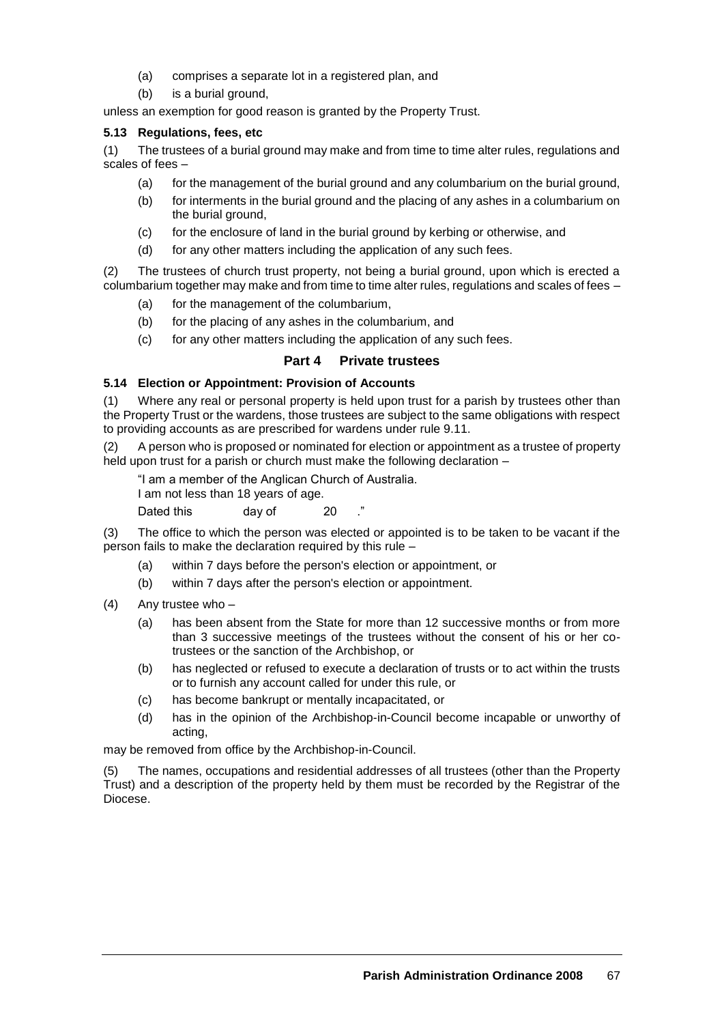- (a) comprises a separate lot in a registered plan, and
- (b) is a burial ground.

unless an exemption for good reason is granted by the Property Trust.

# **5.13 Regulations, fees, etc**

(1) The trustees of a burial ground may make and from time to time alter rules, regulations and scales of fees –

- (a) for the management of the burial ground and any columbarium on the burial ground,
- (b) for interments in the burial ground and the placing of any ashes in a columbarium on the burial ground,
- (c) for the enclosure of land in the burial ground by kerbing or otherwise, and
- (d) for any other matters including the application of any such fees.

(2) The trustees of church trust property, not being a burial ground, upon which is erected a columbarium together may make and from time to time alter rules, regulations and scales of fees –

- (a) for the management of the columbarium,
- (b) for the placing of any ashes in the columbarium, and
- (c) for any other matters including the application of any such fees.

# **Part 4 Private trustees**

# **5.14 Election or Appointment: Provision of Accounts**

(1) Where any real or personal property is held upon trust for a parish by trustees other than the Property Trust or the wardens, those trustees are subject to the same obligations with respect to providing accounts as are prescribed for wardens under rule 9.11.

(2) A person who is proposed or nominated for election or appointment as a trustee of property held upon trust for a parish or church must make the following declaration –

"I am a member of the Anglican Church of Australia.

I am not less than 18 years of age.

Dated this day of 20

(3) The office to which the person was elected or appointed is to be taken to be vacant if the person fails to make the declaration required by this rule –

- (a) within 7 days before the person's election or appointment, or
- (b) within 7 days after the person's election or appointment.
- (4) Any trustee who
	- (a) has been absent from the State for more than 12 successive months or from more than 3 successive meetings of the trustees without the consent of his or her cotrustees or the sanction of the Archbishop, or
	- (b) has neglected or refused to execute a declaration of trusts or to act within the trusts or to furnish any account called for under this rule, or
	- (c) has become bankrupt or mentally incapacitated, or
	- (d) has in the opinion of the Archbishop-in-Council become incapable or unworthy of acting,

may be removed from office by the Archbishop-in-Council.

The names, occupations and residential addresses of all trustees (other than the Property Trust) and a description of the property held by them must be recorded by the Registrar of the Diocese.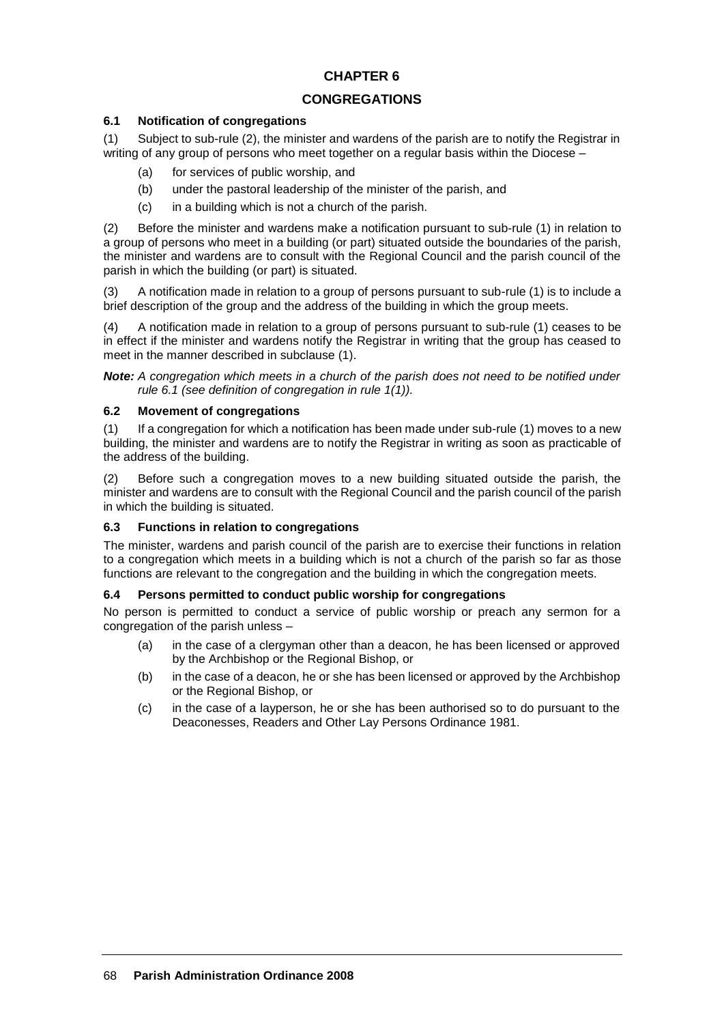# **CONGREGATIONS**

# **6.1 Notification of congregations**

(1) Subject to sub-rule (2), the minister and wardens of the parish are to notify the Registrar in writing of any group of persons who meet together on a regular basis within the Diocese –

- (a) for services of public worship, and
- (b) under the pastoral leadership of the minister of the parish, and
- (c) in a building which is not a church of the parish.

(2) Before the minister and wardens make a notification pursuant to sub-rule (1) in relation to a group of persons who meet in a building (or part) situated outside the boundaries of the parish, the minister and wardens are to consult with the Regional Council and the parish council of the parish in which the building (or part) is situated.

(3) A notification made in relation to a group of persons pursuant to sub-rule (1) is to include a brief description of the group and the address of the building in which the group meets.

(4) A notification made in relation to a group of persons pursuant to sub-rule (1) ceases to be in effect if the minister and wardens notify the Registrar in writing that the group has ceased to meet in the manner described in subclause (1).

*Note: A congregation which meets in a church of the parish does not need to be notified under rule 6.1 (see definition of congregation in rule 1(1)).*

# **6.2 Movement of congregations**

(1) If a congregation for which a notification has been made under sub-rule (1) moves to a new building, the minister and wardens are to notify the Registrar in writing as soon as practicable of the address of the building.

(2) Before such a congregation moves to a new building situated outside the parish, the minister and wardens are to consult with the Regional Council and the parish council of the parish in which the building is situated.

# **6.3 Functions in relation to congregations**

The minister, wardens and parish council of the parish are to exercise their functions in relation to a congregation which meets in a building which is not a church of the parish so far as those functions are relevant to the congregation and the building in which the congregation meets.

# **6.4 Persons permitted to conduct public worship for congregations**

No person is permitted to conduct a service of public worship or preach any sermon for a congregation of the parish unless –

- (a) in the case of a clergyman other than a deacon, he has been licensed or approved by the Archbishop or the Regional Bishop, or
- (b) in the case of a deacon, he or she has been licensed or approved by the Archbishop or the Regional Bishop, or
- (c) in the case of a layperson, he or she has been authorised so to do pursuant to the Deaconesses, Readers and Other Lay Persons Ordinance 1981.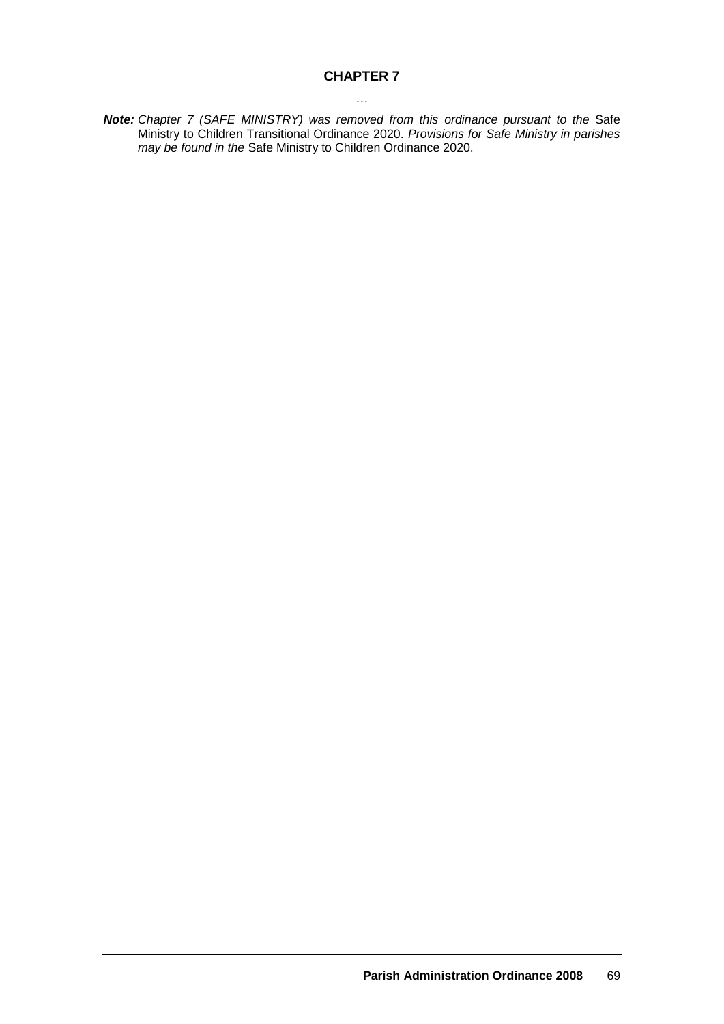# **CHAPTER 7** …

**Note:** *Chapter 7 (SAFE MINISTRY) was removed from this ordinance pursuant to the Safe* Ministry to Children Transitional Ordinance 2020. *Provisions for Safe Ministry in parishes may be found in the* Safe Ministry to Children Ordinance 2020.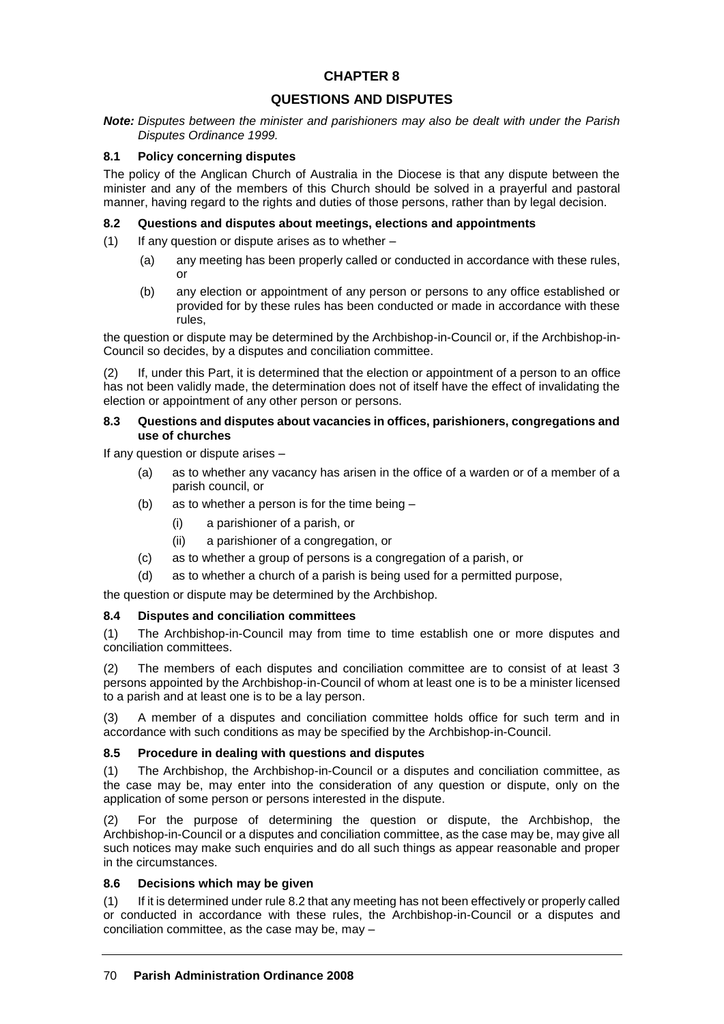# **QUESTIONS AND DISPUTES**

*Note: Disputes between the minister and parishioners may also be dealt with under the Parish Disputes Ordinance 1999.*

#### **8.1 Policy concerning disputes**

The policy of the Anglican Church of Australia in the Diocese is that any dispute between the minister and any of the members of this Church should be solved in a prayerful and pastoral manner, having regard to the rights and duties of those persons, rather than by legal decision.

#### **8.2 Questions and disputes about meetings, elections and appointments**

 $(1)$  If any question or dispute arises as to whether –

- (a) any meeting has been properly called or conducted in accordance with these rules, or
- (b) any election or appointment of any person or persons to any office established or provided for by these rules has been conducted or made in accordance with these rules,

the question or dispute may be determined by the Archbishop-in-Council or, if the Archbishop-in-Council so decides, by a disputes and conciliation committee.

(2) If, under this Part, it is determined that the election or appointment of a person to an office has not been validly made, the determination does not of itself have the effect of invalidating the election or appointment of any other person or persons.

#### **8.3 Questions and disputes about vacancies in offices, parishioners, congregations and use of churches**

If any question or dispute arises –

- (a) as to whether any vacancy has arisen in the office of a warden or of a member of a parish council, or
- (b) as to whether a person is for the time being
	- (i) a parishioner of a parish, or
	- (ii) a parishioner of a congregation, or
- (c) as to whether a group of persons is a congregation of a parish, or
- (d) as to whether a church of a parish is being used for a permitted purpose,

the question or dispute may be determined by the Archbishop.

# **8.4 Disputes and conciliation committees**

(1) The Archbishop-in-Council may from time to time establish one or more disputes and conciliation committees.

(2) The members of each disputes and conciliation committee are to consist of at least 3 persons appointed by the Archbishop-in-Council of whom at least one is to be a minister licensed to a parish and at least one is to be a lay person.

(3) A member of a disputes and conciliation committee holds office for such term and in accordance with such conditions as may be specified by the Archbishop-in-Council.

# **8.5 Procedure in dealing with questions and disputes**

(1) The Archbishop, the Archbishop-in-Council or a disputes and conciliation committee, as the case may be, may enter into the consideration of any question or dispute, only on the application of some person or persons interested in the dispute.

(2) For the purpose of determining the question or dispute, the Archbishop, the Archbishop-in-Council or a disputes and conciliation committee, as the case may be, may give all such notices may make such enquiries and do all such things as appear reasonable and proper in the circumstances.

# **8.6 Decisions which may be given**

(1) If it is determined under rule 8.2 that any meeting has not been effectively or properly called or conducted in accordance with these rules, the Archbishop-in-Council or a disputes and conciliation committee, as the case may be, may  $-$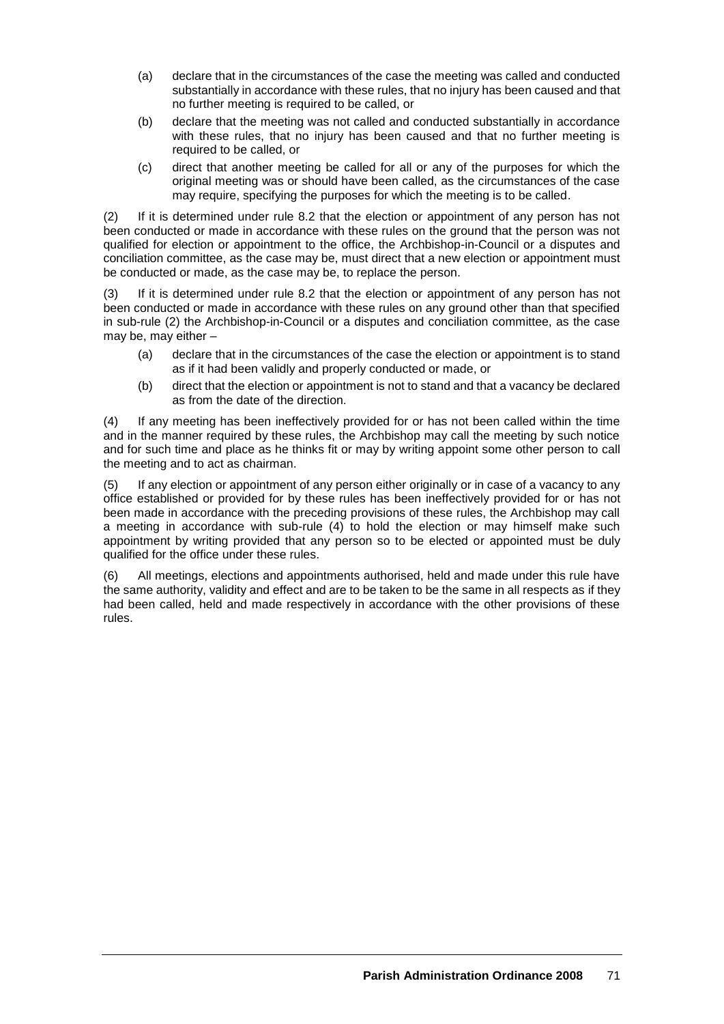- (a) declare that in the circumstances of the case the meeting was called and conducted substantially in accordance with these rules, that no injury has been caused and that no further meeting is required to be called, or
- (b) declare that the meeting was not called and conducted substantially in accordance with these rules, that no injury has been caused and that no further meeting is required to be called, or
- (c) direct that another meeting be called for all or any of the purposes for which the original meeting was or should have been called, as the circumstances of the case may require, specifying the purposes for which the meeting is to be called.

(2) If it is determined under rule 8.2 that the election or appointment of any person has not been conducted or made in accordance with these rules on the ground that the person was not qualified for election or appointment to the office, the Archbishop-in-Council or a disputes and conciliation committee, as the case may be, must direct that a new election or appointment must be conducted or made, as the case may be, to replace the person.

(3) If it is determined under rule 8.2 that the election or appointment of any person has not been conducted or made in accordance with these rules on any ground other than that specified in sub-rule (2) the Archbishop-in-Council or a disputes and conciliation committee, as the case may be, may either –

- (a) declare that in the circumstances of the case the election or appointment is to stand as if it had been validly and properly conducted or made, or
- (b) direct that the election or appointment is not to stand and that a vacancy be declared as from the date of the direction.

(4) If any meeting has been ineffectively provided for or has not been called within the time and in the manner required by these rules, the Archbishop may call the meeting by such notice and for such time and place as he thinks fit or may by writing appoint some other person to call the meeting and to act as chairman.

(5) If any election or appointment of any person either originally or in case of a vacancy to any office established or provided for by these rules has been ineffectively provided for or has not been made in accordance with the preceding provisions of these rules, the Archbishop may call a meeting in accordance with sub-rule (4) to hold the election or may himself make such appointment by writing provided that any person so to be elected or appointed must be duly qualified for the office under these rules.

(6) All meetings, elections and appointments authorised, held and made under this rule have the same authority, validity and effect and are to be taken to be the same in all respects as if they had been called, held and made respectively in accordance with the other provisions of these rules.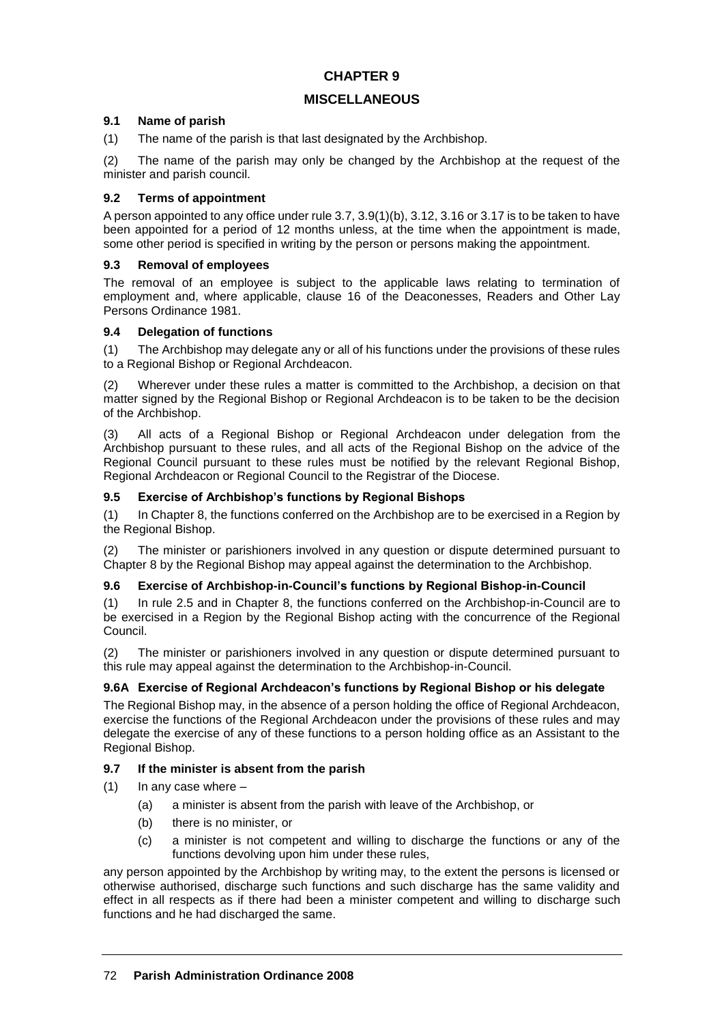# **MISCELLANEOUS**

#### **9.1 Name of parish**

(1) The name of the parish is that last designated by the Archbishop.

(2) The name of the parish may only be changed by the Archbishop at the request of the minister and parish council.

# **9.2 Terms of appointment**

A person appointed to any office under rule 3.7, 3.9(1)(b), 3.12, 3.16 or 3.17 is to be taken to have been appointed for a period of 12 months unless, at the time when the appointment is made, some other period is specified in writing by the person or persons making the appointment.

# **9.3 Removal of employees**

The removal of an employee is subject to the applicable laws relating to termination of employment and, where applicable, clause 16 of the Deaconesses, Readers and Other Lay Persons Ordinance 1981.

# **9.4 Delegation of functions**

(1) The Archbishop may delegate any or all of his functions under the provisions of these rules to a Regional Bishop or Regional Archdeacon.

(2) Wherever under these rules a matter is committed to the Archbishop, a decision on that matter signed by the Regional Bishop or Regional Archdeacon is to be taken to be the decision of the Archbishop.

(3) All acts of a Regional Bishop or Regional Archdeacon under delegation from the Archbishop pursuant to these rules, and all acts of the Regional Bishop on the advice of the Regional Council pursuant to these rules must be notified by the relevant Regional Bishop, Regional Archdeacon or Regional Council to the Registrar of the Diocese.

# **9.5 Exercise of Archbishop's functions by Regional Bishops**

(1) In Chapter 8, the functions conferred on the Archbishop are to be exercised in a Region by the Regional Bishop.

(2) The minister or parishioners involved in any question or dispute determined pursuant to Chapter 8 by the Regional Bishop may appeal against the determination to the Archbishop.

# **9.6 Exercise of Archbishop-in-Council's functions by Regional Bishop-in-Council**

(1) In rule 2.5 and in Chapter 8, the functions conferred on the Archbishop-in-Council are to be exercised in a Region by the Regional Bishop acting with the concurrence of the Regional Council.

(2) The minister or parishioners involved in any question or dispute determined pursuant to this rule may appeal against the determination to the Archbishop-in-Council.

# **9.6A Exercise of Regional Archdeacon's functions by Regional Bishop or his delegate**

The Regional Bishop may, in the absence of a person holding the office of Regional Archdeacon, exercise the functions of the Regional Archdeacon under the provisions of these rules and may delegate the exercise of any of these functions to a person holding office as an Assistant to the Regional Bishop.

# **9.7 If the minister is absent from the parish**

- $(1)$  In any case where  $-$ 
	- (a) a minister is absent from the parish with leave of the Archbishop, or
	- (b) there is no minister, or
	- (c) a minister is not competent and willing to discharge the functions or any of the functions devolving upon him under these rules,

any person appointed by the Archbishop by writing may, to the extent the persons is licensed or otherwise authorised, discharge such functions and such discharge has the same validity and effect in all respects as if there had been a minister competent and willing to discharge such functions and he had discharged the same.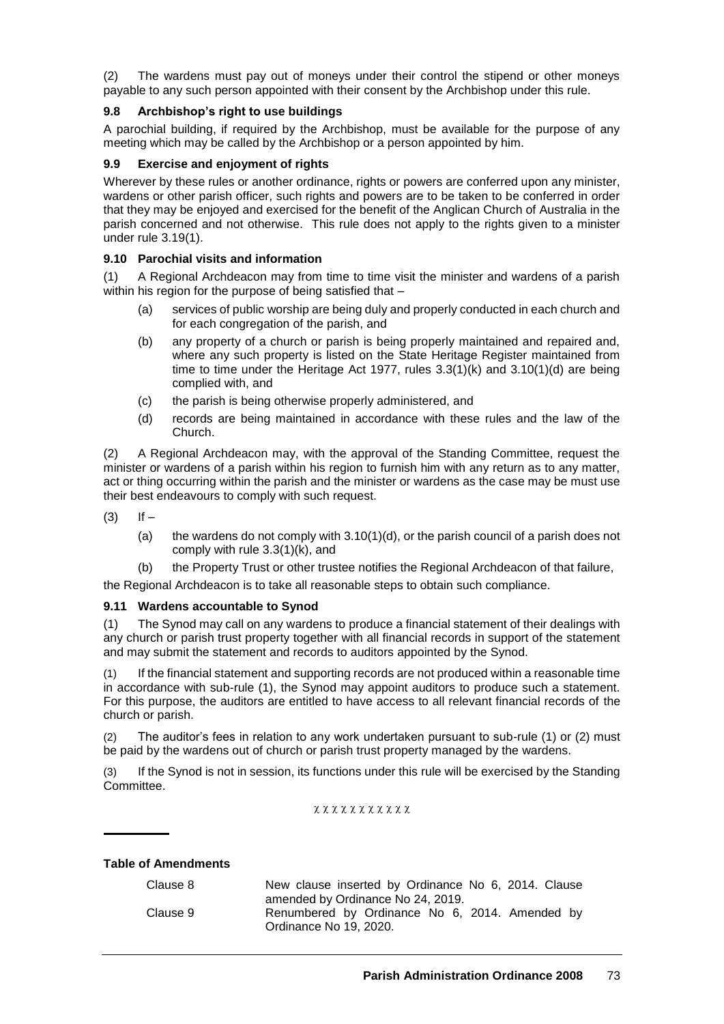(2) The wardens must pay out of moneys under their control the stipend or other moneys payable to any such person appointed with their consent by the Archbishop under this rule.

# **9.8 Archbishop's right to use buildings**

A parochial building, if required by the Archbishop, must be available for the purpose of any meeting which may be called by the Archbishop or a person appointed by him.

### **9.9 Exercise and enjoyment of rights**

Wherever by these rules or another ordinance, rights or powers are conferred upon any minister, wardens or other parish officer, such rights and powers are to be taken to be conferred in order that they may be enjoyed and exercised for the benefit of the Anglican Church of Australia in the parish concerned and not otherwise. This rule does not apply to the rights given to a minister under rule 3.19(1).

## **9.10 Parochial visits and information**

(1) A Regional Archdeacon may from time to time visit the minister and wardens of a parish within his region for the purpose of being satisfied that -

- (a) services of public worship are being duly and properly conducted in each church and for each congregation of the parish, and
- (b) any property of a church or parish is being properly maintained and repaired and, where any such property is listed on the State Heritage Register maintained from time to time under the Heritage Act 1977, rules  $3.3(1)(k)$  and  $3.10(1)(d)$  are being complied with, and
- (c) the parish is being otherwise properly administered, and
- (d) records are being maintained in accordance with these rules and the law of the Church.

(2) A Regional Archdeacon may, with the approval of the Standing Committee, request the minister or wardens of a parish within his region to furnish him with any return as to any matter, act or thing occurring within the parish and the minister or wardens as the case may be must use their best endeavours to comply with such request.

 $(3)$  If  $-$ 

- (a) the wardens do not comply with  $3.10(1)(d)$ , or the parish council of a parish does not comply with rule 3.3(1)(k), and
- (b) the Property Trust or other trustee notifies the Regional Archdeacon of that failure,

the Regional Archdeacon is to take all reasonable steps to obtain such compliance.

### **9.11 Wardens accountable to Synod**

(1) The Synod may call on any wardens to produce a financial statement of their dealings with any church or parish trust property together with all financial records in support of the statement and may submit the statement and records to auditors appointed by the Synod.

(1) If the financial statement and supporting records are not produced within a reasonable time in accordance with sub-rule (1), the Synod may appoint auditors to produce such a statement. For this purpose, the auditors are entitled to have access to all relevant financial records of the church or parish.

The auditor's fees in relation to any work undertaken pursuant to sub-rule (1) or (2) must be paid by the wardens out of church or parish trust property managed by the wardens.

(3) If the Synod is not in session, its functions under this rule will be exercised by the Standing Committee.

x x x x x x x x x x x

### **Table of Amendments**

| Clause 8 | New clause inserted by Ordinance No 6, 2014. Clause |
|----------|-----------------------------------------------------|
|          | amended by Ordinance No 24, 2019.                   |
| Clause 9 | Renumbered by Ordinance No 6, 2014. Amended by      |
|          | Ordinance No 19, 2020.                              |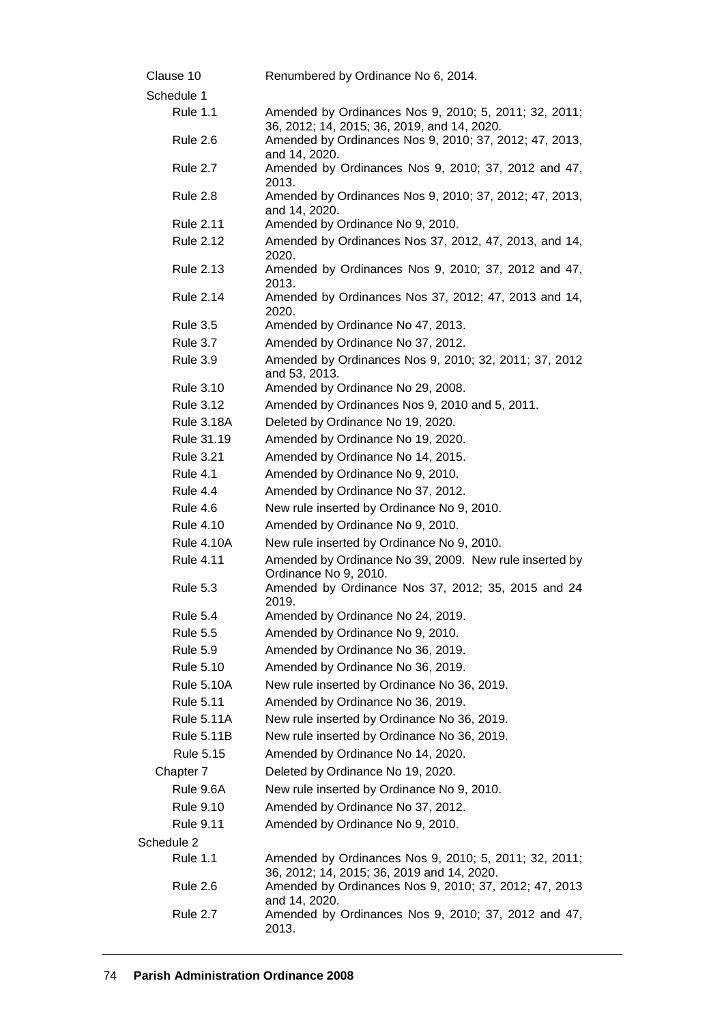| Clause 10         | Renumbered by Ordinance No 6, 2014.                                                                  |
|-------------------|------------------------------------------------------------------------------------------------------|
| Schedule 1        |                                                                                                      |
| <b>Rule 1.1</b>   | Amended by Ordinances Nos 9, 2010; 5, 2011; 32, 2011;<br>36, 2012; 14, 2015; 36, 2019, and 14, 2020. |
| <b>Rule 2.6</b>   | Amended by Ordinances Nos 9, 2010; 37, 2012; 47, 2013,<br>and 14, 2020.                              |
| <b>Rule 2.7</b>   | Amended by Ordinances Nos 9, 2010; 37, 2012 and 47,<br>2013.                                         |
| <b>Rule 2.8</b>   | Amended by Ordinances Nos 9, 2010; 37, 2012; 47, 2013,<br>and 14, 2020.                              |
| <b>Rule 2.11</b>  | Amended by Ordinance No 9, 2010.                                                                     |
| <b>Rule 2.12</b>  | Amended by Ordinances Nos 37, 2012, 47, 2013, and 14,<br>2020.                                       |
| <b>Rule 2.13</b>  | Amended by Ordinances Nos 9, 2010; 37, 2012 and 47,<br>2013.                                         |
| <b>Rule 2.14</b>  | Amended by Ordinances Nos 37, 2012; 47, 2013 and 14,<br>2020.                                        |
| <b>Rule 3.5</b>   | Amended by Ordinance No 47, 2013.                                                                    |
| <b>Rule 3.7</b>   | Amended by Ordinance No 37, 2012.                                                                    |
| <b>Rule 3.9</b>   | Amended by Ordinances Nos 9, 2010; 32, 2011; 37, 2012<br>and 53, 2013.                               |
| <b>Rule 3.10</b>  | Amended by Ordinance No 29, 2008.                                                                    |
| <b>Rule 3.12</b>  | Amended by Ordinances Nos 9, 2010 and 5, 2011.                                                       |
| <b>Rule 3.18A</b> | Deleted by Ordinance No 19, 2020.                                                                    |
| Rule 31.19        | Amended by Ordinance No 19, 2020.                                                                    |
| <b>Rule 3.21</b>  | Amended by Ordinance No 14, 2015.                                                                    |
| <b>Rule 4.1</b>   | Amended by Ordinance No 9, 2010.                                                                     |
| <b>Rule 4.4</b>   | Amended by Ordinance No 37, 2012.                                                                    |
| Rule 4.6          | New rule inserted by Ordinance No 9, 2010.                                                           |
| <b>Rule 4.10</b>  | Amended by Ordinance No 9, 2010.                                                                     |
| <b>Rule 4.10A</b> | New rule inserted by Ordinance No 9, 2010.                                                           |
| <b>Rule 4.11</b>  | Amended by Ordinance No 39, 2009. New rule inserted by<br>Ordinance No 9, 2010.                      |
| <b>Rule 5.3</b>   | Amended by Ordinance Nos 37, 2012; 35, 2015 and 24<br>2019.                                          |
| Rule 5.4          | Amended by Ordinance No 24, 2019.                                                                    |
| <b>Rule 5.5</b>   | Amended by Ordinance No 9, 2010.                                                                     |
| <b>Rule 5.9</b>   | Amended by Ordinance No 36, 2019.                                                                    |
| <b>Rule 5.10</b>  | Amended by Ordinance No 36, 2019.                                                                    |
| <b>Rule 5.10A</b> | New rule inserted by Ordinance No 36, 2019.                                                          |
| <b>Rule 5.11</b>  | Amended by Ordinance No 36, 2019.                                                                    |
| <b>Rule 5.11A</b> | New rule inserted by Ordinance No 36, 2019.                                                          |
| <b>Rule 5.11B</b> | New rule inserted by Ordinance No 36, 2019.                                                          |
| <b>Rule 5.15</b>  | Amended by Ordinance No 14, 2020.                                                                    |
| Chapter 7         | Deleted by Ordinance No 19, 2020.                                                                    |
| Rule 9.6A         | New rule inserted by Ordinance No 9, 2010.                                                           |
| <b>Rule 9.10</b>  | Amended by Ordinance No 37, 2012.                                                                    |
| <b>Rule 9.11</b>  | Amended by Ordinance No 9, 2010.                                                                     |
| Schedule 2        |                                                                                                      |
| <b>Rule 1.1</b>   | Amended by Ordinances Nos 9, 2010; 5, 2011; 32, 2011;<br>36, 2012; 14, 2015; 36, 2019 and 14, 2020.  |
| Rule 2.6          | Amended by Ordinances Nos 9, 2010; 37, 2012; 47, 2013<br>and 14, 2020.                               |
| <b>Rule 2.7</b>   | Amended by Ordinances Nos 9, 2010; 37, 2012 and 47,<br>2013.                                         |